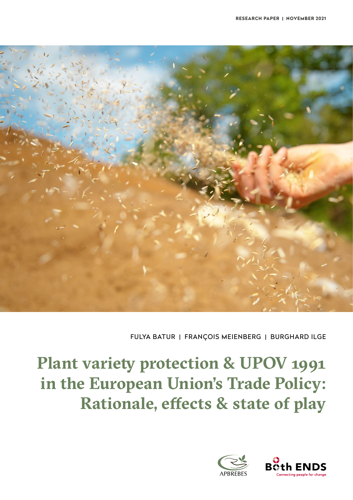

FULYA BATUR | FRANÇOIS MEIENBERG | BURGHARD ILGE

## **Plant variety protection & UPOV 1991 in the European Union's Trade Policy: Rationale, effects & state of play**



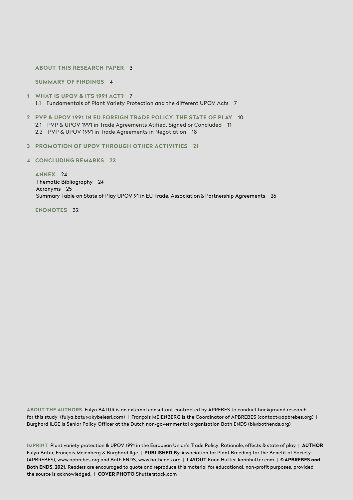#### **[ABOUT THIS RESEARCH PAPER](#page-2-0)** 3

**[SUMMARY OF FINDINGS](#page-3-0)** 4

- **[1](#page-6-0) [WHAT IS UPOV & ITS 1991 ACT?](#page-6-0)** 7 1.1 [Fundamentals of Plant Variety Protection and the different UPOV Acts](#page-6-0) 7
- **[2](#page-9-0) PVP & UPOV 1991 IN EU [FOREIGN TRADE POLICY, THE STATE OF PLAY](#page-9-0)** 10 2.1 [PVP & UPOV 1991 in Trade Agreements Atified, Signed or Concluded](#page-10-0) 11 2.2 [PVP & UPOV 1991 in Trade Agreements in Negotiation](#page-18-0) 18
- **[3](#page-20-0) [PROMOTION OF UPOV THROUGH OTHER ACTIVITIES](#page-20-0) 21**
- **4 [C](#page-20-0)ONCLUDING REMARKS [2](#page-20-0)3**

**[ANNEX](#page-23-0)** 24 Thematic Bibliography 24 Acronyms 25 [Summary Table on State of Play UPOV 91 in EU Trade, Association](#page-25-0) & Partnership Agreements 26

**[ENDNOTES](#page-31-0)** 32

**ABOUT THE AUTHORS** Fulya BATUR is an external consultant contracted by APREBES to conduct background research for this study (fulya.batur@kybelesrl.com) | François MEIENBERG is the Coordinator of APBREBES (contact@apbrebes.org) | Burghard ILGE is Senior Policy Officer at the Dutch non-governmental organisation Both ENDS (bi@bothends.org)

**IMPRINT** Plant variety protection & UPOV 1991 in the European Union's Trade Policy: Rationale, effects & state of play | **AUTHOR** Fulya Batur, François Meienberg & Burghard Ilge | **PUBLISHED By** Association for Plant Breeding for the Benefit of Society (APBREBES), www.apbrebes.org and Both ENDS, www.bothends.org | **LAYOUT** Karin Hutter, karinhutter.com | **© APBREBES and Both ENDS, 2021.** Readers are encouraged to quote and reproduce this material for educational, non-profit purposes, provided the source is acknowledged. | **COVER PHOTO** Shutterstock.com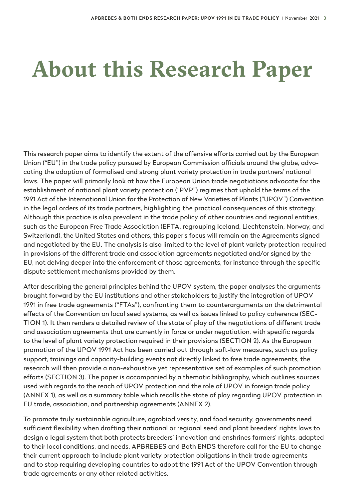# <span id="page-2-0"></span>**About this Research Paper**

This research paper aims to identify the extent of the offensive efforts carried out by the European Union ("EU") in the trade policy pursued by European Commission officials around the globe, advocating the adoption of formalised and strong plant variety protection in trade partners' national laws. The paper will primarily look at how the European Union trade negotiations advocate for the establishment of national plant variety protection ("PVP") regimes that uphold the terms of the 1991 Act of the International Union for the Protection of New Varieties of Plants ("UPOV") Convention in the legal orders of its trade partners, highlighting the practical consequences of this strategy. Although this practice is also prevalent in the trade policy of other countries and regional entities, such as the European Free Trade Association (EFTA, regrouping Iceland, Liechtenstein, Norway, and Switzerland), the United States and others, this paper's focus will remain on the Agreements signed and negotiated by the EU. The analysis is also limited to the level of plant variety protection required in provisions of the different trade and association agreements negotiated and/or signed by the EU, not delving deeper into the enforcement of those agreements, for instance through the specific dispute settlement mechanisms provided by them.

After describing the general principles behind the UPOV system, the paper analyses the arguments brought forward by the EU institutions and other stakeholders to justify the integration of UPOV 1991 in free trade agreements ("FTAs"), confronting them to counterarguments on the detrimental effects of the Convention on local seed systems, as well as issues linked to policy coherence (SEC-TION 1). It then renders a detailed review of the state of play of the negotiations of different trade and association agreements that are currently in force or under negotiation, with specific regards to the level of plant variety protection required in their provisions (SECTION 2). As the European promotion of the UPOV 1991 Act has been carried out through soft-law measures, such as policy support, trainings and capacity-building events not directly linked to free trade agreements, the research will then provide a non-exhaustive yet representative set of examples of such promotion efforts (SECTION 3). The paper is accompanied by a thematic bibliography, which outlines sources used with regards to the reach of UPOV protection and the role of UPOV in foreign trade policy (ANNEX 1), as well as a summary table which recalls the state of play regarding UPOV protection in EU trade, association, and partnership agreements (ANNEX 2).

To promote truly sustainable agriculture, agrobiodiversity, and food security, governments need sufficient flexibility when drafting their national or regional seed and plant breeders' rights laws to design a legal system that both protects breeders' innovation and enshrines farmers' rights, adapted to their local conditions, and needs. APBREBES and Both ENDS therefore call for the EU to change their current approach to include plant variety protection obligations in their trade agreements and to stop requiring developing countries to adopt the 1991 Act of the UPOV Convention through trade agreements or any other related activities.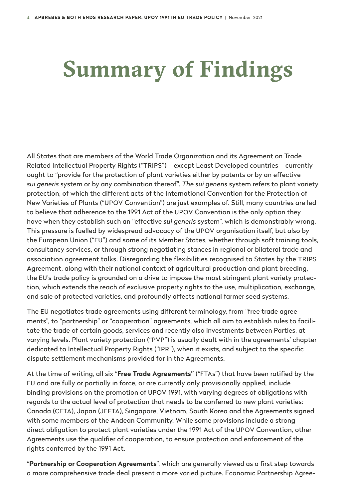# <span id="page-3-0"></span>**Summary of Findings**

All States that are members of the World Trade Organization and its Agreement on Trade Related Intellectual Property Rights ("TRIPS") – except Least Developed countries – currently ought to "provide for the protection of plant varieties either by patents or by an effective *sui generis* system or by any combination thereof". *The sui generis* system refers to plant variety protection, of which the different acts of the International Convention for the Protection of New Varieties of Plants ("UPOV Convention") are just examples of. Still, many countries are led to believe that adherence to the 1991 Act of the UPOV Convention is the only option they have when they establish such an "effective *sui generis* system", which is demonstrably wrong. This pressure is fuelled by widespread advocacy of the UPOV organisation itself, but also by the European Union ("EU") and some of its Member States, whether through soft training tools, consultancy services, or through strong negotiating stances in regional or bilateral trade and association agreement talks. Disregarding the flexibilities recognised to States by the TRIPS Agreement, along with their national context of agricultural production and plant breeding, the EU's trade policy is grounded on a drive to impose the most stringent plant variety protection, which extends the reach of exclusive property rights to the use, multiplication, exchange, and sale of protected varieties, and profoundly affects national farmer seed systems.

The EU negotiates trade agreements using different terminology, from "free trade agreements", to "partnership" or "cooperation" agreements, which all aim to establish rules to facilitate the trade of certain goods, services and recently also investments between Parties, at varying levels. Plant variety protection ("PVP") is usually dealt with in the agreements' chapter dedicated to Intellectual Property Rights ("IPR"), when it exists, and subject to the specific dispute settlement mechanisms provided for in the Agreements.

At the time of writing, all six "**Free Trade Agreements"** ("FTAs") that have been ratified by the EU and are fully or partially in force, or are currently only provisionally applied, include binding provisions on the promotion of UPOV 1991, with varying degrees of obligations with regards to the actual level of protection that needs to be conferred to new plant varieties: Canada (CETA), Japan (JEFTA), Singapore, Vietnam, South Korea and the Agreements signed with some members of the Andean Community. While some provisions include a strong direct obligation to protect plant varieties under the 1991 Act of the UPOV Convention, other Agreements use the qualifier of cooperation, to ensure protection and enforcement of the rights conferred by the 1991 Act.

"**Partnership or Cooperation Agreements**", which are generally viewed as a first step towards a more comprehensive trade deal present a more varied picture. Economic Partnership Agree-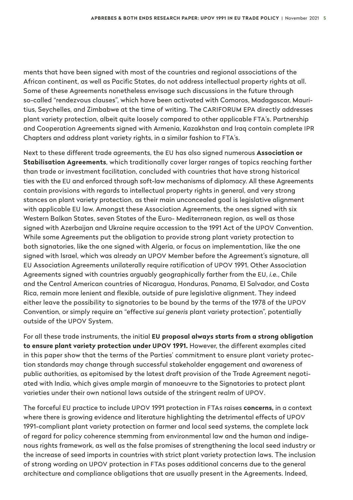ments that have been signed with most of the countries and regional associations of the African continent, as well as Pacific States, do not address intellectual property rights at all. Some of these Agreements nonetheless envisage such discussions in the future through so-called "rendezvous clauses", which have been activated with Comoros, Madagascar, Mauritius, Seychelles, and Zimbabwe at the time of writing. The CARIFORUM EPA directly addresses plant variety protection, albeit quite loosely compared to other applicable FTA's. Partnership and Cooperation Agreements signed with Armenia, Kazakhstan and Iraq contain complete IPR Chapters and address plant variety rights, in a similar fashion to FTA's.

Next to these different trade agreements, the EU has also signed numerous **Association or Stabilisation Agreements**, which traditionally cover larger ranges of topics reaching farther than trade or investment facilitation, concluded with countries that have strong historical ties with the EU and enforced through soft-law mechanisms of diplomacy. All these Agreements contain provisions with regards to intellectual property rights in general, and very strong stances on plant variety protection, as their main unconcealed goal is legislative alignment with applicable EU law. Amongst these Association Agreements, the ones signed with six Western Balkan States, seven States of the Euro- Mediterranean region, as well as those signed with Azerbaijan and Ukraine require accession to the 1991 Act of the UPOV Convention. While some Agreements put the obligation to provide strong plant variety protection to both signatories, like the one signed with Algeria, or focus on implementation, like the one signed with Israel, which was already an UPOV Member before the Agreement's signature, all EU Association Agreements unilaterally require ratification of UPOV 1991. Other Association Agreements signed with countries arguably geographically farther from the EU, *i.e.*, Chile and the Central American countries of Nicaragua, Honduras, Panama, El Salvador, and Costa Rica, remain more lenient and flexible, outside of pure legislative alignment. They indeed either leave the possibility to signatories to be bound by the terms of the 1978 of the UPOV Convention, or simply require an "effective *sui generis* plant variety protection", potentially outside of the UPOV System.

For all these trade instruments, the initial **EU proposal always starts from a strong obligation to ensure plant variety protection under UPOV 1991.** However, the different examples cited in this paper show that the terms of the Parties' commitment to ensure plant variety protection standards may change through successful stakeholder engagement and awareness of public authorities, as epitomised by the latest draft provision of the Trade Agreement negotiated with India, which gives ample margin of manoeuvre to the Signatories to protect plant varieties under their own national laws outside of the stringent realm of UPOV.

The forceful EU practice to include UPOV 1991 protection in FTAs raises **concerns,** in a context where there is growing evidence and literature highlighting the detrimental effects of UPOV 1991-compliant plant variety protection on farmer and local seed systems, the complete lack of regard for policy coherence stemming from environmental law and the human and indigenous rights framework, as well as the false promises of strengthening the local seed industry or the increase of seed imports in countries with strict plant variety protection laws. The inclusion of strong wording on UPOV protection in FTAs poses additional concerns due to the general architecture and compliance obligations that are usually present in the Agreements. Indeed,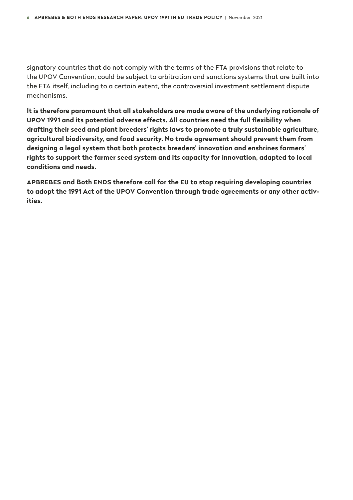signatory countries that do not comply with the terms of the FTA provisions that relate to the UPOV Convention, could be subject to arbitration and sanctions systems that are built into the FTA itself, including to a certain extent, the controversial investment settlement dispute mechanisms.

**It is therefore paramount that all stakeholders are made aware of the underlying rationale of UPOV 1991 and its potential adverse effects. All countries need the full flexibility when drafting their seed and plant breeders' rights laws to promote a truly sustainable agriculture, agricultural biodiversity, and food security. No trade agreement should prevent them from designing a legal system that both protects breeders' innovation and enshrines farmers' rights to support the farmer seed system and its capacity for innovation, adapted to local conditions and needs.** 

**APBREBES and Both ENDS therefore call for the EU to stop requiring developing countries to adopt the 1991 Act of the UPOV Convention through trade agreements or any other activities.**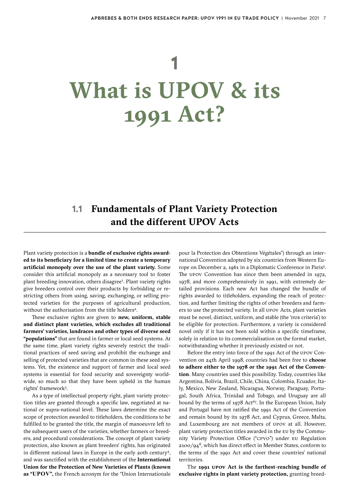# <span id="page-6-0"></span>**1 What is UPOV & its 1991 Act?**

### **1.1 Fundamentals of Plant Variety Protection and the different UPOV Acts**

Plant variety protection is a **bundle of exclusive rights awarded to its beneficiary for a limited time to create a temporary artificial monopoly over the use of the plant variety.** Some consider this artificial monopoly as a necessary tool to foster plant breeding innovation, others disagree<sup>[1](#page-31-0)</sup>. Plant variety rights give breeders control over their products by forbidding or restricting others from using, saving, exchanging, or selling protected varieties for the purposes of agricultural production, without the authorisation from the title holders<sup>2</sup>.

These exclusive rights are given to **new, uniform, stable and distinct plant varieties, which excludes all traditional farmers' varieties, landraces and other types of diverse seed "populations"** that are found in farmer or local seed systems. At the same time, plant variety rights severely restrict the traditional practices of seed saving and prohibit the exchange and selling of protected varieties that are common in these seed systems. Yet, the existence and support of farmer and local seed systems is essential for food security and sovereignty worldwide, so much so that they have been upheld in the human rights' framework[3](#page-31-0) .

As a type of intellectual property right, plant variety protection titles are granted through a specific law, negotiated at national or supra-national level. These laws determine the exact scope of protection awarded to titleholders, the conditions to be fulfilled to be granted the title, the margin of manoeuvre left to the subsequent users of the varieties, whether farmers or breeders, and procedural considerations. The concept of plant variety protection, also known as plant breeders' rights, has originated in different national laws in Europe in the early 20th century<sup>[4](#page-31-0)</sup>, and was sanctified with the establishment of the **International Union for the Protection of New Varieties of Plants (known as "[UPOV](http://www.upov.int/)",** the French acronym for the "Union Internationale

pour la Protection des Obtentions Végétales") through an international Convention adopted by six countries from Western Europe on December 2, 1961 in a Diplomatic Conference in Paris[5](#page-31-0) . The upov Convention has since then been amended in 1972, 1978, and more comprehensively in 1991, with extremely detailed provisions. Each new Act has changed the bundle of rights awarded to titleholders, expanding the reach of protection, and further limiting the rights of other breeders and farmers to use the protected variety. In all UPOV Acts, plant varieties must be novel, distinct, uniform, and stable (the 'DUS criteria') to be eligible for protection. Furthermore, a variety is considered novel only if it has not been sold within a specific timeframe, solely in relation to its commercialisation on the formal market, notwithstanding whether it previously existed or not.

Before the entry into force of the 1991 Act of the UPOV Convention on 24th April 1998, countries had been free to **choose to adhere either to the 1978 or the 1991 Act of the Convention**. Many countries used this possibility. Today, countries like Argentina, Bolivia, Brazil, Chile, China, Colombia, Ecuador, Italy, Mexico, New Zealand, Nicaragua, Norway, Paraguay, Portugal, South Africa, Trinidad and Tobago, and Uruguay are all bound by the terms of  $1978$  Act<sup>67</sup>. In the European Union, Italy and Portugal have not ratified the 1991 Act of the Convention and remain bound by its 1978 Act, and Cyprus, Greece, Malta, and Luxembourg are not members of UPOV at all. However, plant variety protection titles awarded in the EU by the Community Variety Protection Office ("CPVO") under EU Regulation  $2100$ /94<sup>[8](#page-31-0)</sup>, which has direct effect in Member States, conform to the terms of the 1991 Act and cover these countries' national territories.

The **1991 UPOV Act is the farthest-reaching bundle of exclusive rights in plant variety protection,** granting breed-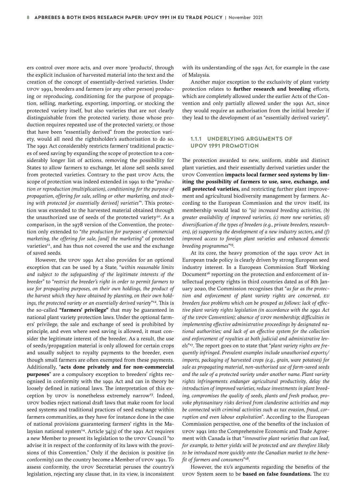ers control over more acts, and over more 'products', through the explicit inclusion of harvested material into the text and the creation of the concept of essentially-derived varieties. Under UPOV 1991, breeders and farmers (or any other person) producing or reproducing, conditioning for the purpose of propagation, selling, marketing, exporting, importing, or stocking the protected variety itself, but also varieties that are not clearly distinguishable from the protected variety, those whose production requires repeated use of the protected variety, or those that have been "essentially derived" from the protection variety, would all need the rightsholder's authorisation to do so. The 1991 Act considerably restricts farmers' traditional practices of seed saving by expanding the scope of protection to a considerably longer list of actions, removing the possibility for States to allow farmers to exchange, let alone sell seeds saved from protected varieties. Contrary to the past UPOV Acts, the scope of protection was indeed extended in 1991 to the "*production or reproduction (multiplication), conditioning for the purpose of propagation, offering for sale, selling or other marketing, and stock-*ing with protected [or essentially derived] varieties<sup>["](#page-31-0)</sup>. This protection was extended to the harvested material obtained through the unauthorized use of seeds of the protected variety<sup>10</sup>. As a comparison, in the 1978 version of the Convention, the protection only extended to "*the production for purposes of commercial marketing, the offering for sale, [and] the marketing"* of protected varieties<sup>[11](#page-31-0)</sup>, and has thus not covered the use and the exchange of saved seeds.

However, the UPOV 1991 Act also provides for an optional exception that can be used by a State, "*within reasonable limits and subject to the safeguarding of the legitimate interests of the breeder*" to "*restrict the breeder's right in order to permit farmers to use for propagating purposes, on their own holdings, the product of the harvest which they have obtained by planting, on their own holdings, the protected variety or an essentially derived variety*"[12](#page-31-0). This is the so-called **"farmers' privilege"** that may be guaranteed in national plant variety protection laws. Under the optional farmers' privilege, the sale and exchange of seed is prohibited by principle, and even where seed saving is allowed, it must consider the legitimate interest of the breeder. As a result, the use of seeds/propagation material is only allowed for certain crops and usually subject to royalty payments to the breeder, even though small farmers are often exempted from these payments. Additionally, "**acts done privately and for non-commercial purposes**" are a compulsory exception to breeders' rights recognised in conformity with the 1991 Act and can in theory be loosely defined in national laws. The interpretation of this ex-ception by UPOV is nonetheless extremely narrow<sup>[13](#page-31-0)</sup>. Indeed, UPOV bodies reject national draft laws that make room for local seed systems and traditional practices of seed exchange within farmers communities, as they have for instance done in the case of national provisions guaranteeing farmers' rights in the Ma-laysian national system<sup>[14](#page-31-0)</sup>. Article  $34(3)$  of the 1991 Act requires a new Member to present its legislation to the UPOV Council "to advise it in respect of the conformity of its laws with the provisions of this Convention." Only if the decision is positive (in conformity) can the country become a Member of UPOV 1991. To assess conformity, the UPOV Secretariat peruses the country's legislation, rejecting any clause that, in its view, is inconsistent

with its understanding of the 1991 Act, for example in the case of Malaysia.

Another major exception to the exclusivity of plant variety protection relates to **further research and breeding** efforts, which are completely allowed under the earlier Acts of the Convention and only partially allowed under the 1991 Act, since they would require an authorisation from the initial breeder if they lead to the development of an "essentially derived variety".

#### **1.1.1 UNDERLYING ARGUMENTS OF UPOV 1991 PROMOTION**

The protection awarded to new, uniform, stable and distinct plant varieties, and their essentially derived varieties under the UPOV Convention **impacts local farmer seed systems by limiting the possibility of farmers to use, save, exchange, and sell protected varieties,** and restricting further plant improvement and agricultural biodiversity management by farmers. According to the European Commission and the UPOV itself, its membership would lead to *"(a) increased breeding activities, (b) greater availability of improved varieties, (c) more new varieties, (d) diversification of the types of breeders (e.g., private breeders, researchers), (e) supporting the development of a new industry sectors, and (f) improved access to foreign plant varieties and enhanced domestic breeding programmes"*[15.](#page-31-0)

At its core, the heavy promotion of the 1991 UPOV Act in European trade policy is clearly driven by strong European seed industry interest. In a European Commission Staff Working Document<sup>16</sup> reporting on the protection and enforcement of intellectual property rights in third countries dated as of 8th January 2020, the Commission recognises that "*as far as the protection and enforcement of plant variety rights are concerned, EU breeders face problems which can be grouped as follows: lack of effective plant variety rights legislation (in accordance with the 1991 Act of the UPOV Convention); absence of UPOV membership; difficulties in implementing effective administrative proceedings by designated national authorities; and lack of an effective system for the collection and enforcement of royalties at both judicial and administrative levels*"[17.](#page-31-0) The report goes on to state that "*plant variety rights are frequently infringed. Prevalent examples include unauthorised exports/ imports, packaging of harvested crops (e.g., grain, ware potatoes) for sale as propagating material, non-authorised use of farm-saved seeds and the sale of a protected variety under another name. Plant variety rights infringements endanger agricultural productivity, delay the introduction of improved varieties, reduce investments in plant breeding, compromises the quality of seeds, plants and fresh produce, provoke phytosanitary risks derived from clandestine activities and may be connected with criminal activities such as tax evasion, fraud, corruption and even labour exploitation*". According to the European Commission perspective, one of the benefits of the inclusion of UPOV 1991 into the Comprehensive Economic and Trade Agreement with Canada is that "*innovative plant varieties that can lead, for example, to better yields will be protected and are therefore likely to be introduced more quickly onto the Canadian market to the benefit of farmers and consumers*"[18](#page-31-0).

However, the EU's arguments regarding the benefits of the UPOV System seem to be **based on false foundations.** The EU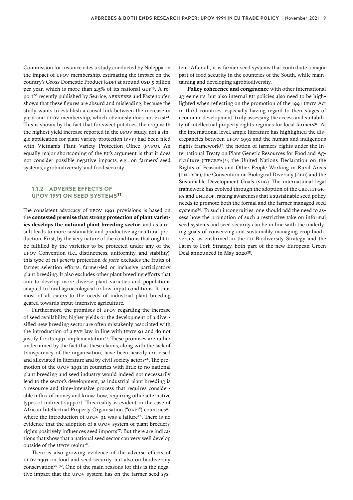Commission for instance cites a study conducted by Noleppa on the impact of UPOV membership, estimating the impact on the country's Gross Domestic Product (GDP) at around USD 5 billion per year, which is more than 2.5% of its national GDP<sup>19</sup>. A report<sup>20</sup> recently published by Searice, APBREBES and Fastenopfer, shows that these figures are absurd and misleading, because the study wants to establish a causal link between the increase in yield and UPOV membership, which obviously does not exist<sup>21</sup>. This is shown by the fact that for sweet potatoes, the crop with the highest yield increase reported in the UPOV study, not a single application for plant variety protection (PVP) had been filed with Vietnam's Plant Variety Protection Office (PVPO). An equally major shortcoming of the EU's argument is that it does not consider possible negative impacts, e.g., on farmers' seed systems, agrobiodiversity, and food security.

#### **1.1.2 ADVERSE EFFECTS OF UPOV 1991 ON SEED SYSTEMS[22](#page-31-0)**

The consistent advocacy of UPOV 1991 provisions is based on the **contested premise that strong protection of plant varieties develops the national plant breeding sector**, and as a result leads to more sustainable and productive agricultural production. First, by the very nature of the conditions that ought to be fulfilled by the varieties to be protected under any of the UPOV Convention (i.e., distinctness, uniformity, and stability), this type of *sui generis* protection *de facto* excludes the fruits of farmer selection efforts, farmer-led or inclusive participatory plant breeding. It also excludes other plant breeding efforts that aim to develop more diverse plant varieties and populations adapted to local agroecological or low-input conditions. It thus most of all caters to the needs of industrial plant breeding geared towards input-intensive agriculture.

Furthermore, the promises of UPOV regarding the increase of seed availability, higher yields or the development of a diversified new breeding sector are often mistakenly associated with the introduction of a PVP law in line with UPOV 91 and do not justify for its 1991 implementation<sup>[23](#page-31-0)</sup>. These promises are rather undermined by the fact that these claims, along with the lack of transparency of the organisation, have been heavily criticised and alleviated in literature and by civil society actors<sup>[24](#page-31-0)</sup>. The promotion of the UPOV 1991 in countries with little to no national plant breeding and seed industry would indeed not necessarily lead to the sector's development, as industrial plant breeding is a resource and time-intensive process that requires considerable influx of money and know-how, requiring other alternative types of indirect support. This reality is evident in the case of African Intellectual Property Organisation ("OAPI") countries<sup>[25](#page-31-0)</sup>, where the introduction of UPOV 91 was a failure<sup>[26](#page-31-0)</sup>. There is no evidence that the adoption of a UPOV system of plant breeders' rights positively influences seed imports<sup>27</sup>. But there are indications that show that a national seed sector can very well develop outside of the UPOV realm<sup>28</sup>.

There is also growing evidence of the adverse effects of UPOV 1991 on food and seed security, but also on biodiversity conservation<sup>[29](#page-32-0) 30</sup>. One of the main reasons for this is the negative impact that the UPOV system has on the farmer seed system. After all, it is farmer seed systems that contribute a major part of food security in the countries of the South, while maintaining and developing agrobiodiversity.

**Policy coherence and congruence** with other international agreements, but also internal EU policies also need to be highlighted when reflecting on the promotion of the 1991 UPOV Act in third countries, especially having regard to their stages of economic development, truly assessing the access and suitabili-ty of intellectual property rights regimes for local farmers<sup>[31](#page-32-0)</sup>. At the international level, ample literature has highlighted the discrepancies between UPOV 1991 and the human and indigenous rights framework<sup>[32](#page-32-0)</sup>, the notion of farmers' rights under the International Treaty on Plant Genetic Resources for Food and Agriculture (ITPGRFA) [33](#page-32-0), the United Nations Declaration on the Rights of Peasants and Other People Working in Rural Areas (UNDROP), the Convention on Biological Diversity (CBD) and the Sustainable Development Goals (SDG). The international legal framework has evolved through the adoption of the CBD, ITPGR-FA and UNDROP, raising awareness that a sustainable seed policy needs to promote both the formal and the farmer managed seed systems<sup>[34](#page-32-0)</sup>. To such incongruities, one should add the need to assess how the promotion of such a restrictive take on informal seed systems and seed security can be in line with the underlying goals of conserving and sustainably managing crop biodiversity, as enshrined in the EU Biodiversity Strategy and the Farm to Fork Strategy, both part of the new European Green Deal announced in May 2020[35](#page-32-0).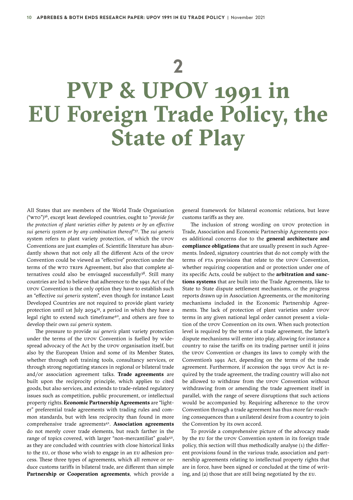## <span id="page-9-0"></span>**2 PVP & UPOV 1991 in EU Foreign Trade Policy, the State of Play**

All States that are members of the World Trade Organisation ("WTO"[\)36,](#page-32-0) except least developed countries, ought to "*provide for the protection of plant varieties either by patents or by an effective sui generis system or by any combination thereof*["37.](#page-32-0) The *sui generis*  system refers to plant variety protection, of which the UPOV Conventions are just examples of. Scientific literature has abundantly shown that not only all the different Acts of the UPOV Convention could be viewed as "effective" protection under the terms of the WTO TRIPS Agreement, but also that complete alternatives could also be envisaged successfully<sup>38</sup>. Still many countries are led to believe that adherence to the 1991 Act of the UPOV Convention is the only option they have to establish such an "effective *sui generis* system", even though for instance Least Developed Countries are not required to provide plant variety protection until 1st July 2034 $39$ , a period in which they have a legal right to extend such timeframe<sup>40</sup>, and others are free to develop their own *sui generis* system.

The pressure to provide *sui generis* plant variety protection under the terms of the UPOV Convention is fuelled by widespread advocacy of the Act by the UPOV organisation itself, but also by the European Union and some of its Member States, whether through soft training tools, consultancy services, or through strong negotiating stances in regional or bilateral trade and/or association agreement talks. **Trade agreements** are built upon the reciprocity principle, which applies to cited goods, but also services, and extends to trade-related regulatory issues such as competition, public procurement, or intellectual property rights. **Economic Partnership Agreements** are "lighter" preferential trade agreements with trading rules and common standards, but with less reciprocity than found in more comprehensive trade agreements<sup>41</sup>. **Association agreements** do not merely cover trade elements, but reach farther in the range of topics covered, with larger "non-mercantilist" goals<sup>[42](#page-32-0)</sup>, as they are concluded with countries with close historical links to the EU, or those who wish to engage in an EU adhesion process. These three types of agreements, which all remove or reduce customs tariffs in bilateral trade, are different than simple **Partnership or Cooperation agreements**, which provide a

general framework for bilateral economic relations, but leave customs tariffs as they are.

The inclusion of strong wording on UPOV protection in Trade, Association and Economic Partnership Agreements poses additional concerns due to the **general architecture and compliance obligations** that are usually present in such Agreements. Indeed, signatory countries that do not comply with the terms of FTA provisions that relate to the UPOV Convention, whether requiring cooperation and or protection under one of its specific Acts, could be subject to the **arbitration and sanctions systems** that are built into the Trade Agreements, like to State to State dispute settlement mechanisms, or the progress reports drawn up in Association Agreements, or the monitoring mechanisms included in the Economic Partnership Agreements. The lack of protection of plant varieties under UPOV terms in any given national legal order cannot present a violation of the UPOV Convention on its own. When such protection level is required by the terms of a trade agreement, the latter's dispute mechanisms will enter into play, allowing for instance a country to raise the tariffs on its trading partner until it joins the UPOV Convention or changes its laws to comply with the Convention's 1991 Act, depending on the terms of the trade agreement. Furthermore, if accession the 1991 UPOV Act is required by the trade agreement, the trading country will also not be allowed to withdraw from the UPOV Convention without withdrawing from or amending the trade agreement itself in parallel, with the range of severe disruptions that such actions would be accompanied by. Requiring adherence to the UPOV Convention through a trade agreement has thus more far-reaching consequences than a unilateral desire from a country to join the Convention by its own accord.

To provide a comprehensive picture of the advocacy made by the EU for the UPOV Convention system in its foreign trade policy, this section will thus methodically analyse (1) the different provisions found in the various trade, association and partnership agreements relating to intellectual property rights that are in force, have been signed or concluded at the time of writing, and (2) those that are still being negotiated by the EU.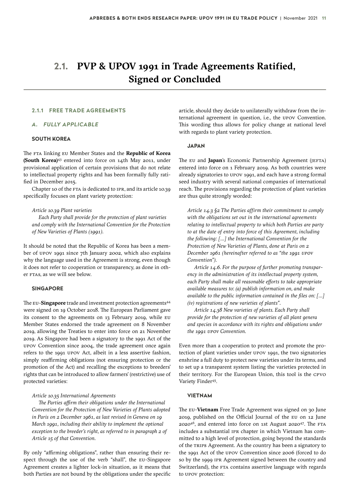### <span id="page-10-0"></span>**2.1. PVP & UPOV 1991 in Trade Agreements Ratified, Signed or Concluded**

#### **2.1.1 FREE TRADE AGREEMENTS**

#### *A. FULLY APPLICABLE*

#### **SOUTH KOREA**

The FTA linking EU Member States and the **Republic of Korea (South Korea)**[43](#page-32-0) entered into force on 14th May 2011, under provisional application of certain provisions that do not relate to intellectual property rights and has been formally fully ratified in December 2015.

Chapter 10 of the FTA is dedicated to IPR, and its article 10.39 specifically focuses on plant variety protection:

#### *Article 10.39 Plant varieties*

*Each Party shall provide for the protection of plant varieties and comply with the International Convention for the Protection of New Varieties of Plants (1991).*

It should be noted that the Republic of Korea has been a member of UPOV 1991 since 7th January 2002, which also explains why the language used in the Agreement is strong, even though it does not refer to cooperation or transparency, as done in other FTAs, as we will see below.

#### **SINGAPORE**

The EU-Singapore trade and investment protection agreements<sup>[44](#page-32-0)</sup> were signed on 19 October 2018. The European Parliament gave its consent to the agreements on 13 February 2019, while EU Member States endorsed the trade agreement on 8 November 2019, allowing the Treaties to enter into force on 21 November 2019. As Singapore had been a signatory to the 1991 Act of the UPOV Convention since 2004, the trade agreement once again refers to the 1991 UPOV Act, albeit in a less assertive fashion, simply reaffirming obligations (not ensuring protection or the promotion of the Act) and recalling the exceptions to breeders' rights that can be introduced to allow farmers' (restrictive) use of protected varieties:

#### *Article 10.35 International Agreements*

*The Parties affirm their obligations under the International Convention for the Protection of New Varieties of Plants adopted in Paris on 2 December 1961, as last revised in Geneva on 19 March 1991, including their ability to implement the optional exception to the breeder's right, as referred to in paragraph 2 of Article 15 of that Convention.*

By only "affirming obligations", rather than ensuring their respect through the use of the verb "shall", the EU-Singapore Agreement creates a lighter lock-in situation, as it means that both Parties are not bound by the obligations under the specific article, should they decide to unilaterally withdraw from the international agreement in question, i.e., the UPOV Convention. This wording thus allows for policy change at national level with regards to plant variety protection.

#### **JAPAN**

The EU and **Japan**'s Economic Partnership Agreement (JEFTA) entered into force on 1 February 2019. As both countries were already signatories to UPOV 1991, and each have a strong formal seed industry with several national companies of international reach. The provisions regarding the protection of plant varieties are thus quite strongly worded:

*Article 14.3 §2 The Parties affirm their commitment to comply with the obligations set out in the international agreements relating to intellectual property to which both Parties are party to at the date of entry into force of this Agreement, including the following: [...] the International Convention for the Protection of New Varieties of Plants, done at Paris on 2 December 1961 (hereinafter referred to as "the 1991 UPOV Convention").* 

*Article 14.6. For the purpose of further promoting transparency in the administration of its intellectual property system, each Party shall make all reasonable efforts to take appropriate available measures to: (a) publish information on, and make available to the public information contained in the files on: [...] (iv) registrations of new varieties of plants".*

*Article 14.38 New varieties of plants. Each Party shall provide for the protection of new varieties of all plant genera and species in accordance with its rights and obligations under the 1991 UPOV Convention.*

Even more than a cooperation to protect and promote the protection of plant varieties under UPOV 1991, the two signatories enshrine a full duty to protect new varieties under its terms, and to set up a transparent system listing the varieties protected in their territory. For the European Union, this tool is the CPVO Variety Finder<sup>[45](#page-32-0)</sup>.

#### **VIETNAM**

The EU-**Vietnam** Free Trade Agreement was signed on 30 June 2019, published on the Official Journal of the EU on 12 June 2020[46](#page-32-0), and entered into force on 1st August 2020[47.](#page-32-0) The FTA includes a substantial IPR chapter in which Vietnam has committed to a high level of protection, going beyond the standards of the TRIPS Agreement. As the country has been a signatory to the 1991 Act of the UPOV Convention since 2006 (forced to do so by the 1999 IPR Agreement signed between the country and Switzerland), the FTA contains assertive language with regards to UPOV protection: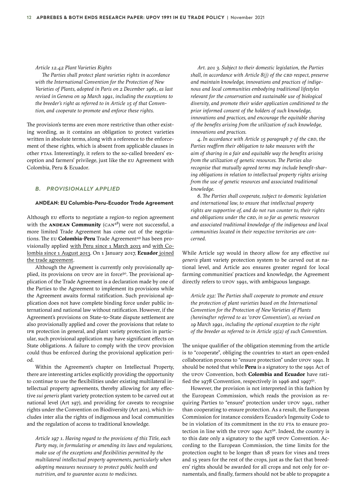*Article 12.42 Plant Varieties Rights* 

*The Parties shall protect plant varieties rights in accordance with the International Convention for the Protection of New Varieties of Plants, adopted in Paris on 2 December 1961, as last revised in Geneva on 19 March 1991, including the exceptions to the breeder's right as referred to in Article 15 of that Convention, and cooperate to promote and enforce these rights.*

The provision's terms are even more restrictive than other existing wording, as it contains an obligation to protect varieties written in absolute terms, along with a reference to the enforcement of these rights, which is absent from applicable clauses in other FTAs. Interestingly, it refers to the so-called breeders' exception and farmers' privilege, just like the EU Agreement with Colombia, Peru & Ecuador.

#### *B. PROVISIONALLY APPLIED*

#### **ANDEAN: EU Columbia-Peru-Ecuador Trade Agreement**

Although EU efforts to negotiate a region-to region agreement with the **ANDEAN Community** (CAN[48](#page-32-0)) were not successful, a more limited Trade Agreement has come out of the negotiations. The EU **Colombia-Peru** Trade Agreement<sup>49</sup> has been provisionally applied with Peru since 1 March 2013 and with Colombia since 1 August 2013. On 1 January 2017, **[Ecuador](http://europa.eu/rapid/press-release_IP-16-3615_en.htm)** joined [the trade agreement](http://europa.eu/rapid/press-release_IP-16-3615_en.htm).

Although the Agreement is currently only provisionally ap-plied, its provisions on UPOV are in force<sup>[50](#page-32-0)</sup>. The provisional application of the Trade Agreement is a declaration made by one of the Parties to the Agreement to implement its provisions while the Agreement awaits formal ratification. Such provisional application does not have complete binding force under public international and national law without ratification. However, if the Agreement's provisions on State-to-State dispute settlement are also provisionally applied and cover the provisions that relate to IPR protection in general, and plant variety protection in particular, such provisional application may have significant effects on State obligations. A failure to comply with the UPOV provision could thus be enforced during the provisional application period.

Within the Agreement's chapter on Intellectual Property, there are interesting articles explicitly providing the opportunity to continue to use the flexibilities under existing multilateral intellectual property agreements, thereby allowing for any effective *sui generis* plant variety protection system to be carved out at national level (Art 197), and providing for caveats to recognise rights under the Convention on Biodiversity (Art 201), which includes inter alia the rights of indigenous and local communities and the regulation of access to traditional knowledge.

*Article 197 1. Having regard to the provisions of this Title, each Party may, in formulating or amending its laws and regulations, make use of the exceptions and flexibilities permitted by the multilateral intellectual property agreements, particularly when adopting measures necessary to protect public health and nutrition, and to guarantee access to medicines.*

*Art. 201 3. Subject to their domestic legislation, the Parties shall, in accordance with Article 8(j) of the CBD respect, preserve and maintain knowledge, innovations and practices of indigenous and local communities embodying traditional lifestyles relevant for the conservation and sustainable use of biological diversity, and promote their wider application conditioned to the prior informed consent of the holders of such knowledge, innovations and practices, and encourage the equitable sharing of the benefits arising from the utilization of such knowledge, innovations and practices.* 

*4. In accordance with Article 15 paragraph 7 of the CBD, the Parties reaffirm their obligation to take measures with the aim of sharing in a fair and equitable way the benefits arising from the utilization of genetic resources. The Parties also recognise that mutually agreed terms may include benefit-sharing obligations in relation to intellectual property rights arising from the use of genetic resources and associated traditional knowledge.*

*6. The Parties shall cooperate, subject to domestic legislation and international law, to ensure that intellectual property rights are supportive of, and do not run counter to, their rights and obligations under the CBD, in so far as genetic resources and associated traditional knowledge of the indigenous and local communities located in their respective territories are concerned.*

While Article 197 would in theory allow for any effective *sui generis* plant variety protection system to be carved out at national level, and Article 201 ensures greater regard for local farming communities' practices and knowledge, the Agreement directly refers to UPOV 1991, with ambiguous language.

*Article 232: The Parties shall cooperate to promote and ensure the protection of plant varieties based on the International Convention for the Protection of New Varieties of Plants (hereinafter referred to as 'UPOV Convention'), as revised on 19 March 1991, including the optional exception to the right of the breeder as referred to in Article 15(2) of such Convention.*

The unique qualifier of the obligation stemming from the article is to "cooperate", obliging the countries to start an open-ended collaboration process to "ensure protection" under UPOV 1991. It should be noted that while **Peru** is a signatory to the 1991 Act of the UPOV Convention, both **Colombia and Ecuador** have ratified the 1978 Convention, respectively in 1996 and 1997 $5<sup>1</sup>$ .

However, the provision is not interpreted in this fashion by the European Commission, which reads the provision as requiring Parties to "ensure" protection under UPOV 1991, rather than cooperating to ensure protection. As a result, the European Commission for instance considers Ecuador's Ingenuity Code to be in violation of its commitment in the EU FTA to ensure pro-tection in line with the UPOV 1991 Act<sup>[52](#page-32-0)</sup>. Indeed, the country is to this date only a signatory to the 1978 UPOV Convention. According to the European Commission, the time limits for the protection ought to be longer than 18 years for vines and trees and 15 years for the rest of the crops, just as the fact that breeders' rights should be awarded for all crops and not only for ornamentals, and finally, farmers should not be able to propagate a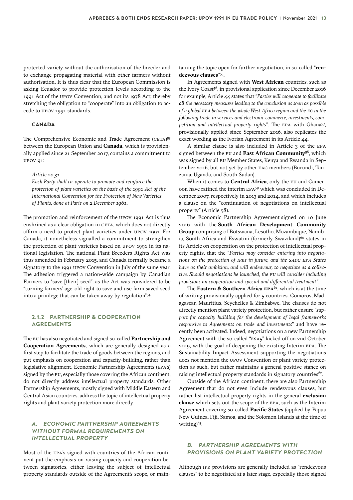protected variety without the authorisation of the breeder and to exchange propagating material with other farmers without authorisation. It is thus clear that the European Commission is asking Ecuador to provide protection levels according to the 1991 Act of the UPOV Convention, and not its 1978 Act; thereby stretching the obligation to "cooperate" into an obligation to accede to UPOV 1991 standards.

#### **CANADA**

The Comprehensive Economic and Trade Agreement (CETA)<sup>[53](#page-32-0)</sup> between the European Union and **Canada**, which is provisionally applied since 21 September 2017, contains a commitment to UPOV 91:

*Article 20.31*

*Each Party shall co-operate to promote and reinforce the protection of plant varieties on the basis of the 1991 Act of the International Convention for the Protection of New Varieties of Plants, done at Paris on 2 December 1961.*

The promotion and reinforcement of the UPOV 1991 Act is thus enshrined as a clear obligation in CETA, which does not directly affirm a need to protect plant varieties under UPOV 1991. For Canada, it nonetheless signalled a commitment to strengthen the protection of plant varieties based on UPOV 1991 in its national legislation. The national Plant Breeders Rights Act was thus amended in February 2015, and Canada formally became a signatory to the 1991 UPOV Convention in July of the same year. The adhesion triggered a nation-wide campaign by Canadian Farmers to "save [their] seed", as the Act was considered to be "turning farmers' age-old right to save and use farm saved seed into a privilege that can be taken away by regulation"[54](#page-32-0).

#### **2.1.2 PARTNERSHIP & COOPERATION AGREEMENTS**

The EU has also negotiated and signed so-called **Partnership and Cooperation Agreements**, which are generally designed as a first step to facilitate the trade of goods between the regions, and put emphasis on cooperation and capacity-building, rather than legislative alignment. Economic Partnership Agreements (EPA's) signed by the EU, especially those covering the African continent, do not directly address intellectual property standards. Other Partnership Agreements, mostly signed with Middle Eastern and Central Asian countries, address the topic of intellectual property rights and plant variety protection more directly.

#### *A. ECONOMIC PARTNERSHIP AGREEMENTS WITHOUT FORMAL REQUIREMENTS ON INTELLECTUAL PROPERTY*

Most of the EPA's signed with countries of the African continent put the emphasis on raising capacity and cooperation between signatories, either leaving the subject of intellectual property standards outside of the Agreement's scope, or maintaining the topic open for further negotiation, in so-called "**rendezvous clauses**"[55.](#page-32-0)

In Agreements signed with **West African** countries, such as the Ivory Coast<sup>56</sup>, in provisional application since December 2016 for example, Article 44 states that "*Parties will cooperate to facilitate all the necessary measures leading to the conclusion as soon as possible of a global EPA between the whole West Africa region and the EC in the following trade in services and electronic commerce, investments, competition and intellectual property rights".* The EPA with Ghan[a57](#page-32-0), provisionally applied since September 2016, also replicates the exact wording as the Ivorian Agreement in its Article 44.

A similar clause is also included in Article 3 of the EPA signed between the EU and **East African Community**[58](#page-32-0), which was signed by all EU Member States, Kenya and Rwanda in September 2016, but not yet by other EAC members (Burundi, Tanzania, Uganda, and South Sudan).

When it comes to **Central Africa**, only the EU and Cameroon have ratified the interim EPA[59](#page-32-0) which was concluded in December 2007, respectively in 2013 and 2014, and which includes a clause on the "continuation of negotiations on intellectual property" (Article 58).

The Economic Partnership Agreement signed on 10 June 2016 with the **South African Development Community Group** comprising of Botswana, Lesotho, Mozambique, Namibia, South Africa and Eswatini (formerly Swaziland)<sup>60</sup> states in its Article on cooperation on the protection of intellectual property rights, that the "*Parties may consider entering into negotiations on the protection of IPRs in future, and the SADC EPA States have as their ambition, and will endeavour, to negotiate as a collective. Should negotiations be launched, the EU will consider including provisions on cooperation and special and differential treatment".* 

The **Eastern & Southern Africa EPA**<sup>61</sup>, which is at the time of writing provisionally applied for 5 countries: Comoros, Madagascar, Mauritius, Seychelles & Zimbabwe. The clauses do not directly mention plant variety protection, but rather ensure "*support for capacity building for the development of legal frameworks responsive to Agreements on trade and investments*" and have recently been activated. Indeed, negotiations on a new Partnership Agreement with the so-called "ESA5" kicked off on 2nd October 2019, with the goal of deepening the existing Interim EPA. The Sustainability Impact Assessment supporting the negotiations does not mention the UPOV Convention or plant variety protection as such, but rather maintains a general positive stance on raising intellectual property standards in signatory countries<sup>[62](#page-32-0)</sup>.

Outside of the African continent, there are also Partnership Agreement that do not even include rendezvous clauses, but rather list intellectual property rights in the general **exclusion clause** which sets out the scope of the EPA, such as the Interim Agreement covering so-called **Pacific States** (applied by Papua New Guinea, Fiji, Samoa, and the Solomon Islands at the time of writing) $63$ .

#### *B. PARTNERSHIP AGREEMENTS WITH PROVISIONS ON PLANT VARIETY PROTECTION*

Although IPR provisions are generally included as "rendezvous clauses" to be negotiated at a later stage, especially those signed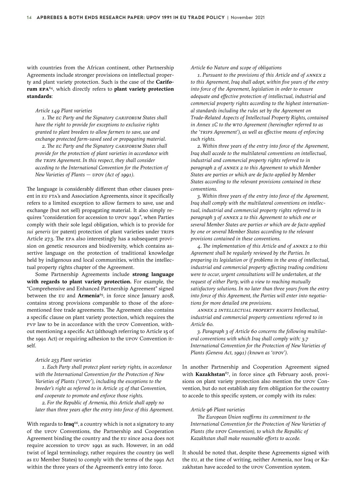with countries from the African continent, other Partnership Agreements include stronger provisions on intellectual property and plant variety protection. Such is the case of the **Cariforum EPA**[64](#page-32-0), which directly refers to **plant variety protection standards**:

#### *Article 149 Plant varieties*

*1. The EC Party and the Signatory CARIFORUM States shall have the right to provide for exceptions to exclusive rights granted to plant breeders to allow farmers to save, use and exchange protected farm-saved seed or propagating material. 2. The EC Party and the Signatory CARIFORUM States shall provide for the protection of plant varieties in accordance with the TRIPS Agreement. In this respect, they shall consider acceding to the International Convention for the Protection of New Varieties of Plants — UPOV (Act of 1991).*

The language is considerably different than other clauses present in EU FTA's and Association Agreements, since it specifically refers to a limited exception to allow farmers to save, use and exchange (but not sell) propagating material. It also simply requires "consideration for accession to UPOV 1991", when Parties comply with their sole legal obligation, which is to provide for *sui generis* (or patent) protection of plant varieties under TRIPS Article 27.3. The EPA also interestingly has a subsequent provision on genetic resources and biodiversity, which contains assertive language on the protection of traditional knowledge held by indigenous and local communities, within the intellectual property rights chapter of the Agreement.

Some Partnership Agreements include **strong language with regards to plant variety protection.** For example, the "Comprehensive and Enhanced Partnership Agreement" signed between the EU and **Armenia**<sup>[65](#page-33-0)</sup>, in force since January 2018, contains strong provisions comparable to those of the aforementioned free trade agreements. The Agreement also contains a specific clause on plant variety protection, which requires the PVP law to be in accordance with the UPOV Convention, without mentioning a specific Act (although referring to Article 15 of the 1991 Act) or requiring adhesion to the UPOV Convention itself.

#### *Article 253 Plant varieties*

*1. Each Party shall protect plant variety rights, in accordance with the International Convention for the Protection of New Varieties of Plants ('UPOV'), including the exceptions to the breeder's right as referred to in Article 15 of that Convention, and cooperate to promote and enforce those rights.*

*2. For the Republic of Armenia, this Article shall apply no later than three years after the entry into force of this Agreement.*

With regards to **Iraq**[66,](#page-33-0) a country which is not a signatory to any of the UPOV Conventions, the Partnership and Cooperation Agreement binding the country and the EU since 2012 does not require accession to UPOV 1991 as such. However, in an odd twist of legal terminology, rather requires the country (as well as EU Member States) to comply with the terms of the 1991 Act within the three years of the Agreement's entry into force.

*Article 60 Nature and scope of obligations* 

*1. Pursuant to the provisions of this Article and of ANNEX 2 to this Agreement, Iraq shall adopt, within five years of the entry into force of the Agreement, legislation in order to ensure adequate and effective protection of intellectual, industrial and commercial property rights according to the highest international standards including the rules set by the Agreement on Trade-Related Aspects of Intellectual Property Rights, contained in Annex 1C to the WTO Agreement (hereinafter referred to as the 'TRIPS Agreement'), as well as effective means of enforcing such rights.* 

*2. Within three years of the entry into force of the Agreement, Iraq shall accede to the multilateral conventions on intellectual, industrial and commercial property rights referred to in paragraph 2 of ANNEX 2 to this Agreement to which Member States are parties or which are de facto applied by Member States according to the relevant provisions contained in these conventions.* 

*3. Within three years of the entry into force of the Agreement, Iraq shall comply with the multilateral conventions on intellectual, industrial and commercial property rights referred to in paragraph 3 of ANNEX 2 to this Agreement to which one or several Member States are parties or which are de facto applied by one or several Member States according to the relevant provisions contained in these conventions.* 

*4. The implementation of this Article and of ANNEX 2 to this Agreement shall be regularly reviewed by the Parties. In preparing its legislation or if problems in the area of intellectual, industrial and commercial property affecting trading conditions were to occur, urgent consultations will be undertaken, at the request of either Party, with a view to reaching mutually satisfactory solutions. In no later than three years from the entry into force of this Agreement, the Parties will enter into negotiations for more detailed IPR provisions.*

*ANNEX 2 INTELLECTUAL PROPERTY RIGHTS Intellectual, industrial and commercial property conventions referred to in Article 60.*

*3. Paragraph 3 of Article 60 concerns the following multilateral conventions with which Iraq shall comply with: 3.7 International Convention for the Protection of New Varieties of Plants (Geneva Act, 1991) (known as 'UPOV').*

In another Partnership and Cooperation Agreement signed with Kazakhstan<sup>[67](#page-33-0)</sup>, in force since 4th February 2016, provisions on plant variety protection also mention the UPOV Convention, but do not establish any firm obligation for the country to accede to this specific system, or comply with its rules:

#### *Article 96 Plant varieties*

*The European Union reaffirms its commitment to the International Convention for the Protection of New Varieties of Plants (the UPOV Convention), to which the Republic of Kazakhstan shall make reasonable efforts to accede.*

It should be noted that, despite these Agreements signed with the EU, at the time of writing, neither Armenia, nor Iraq or Kazakhstan have acceded to the UPOV Convention system.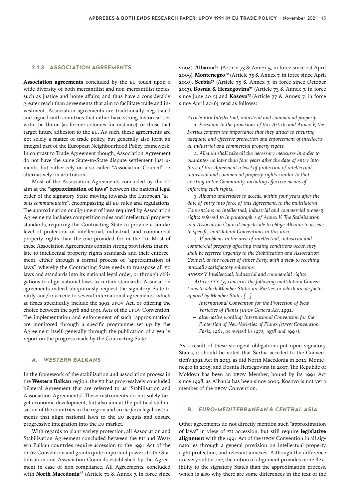#### **2.1.3 ASSOCIATION AGREEMENTS**

**Association agreements** concluded by the EU touch upon a wide diversity of both mercantilist and non-mercantilist topics, such as justice and home affairs, and thus have a considerably greater reach than agreements that aim to facilitate trade and investment. Association agreements are traditionally negotiated and signed with countries that either have strong historical ties with the Union (as former colonies for instance), or those that target future adhesion to the EU. As such, these agreements are not solely a matter of trade policy, but generally also form an integral part of the European Neighbourhood Policy framework. In contrast to Trade Agreement though, Association Agreement do not have the same State-to-State dispute settlement instruments, but rather rely on a so-called "Association Council", or alternatively on arbitration.

Most of the Association Agreements concluded by the EU aim at the **"approximation of laws"** between the national legal order of the signatory State moving towards the European "*acquis communautaire*", encompassing all EU rules and regulations. The approximation or alignment of laws required by Association Agreements includes competition rules and intellectual property standards, requiring the Contracting State to provide a similar level of protection of intellectual, industrial, and commercial property rights than the one provided for in the EU. Most of these Association Agreements contain strong provisions that relate to intellectual property rights standards and their enforcement, either through a formal process of "approximation of laws", whereby the Contracting State needs to transpose all EU laws and standards into its national legal order, or through obligations to align national laws to certain standards. Association agreements indeed ubiquitously request the signatory State to ratify and/or accede to several international agreements, which at times specifically include the 1991 UPOV Act, or offering the choice between the 1978 and 1991 Acts of the UPOV Convention. The implementation and enforcement of such "approximation" are monitored through a specific programme set up by the Agreement itself, generally through the publication of a yearly report on the progress made by the Contracting State.

#### **WESTERN BALKANS**

In the framework of the stabilisation and association process in the **Western Balkan** region, the EU has progressively concluded bilateral Agreement that are referred to as "Stabilisation and Association Agreements". These instruments do not solely target economic development, but also aim at the political stabilisation of the countries in the region and are *de facto* legal instruments that align national laws to the EU acquis and ensure progressive integration into the EU market.

With regards to plant variety protection, all Association and Stabilisation Agreement concluded between the EU and Western Balkan countries require accession to the 1991 Act of the UPOV Convention and grants quite important powers to the Stabilisation and Association Councils established by the Agreement in case of non-compliance. All Agreements, concluded with **North Macedonia**[68](#page-33-0) (Article 71 & Annex 7, in force since

2004), **Albania**[69,](#page-33-0) (Article 73 & Annex 5, in force since 1st April 2009), **Montenegro**[70](#page-33-0) (Article 75 & Annex 7, in force since April 2010), **Serbia**[71](#page-33-0) (Article 75 & Annex 7, in force since October 2013), **Bosnia & Herzegovina**[72](#page-33-0) (Article 73 & Annex 7, in force since June 2015) and **Kosovo**[73](#page-33-0) (Article 77 & Annex 7, in force since April 2016), read as follows:

#### *Article XXX Intellectual, industrial and commercial property*

*1. Pursuant to the provisions of this Article and Annex V, the Parties confirm the importance that they attach to ensuring adequate and effective protection and enforcement of intellectual, industrial and commercial property rights.*

*2. Albania shall take all the necessary measures in order to guarantee no later than four years after the date of entry into force of this Agreement a level of protection of intellectual, industrial and commercial property rights similar to that existing in the Community, including effective means of enforcing such rights.*

*3. Albania undertakes to accede, within four years after the date of entry into force of this Agreement, to the multilateral Conventions on intellectual, industrial and commercial property rights referred to in paragraph 1 of Annex V. The Stabilisation and Association Council may decide to oblige Albania to accede to specific multilateral Conventions in this area.*

*4. If problems in the area of intellectual, industrial and commercial property affecting trading conditions occur, they shall be referred urgently to the Stabilisation and Association Council, at the request of either Party, with a view to reaching mutually satisfactory solutions.*

*ANNEX V Intellectual, industrial and commercial rights*

*Article XXX (3) concerns the following multilateral Conventions to which Member States are Parties, or which are de facto applied by Member States [...]:*

- *– International Convention for the Protection of New Varieties of Plants (UPOV Geneva Act, 1991)*
- *– alternative wording: International Convention for the Protection of New Varieties of Plants (UPOV Convention, Paris, 1961, as revised in 1972, 1978 and 1991).*

As a result of these stringent obligations put upon signatory States, it should be noted that Serbia acceded to the Convention's 1991 Act in 2013, as did North Macedonia in 2011, Montenegro in 2015, and Bosnia Herzegovina in 2017. The Republic of Moldova has been an UPOV Member, bound by its 1991 Act since 1998, as Albania has been since 2005. Kosovo is not yet a member of the UPOV Convention.

#### *B. EURO-MEDITERRANEAN & CENTRAL ASIA*

Other agreements do not directly mention such "approximation of laws" in view of EU accession, but still require **legislative alignment** with the 1991 Act of the UPOV Convention in all signatories through a general provision on intellectual property right protection, and relevant annexes. Although the difference is a very subtle one, the notion of alignment provides more flexibility to the signatory States than the approximation process, which is also why there are some differences in the text of the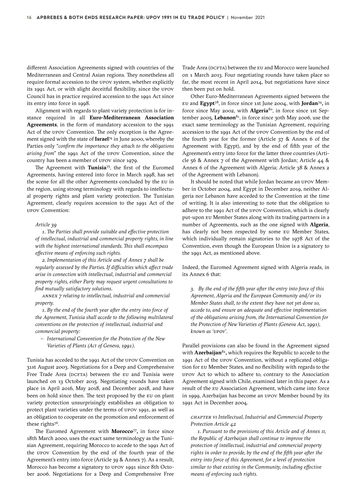different Association Agreements signed with countries of the Mediterranean and Central Asian regions. They nonetheless all require formal accession to the UPOV system, whether explicitly its 1991 Act, or with slight deceitful flexibility, since the UPOV Council has in practice required accession to the 1991 Act since its entry into force in 1998.

Alignment with regards to plant variety protection is for instance required in all **Euro-Mediterranean Association Agreements**, in the form of mandatory accession to the 1991 Act of the UPOV Convention. The only exception is the Agreement signed with the state of **Israel**[74](#page-33-0) in June 2000, whereby the Parties only "*confirm the importance they attach to the obligations arising from*" the 1991 Act of the UPOV Convention, since the country has been a member of UPOV since 1979.

The Agreement with **Tunisia**[75,](#page-33-0) the first of the Euromed Agreements, having entered into force in March 1998, has set the scene for all the other Agreements concluded by the EU in the region, using strong terminology with regards to intellectual property rights and plant variety protection. The Tunisian Agreement, clearly requires accession to the 1991 Act of the UPOV Convention:

#### *Article 39*

*1. The Parties shall provide suitable and effective protection of intellectual, industrial and commercial property rights, in line with the highest international standards. This shall encompass effective means of enforcing such rights.* 

*2. Implementation of this Article and of Annex 7 shall be regularly assessed by the Parties. If difficulties which affect trade arise in connection with intellectual, industrial and commercial property rights, either Party may request urgent consultations to find mutually satisfactory solutions.*

*ANNEX 7 relating to intellectual, industrial and commercial property.* 

*1. By the end of the fourth year after the entry into force of the Agreement, Tunisia shall accede to the following multilateral conventions on the protection of intellectual, industrial and commercial property:* 

*– International Convention for the Protection of the New Varieties of Plants (Act of Geneva, 1991).*

Tunisia has acceded to the 1991 Act of the UPOV Convention on 31st August 2003. Negotiations for a Deep and Comprehensive Free Trade Area (DCFTA) between the EU and Tunisia were launched on 13 October 2015. Negotiating rounds have taken place in April 2016, May 2018, and December 2018, and have been on hold since then. The text proposed by the EU on plant variety protection unsurprisingly establishes an obligation to protect plant varieties under the terms of UPOV 1991, as well as an obligation to cooperate on the promotion and enforcement of these rights<sup>[76](#page-33-0)</sup>.

The Euromed Agreement with **Morocco**[77](#page-33-0)**,** in force since 18th March 2000, uses the exact same terminology as the Tunisian Agreement, requiring Morocco to accede to the 1991 Act of the UPOV Convention by the end of the fourth year of the Agreement's entry into force (Article 39 & Annex 7). As a result, Morocco has become a signatory to UPOV 1991 since 8th October 2006. Negotiations for a Deep and Comprehensive Free Trade Area (DCFTA) between the EU and Morocco were launched on 1 March 2013. Four negotiating rounds have taken place so far, the most recent in April 2014, but negotiations have since then been put on hold.

Other Euro-Mediterranean Agreements signed between the EU and **Egypt**[78,](#page-33-0) in force since 1st June 2004, with **Jordan**[79](#page-33-0)**,** in force since May 2002, with **Algeria**[80,](#page-33-0) in force since 1st September 2005, Lebanon<sup>81</sup>, in force since 30th May 2006, use the exact same terminology as the Tunisian Agreement, requiring accession to the 1991 Act of the UPOV Convention by the end of the fourth year for the former (Article 37 & Annex 6 of the Agreement with Egypt), and by the end of fifth year of the Agreement's entry into force for the latter three countries (Article 56 & Annex 7 of the Agreement with Jordan; Article 44 & Annex 6 of the Agreement with Algeria; Article 38 & Annex 2 of the Agreement with Lebanon).

It should be noted that while Jordan became an UPOV Member in October 2004, and Egypt in December 2019, neither Algeria nor Lebanon have acceded to the Convention at the time of writing. It is also interesting to note that the obligation to adhere to the 1991 Act of the UPOV Convention, which is clearly put-upon EU Member States along with its trading partners in a number of Agreements, such as the one signed with **Algeria**, has clearly not been respected by some EU Member States, which individually remain signatories to the 1978 Act of the Convention, even though the European Union is a signatory to the 1991 Act, as mentioned above.

Indeed, the Euromed Agreement signed with Algeria reads, in its Annex 6 that:

*3. By the end of the fifth year after the entry into force of this Agreement, Algeria and the European Community and/or its Member States shall, to the extent they have not yet done so, accede to, and ensure an adequate and effective implementation of the obligations arising from, the International Convention for the Protection of New Varieties of Plants (Geneva Act, 1991), known as 'UPOV'.* 

Parallel provisions can also be found in the Agreement signed with **Azerbaijan**[82](#page-33-0)**,** which requires the Republic to accede to the 1991 Act of the UPOV Convention, without a replicated obligation for EU Member States, and no flexibility with regards to the UPOV Act to which to adhere to, contrary to the Association Agreement signed with Chile, examined later in this paper. As a result of the EU Association Agreement, which came into force in 1999, Azerbaijan has become an UPOV Member bound by its 1991 Act in December 2004.

#### *CHAPTER VI Intellectual, Industrial and Commercial Property Protection Article 42*

*1. Pursuant to the provisions of this Article and of Annex II, the Republic of Azerbaijan shall continue to improve the protection of intellectual, industrial and commercial property rights in order to provide, by the end of the fifth year after the entry into force of this Agreement, for a level of protection similar to that existing in the Community, including effective means of enforcing such rights.*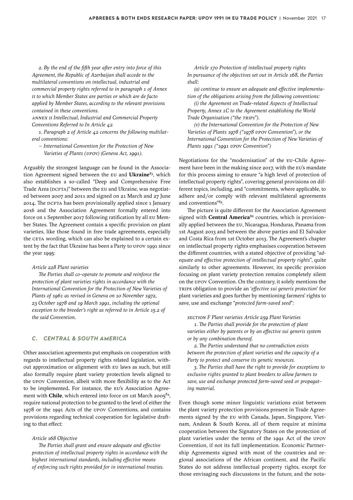*2. By the end of the fifth year after entry into force of this Agreement, the Republic of Azerbaijan shall accede to the multilateral conventions on intellectual, industrial and commercial property rights referred to in paragraph 1 of Annex II to which Member States are parties or which are de facto applied by Member States, according to the relevant provisions contained in these conventions.*

*ANNEX II Intellectual, Industrial and Commercial Property Conventions Referred to In Article 42*

*1. Paragraph 2 of Article 42 concerns the following multilateral conventions:*

*– International Convention for the Protection of New Varieties of Plants (UPOV) (Geneva Act, 1991).*

Arguably the strongest language can be found in the Association Agreement signed between the EU and **Ukraine**[83](#page-33-0), which also establishes a so-called "Deep and Comprehensive Free Trade Area (DCFTA)" between the EU and Ukraine, was negotiated between 2007 and 2011 and signed on 21 March and 27 June 2014. The DCFTA has been provisionally applied since 1 January 2016 and the Association Agreement formally entered into force on 1 September 2017 following ratification by all EU Member States. The Agreement contain a specific provision on plant varieties, like those found in free trade agreements, especially the CETA wording, which can also be explained to a certain extent by the fact that Ukraine has been a Party to UPOV 1991 since the year 1995:

#### *Article 228 Plant varieties*

*The Parties shall co-operate to promote and reinforce the protection of plant varieties rights in accordance with the International Convention for the Protection of New Varieties of Plants of 1961 as revised in Geneva on 10 November 1972, 23 October 1978 and 19 March 1991, including the optional exception to the breeder's right as referred to in Article 15.2 of the said Convention.*

#### *C. CENTRAL & SOUTH AMERICA*

Other association agreements put emphasis on cooperation with regards to intellectual property rights related legislation, without approximation or alignment with EU laws as such, but still also formally require plant variety protection levels aligned to the UPOV Convention, albeit with more flexibility as to the Act to be implemented**.** For instance, the EU's Association Agreement with **Chile**, which entered into force on 1st March 2005<sup>84</sup>, require national protection to be granted to the level of either the 1978 or the 1991 Acts of the UPOV Conventions, and contains provisions regarding technical cooperation for legislative drafting to that effect:

#### *Article 168 Objective*

*The Parties shall grant and ensure adequate and effective protection of intellectual property rights in accordance with the highest international standards, including effective means of enforcing such rights provided for in international treaties.*

*Article 170 Protection of intellectual property rights In pursuance of the objectives set out in Article 168, the Parties shall:*

*(a) continue to ensure an adequate and effective implementation of the obligations arising from the following conventions:*

*(i) the Agreement on Trade-related Aspects of Intellectual Property, Annex 1C to the Agreement establishing the World Trade Organisation ("the TRIPs").*

*(v) the International Convention for the Protection of New Varieties of Plants 1978 ("1978 UPOV Convention"), or the International Convention for the Protection of New Varieties of Plants 1991 ("1991 UPOV Convention")*

Negotiations for the "modernisation" of the EU-Chile Agreement have been in the making since 2017, with the EU's mandate for this process aiming to ensure "a high level of protection of intellectual property rights", covering general provisions on different topics, including, and "commitments, where applicable, to adhere and/or comply with relevant multilateral agreements and conventions"[85](#page-33-0).

The picture is quite different for the Association Agreement signed with **Central America**<sup>[86](#page-33-0)</sup> countries, which is provisionally applied between the EU, Nicaragua, Honduras, Panama from 1st August 2013 and between the above parties and El Salvador and Costa Rica from 1st October 2013. The Agreement's chapter on intellectual property rights emphasises cooperation between the different countries, with a stated objective of providing "*adequate and effective protection of intellectual property rights*", quite similarly to other agreements. However, its specific provision focusing on plant variety protection remains completely silent on the UPOV Convention. On the contrary, it solely mentions the TRIPS obligation to provide an '*effective sui generis protection*' for plant varieties and goes further by mentioning farmers' rights to save, use and exchange "*protected farm-saved seed*":

*SECTION F Plant varieties Article 259 Plant Varieties*

*1. The Parties shall provide for the protection of plant varieties either by patents or by an effective sui generis system or by any combination thereof.*

*2. The Parties understand that no contradiction exists between the protection of plant varieties and the capacity of a Party to protect and conserve its genetic resources.*

*3. The Parties shall have the right to provide for exceptions to exclusive rights granted to plant breeders to allow farmers to save, use and exchange protected farm-saved seed or propagating material.*

Even though some minor linguistic variations exist between the plant variety protection provisions present in Trade Agreements signed by the EU with Canada, Japan, Singapore, Vietnam, Andean & South Korea, all of them require at minima cooperation between the Signatory States on the protection of plant varieties under the terms of the 1991 Act of the UPOV Convention, if not its full implementation. Economic Partnership Agreements signed with most of the countries and regional associations of the African continent, and the Pacific States do not address intellectual property rights, except for those envisaging such discussions in the future, and the nota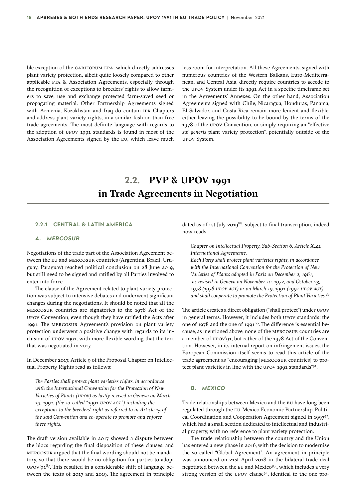<span id="page-17-0"></span>ble exception of the CARIFORUM EPA, which directly addresses plant variety protection, albeit quite loosely compared to other applicable FTA & Association Agreements, especially through the recognition of exceptions to breeders' rights to allow farmers to save, use and exchange protected farm-saved seed or propagating material. Other Partnership Agreements signed with Armenia, Kazakhstan and Iraq do contain IPR Chapters and address plant variety rights, in a similar fashion than free trade agreements. The most definite language with regards to the adoption of UPOV 1991 standards is found in most of the Association Agreements signed by the EU, which leave much less room for interpretation. All these Agreements, signed with numerous countries of the Western Balkans, Euro-Mediterranean, and Central Asia, directly require countries to accede to the UPOV System under its 1991 Act in a specific timeframe set in the Agreements' Annexes. On the other hand, Association Agreements signed with Chile, Nicaragua, Honduras, Panama, El Salvador, and Costa Rica remain more lenient and flexible, either leaving the possibility to be bound by the terms of the 1978 of the UPOV Convention, or simply requiring an "effective *sui generis* plant variety protection", potentially outside of the UPOV System.

### **2.2. PVP & UPOV 1991 in Trade Agreements in Negotiation**

#### **2.2.1 CENTRAL & LATIN AMERICA**

#### *A. MERCOSUR*

Negotiations of the trade part of the Association Agreement between the EU and MERCOSUR countries (Argentina, Brazil, Uruguay, Paraguay) reached political conclusion on 28 June 2019, but still need to be signed and ratified by all Parties involved to enter into force.

The clause of the Agreement related to plant variety protection was subject to intensive debates and underwent significant changes during the negotiations. It should be noted that all the MERCOSUR countries are signatories to the 1978 Act of the UPOV Convention, even though they have ratified the Acts after 1991. The MERCOSUR Agreement's provision on plant variety protection underwent a positive change with regards to its inclusion of UPOV 1991, with more flexible wording that the text that was negotiated in 2017.

In December 2017, Article 9 of the Proposal Chapter on Intellectual Property Rights read as follows:

*The Parties shall protect plant varieties rights, in accordance with the International Convention for the Protection of New Varieties of Plants (UPOV) as lastly revised in Geneva on March 19, 1991, (the so-called "1991 UPOV ACT") including the exceptions to the breeders' right as referred to in Article 15 of the said Convention and co-operate to promote and enforce these rights.*

The draft version available in 2017 showed a dispute between the blocs regarding the final disposition of these clauses, and MERCOSUR argued that the final wording should not be mandatory, so that there would be no obligation for parties to adopt UPOV'91 $87$ . This resulted in a considerable shift of language between the texts of 2017 and 2019. The agreement in principle dated as of 1st July 2019 $^{88}$ , subject to final transcription, indeed now reads:

*Chapter on Intellectual Property, Sub-Section 6, Article X.41 International Agreements.*

*Each Party shall protect plant varieties rights, in accordance with the International Convention for the Protection of New Varieties of Plants adopted in Paris on December 2, 1961, as revised in Geneva on November 10, 1972, and October 23, 1978 (1978 UPOV ACT) or on March 19, 1991 (1991 UPOV ACT) and shall cooperate to promote the Protection of Plant Varieties.[89](#page-33-0)*

The article creates a direct obligation ("shall protect") under UPOV in general terms. However, it includes both UPOV standards: the one of 1978 and the one of 1991<sup>90</sup>. The difference is essential because, as mentioned above, none of the MERCOSUR countries are a member of UPOV'91, but rather of the 1978 Act of the Convention. However, in its internal report on infringement issues, the European Commission itself seems to read this article of the trade agreement as "encouraging [MERCOSUR countries] to pro-tect plant varieties in line with the UPOV 19[91](#page-33-0) standards"91.

#### *B. MEXICO*

Trade relationships between Mexico and the EU have long been regulated through the EU-Mexico Economic Partnership, Politi-cal Coordination and Cooperation Agreement signed in 199[792,](#page-33-0) which had a small section dedicated to intellectual and industrial property, with no reference to plant variety protection.

The trade relationship between the country and the Union has entered a new phase in 2016, with the decision to modernise the so-called "Global Agreement". An agreement in principle was announced on 21st April 2018 in the bilateral trade deal negotiated between the EU and Mexico<sup>93</sup>,, which includes a very strong version of the UPOV clause<sup>94</sup>, identical to the one pro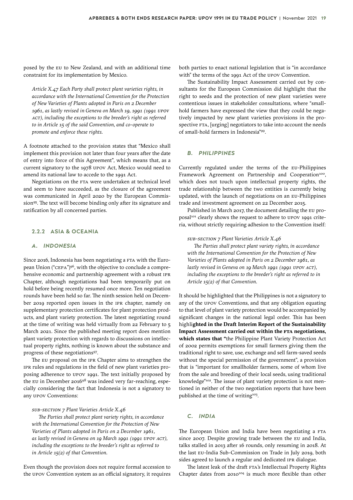<span id="page-18-0"></span>posed by the EU to New Zealand, and with an additional time constraint for its implementation by Mexico.

*Article X.47 Each Party shall protect plant varieties rights, in accordance with the International Convention for the Protection of New Varieties of Plants adopted in Paris on 2 December 1961, as lastly revised in Geneva on March 19, 1991 (1991 UPOV ACT), including the exceptions to the breeder's right as referred to in Article 15 of the said Convention, and co-operate to promote and enforce these rights.*

A footnote attached to the provision states that "Mexico shall implement this provision not later than four years after the date of entry into force of this Agreement", which means that, as a current signatory to the 1978 UPOV Act, Mexico would need to amend its national law to accede to the 1991 Act.

Negotiations on the FTA were undertaken at technical level and seem to have succeeded, as the closure of the agreement was communicated in April 2020 by the European Commission<sup>95</sup>. The text will become binding only after its signature and ratification by all concerned parties.

#### **2.2.2 ASIA & OCEANIA**

#### *A. INDONESIA*

Since 2016, Indonesia has been negotiating a FTA with the European Union ("CEPA")[96](#page-34-0), with the objective to conclude a comprehensive economic and partnership agreement with a robust IPR Chapter, although negotiations had been temporarily put on hold before being recently resumed once more. Ten negotiation rounds have been held so far. The ninth session held on December 2019 reported open issues in the IPR chapter, namely on supplementary protection certificates for plant protection products, and plant variety protection. The latest negotiating round at the time of writing was held virtually from 22 February to 5 March 2021. Since the published meeting report does mention plant variety protection with regards to discussions on intellectual property rights, nothing is known about the substance and progress of these negotiations[97](#page-34-0).

The EU proposal on the IPR Chapter aims to strengthen the IPR rules and regulations in the field of new plant varieties proposing adherence to UPOV 1991. The text initially proposed by the EU in December 2016 $98$  was indeed very far-reaching, especially considering the fact that Indonesia is not a signatory to any UPOV Conventions:

#### *SUB-SECTION 7 Plant Varieties Article X.46*

*The Parties shall protect plant variety rights, in accordance with the International Convention for the Protection of New Varieties of Plants adopted in Paris on 2 December 1961, as lastly revised in Geneva on 19 March 1991 (1991 UPOV ACT), including the exceptions to the breeder's right as referred to in Article 15(2) of that Convention.*

Even though the provision does not require formal accession to the UPOV Convention system as an official signatory, it requires

both parties to enact national legislation that is "in accordance with" the terms of the 1991 Act of the UPOV Convention.

The Sustainability Impact Assessment carried out by consultants for the European Commission did highlight that the right to seeds and the protection of new plant varieties were contentious issues in stakeholder consultations, where "smallhold farmers have expressed the view that they could be negatively impacted by new plant varieties provisions in the prospective FTA, [urging] negotiators to take into account the needs of small-hold farmers in Indonesia["99](#page-34-0).

#### *B. PHILIPPINES*

Currently regulated under the terms of the EU-Philippines Framework Agreement on Partnership and Cooperation<sup>100</sup>, which does not touch upon intellectual property rights, the trade relationship between the two entities is currently being updated, with the launch of negotiations on an EU-Philippines trade and investment agreement on 22 December 2015.

Published in March 2017, the document detailing the EU proposal<sup>101</sup> clearly shows the request to adhere to UPOV 1991 criteria, without strictly requiring adhesion to the Convention itself:

*SUB-SECTION 7 Plant Varieties Article X.46* 

*The Parties shall protect plant variety rights, in accordance with the International Convention for the Protection of New Varieties of Plants adopted in Paris on 2 December 1961, as lastly revised in Geneva on 19 March 1991 (1991 UPOV ACT), including the exceptions to the breeder's right as referred to in Article 15(2) of that Convention.*

It should be highlighted that the Philippines is not a signatory to any of the UPOV Conventions, and that any obligation equating to that level of plant variety protection would be accompanied by significant changes in the national legal order. This has been highli**ghted in the Draft Interim Report of the Sustainability Impact Assessment carried out within the FTA negotiations, which states that "**the Philippine Plant Variety Protection Act of 2002 permits exemptions for small farmers giving them the traditional right to save, use, exchange and sell farm-saved seeds without the special permission of the government", a provision that is "important for smallholder farmers, some of whom live from the sale and breeding of their local seeds, using traditional knowledge"<sup>[102](#page-34-0)</sup>. The issue of plant variety protection is not mentioned in neither of the two negotiation reports that have been published at the time of writing<sup>103</sup>.

#### *C. INDIA*

The European Union and India have been negotiating a FTA since 2007. Despite growing trade between the EU and India, talks stalled in 2013 after 16 rounds, only resuming in 2018. At the last EU-India Sub-Commission on Trade in July 2019, both sides agreed to launch a regular and dedicated IPR dialogue.

The latest leak of the draft FTA's Intellectual Property Rights Chapter dates from  $2010^{104}$  $2010^{104}$  $2010^{104}$  is much more flexible than other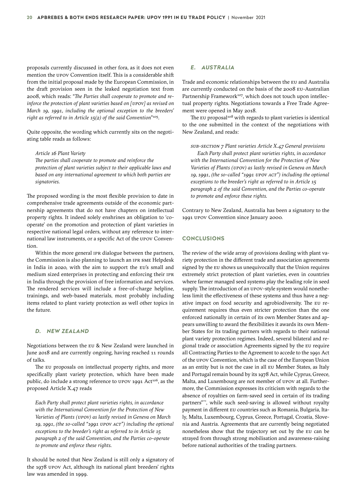proposals currently discussed in other fora, as it does not even mention the UPOV Convention itself. This is a considerable shift from the initial proposal made by the European Commission, in the draft provision seen in the leaked negotiation text from 2008, which reads: "*The Parties shall cooperate to promote and reinforce the protection of plant varieties based on [UPOV] as revised on March 19, 1991, including the optional exception to the breeders' right as referred to in Article 15(2) of the said Convention*"[105](#page-34-0).

Quite opposite, the wording which currently sits on the negotiating table reads as follows:

*Article 16 Plant Variety* 

*The parties shall cooperate to promote and reinforce the protection of plant varieties subject to their applicable laws and based on any international agreement to which both parties are signatories.*

The proposed wording is the most flexible provision to date in comprehensive trade agreements outside of the economic partnership agreements that do not have chapters on intellectual property rights. It indeed solely enshrines an obligation to 'cooperate' on the promotion and protection of plant varieties in respective national legal orders, without any reference to international law instruments, or a specific Act of the UPOV Convention.

Within the more general IPR dialogue between the partners, the Commission is also planning to launch an IPR SME Helpdesk in India in 2020, with the aim to support the EU's small and medium sized enterprises in protecting and enforcing their IPR in India through the provision of free information and services. The rendered services will include a free-of-charge helpline, trainings, and web-based materials, most probably including items related to plant variety protection as well other topics in the future.

#### *D. NEW ZEALAND*

Negotiations between the EU & New Zealand were launched in June 2018 and are currently ongoing, having reached 11 rounds of talks.

The EU proposals on intellectual property rights, and more specifically plant variety protection, which have been made public, do include a strong reference to UPOV 1991 Act<sup>106</sup>, as the proposed Article X.47 reads

*Each Party shall protect plant varieties rights, in accordance with the International Convention for the Protection of New Varieties of Plants (UPOV) as lastly revised in Geneva on March 19, 1991, (the so-called "1991 UPOV ACT") including the optional exceptions to the breeder's right as referred to in Article 15 paragraph 2 of the said Convention, and the Parties co-operate to promote and enforce these rights.*

It should be noted that New Zealand is still only a signatory of the 1978 UPOV Act, although its national plant breeders' rights law was amended in 1999.

#### *E. AUSTRALIA*

Trade and economic relationships between the EU and Australia are currently conducted on the basis of the 2008 EU-Australian Partnership Framework<sup>107</sup>, which does not touch upon intellectual property rights. Negotiations towards a Free Trade Agreement were opened in May 2018.

The EU proposal<sup>[108](#page-34-0)</sup> with regards to plant varieties is identical to the one submitted in the context of the negotiations with New Zealand, and reads:

*SUB-SECTION 7 Plant varieties Article X.47 General provisions Each Party shall protect plant varieties rights, in accordance with the International Convention for the Protection of New Varieties of Plants (UPOV) as lastly revised in Geneva on March 19, 1991, (the so-called "1991 UPOV ACT") including the optional exceptions to the breeder's right as referred to in Article 15 paragraph 2 of the said Convention, and the Parties co-operate to promote and enforce these rights.*

Contrary to New Zealand, Australia has been a signatory to the 1991 UPOV Convention since January 2000.

#### **CONCLUSIONS**

The review of the wide array of provisions dealing with plant variety protection in the different trade and association agreements signed by the EU shows us unequivocally that the Union requires extremely strict protection of plant varieties, even in countries where farmer managed seed systems play the leading role in seed supply. The introduction of an UPOV-style system would nonetheless limit the effectiveness of these systems and thus have a negative impact on food security and agrobiodiversity. The EU requirement requires thus even stricter protection than the one enforced nationally in certain of its own Member States and appears unwilling to award the flexibilities it awards its own Member States for its trading partners with regards to their national plant variety protection regimes. Indeed, several bilateral and regional trade or association Agreements signed by the EU require all Contracting Parties to the Agreement to accede to the 1991 Act of the UPOV Convention, which is the case of the European Union as an entity but is not the case in all EU Member States, as Italy and Portugal remain bound by its 1978 Act, while Cyprus, Greece, Malta, and Luxembourg are not member of UPOV at all. Furthermore, the Commission expresses its criticism with regards to the absence of royalties on farm-saved seed in certain of its trading partners["](#page-34-0)<sup>109</sup>[,](#page-34-0) while such seed-saving is allowed without royalty payment in different EU countries such as Romania, Bulgaria, Italy, Malta, Luxembourg, Cyprus, Greece, Portugal, Croatia, Slovenia and Austria. Agreements that are currently being negotiated nonetheless show that the trajectory set out by the EU can be strayed from through strong mobilisation and awareness-raising before national authorities of the trading partners.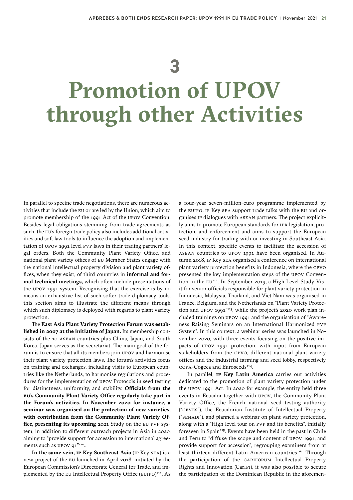## **3**

# <span id="page-20-0"></span>**Promotion of UPOV through other Activities**

In parallel to specific trade negotiations, there are numerous activities that include the EU or are led by the Union, which aim to promote membership of the 1991 Act of the UPOV Convention. Besides legal obligations stemming from trade agreements as such, the EU's foreign trade policy also includes additional activities and soft law tools to influence the adoption and implementation of UPOV 1991 level PVP laws in their trading partners' legal orders. Both the Community Plant Variety Office, and national plant variety offices of EU Member States engage with the national intellectual property division and plant variety offices, when they exist, of third countries in **informal and formal technical meetings,** which often include presentations of the UPOV 1991 system. Recognising that the exercise is by no means an exhaustive list of such softer trade diplomacy tools, this section aims to illustrate the different means through which such diplomacy is deployed with regards to plant variety protection.

The **East Asia Plant Variety Protection Forum was established in 2007 at the initiative of Japan.** Its membership consists of the 10 ASEAN countries plus China, Japan, and South Korea. Japan serves as the secretariat. The main goal of the forum is to ensure that all its members join UPOV and harmonise their plant variety protection laws. The forum's activities focus on training and exchanges, including visits to European countries like the Netherlands, to harmonise regulations and procedures for the implementation of UPOV Protocols in seed testing for distinctness, uniformity, and stability. **Officials from the EU's Community Plant Variety Office regularly take part in the Forum's activities. In November 2020 for instance, a seminar was organised on the protection of new varieties, with contribution from the Community Plant Variety Office, presenting its upcoming** 2021 Study on the EU PVP system, in addition to different outreach projects in Asia in 2020, aiming to "provide support for accession to international agreements such as UPOV 91"[110](#page-34-0)**.**

**In the same vein, IP Key Southeast Asia** (IP Key SEA) is a new project of the EU launched in April 2018, initiated by the European Commission's Directorate General for Trade, and im-plemented by the EU Intellectual Property Office (EUIPO)<sup>[111](#page-34-0)</sup>. As a four-year seven-million-euro programme implemented by the EUIPO, IP Key SEA support trade talks with the EU and organises IP dialogues with ASEAN partners. The project explicitly aims to promote European standards for IPR legislation, protection, and enforcement and aims to support the European seed industry for trading with or investing in Southeast Asia. In this context, specific events to facilitate the accession of ASEAN countries to UPOV 1991 have been organised. In Autumn 2018, IP Key SEA organised a conference on international plant variety protection benefits in Indonesia, where the CPVO presented the key implementation steps of the UPOV Conven-tion in the EU<sup>[112](#page-34-0)</sup>. In September 2019, a High-Level Study Visit for senior officials responsible for plant variety protection in Indonesia, Malaysia, Thailand, and Viet Nam was organised in France, Belgium, and the Netherlands on "Plant Variety Protec-tion and UPOV 1991"<sup>[113](#page-34-0)</sup>, while the project's 2020 work plan included trainings on UPOV 1991 and the organisation of "Awareness Raising Seminars on an International Harmonized PVP System". In this context, a webinar series was launched in November 2020, with three events focusing on the positive impacts of UPOV 1991 protection, with input from European stakeholders from the CPVO, different national plant variety offices and the industrial farming and seed lobby, respectively COPA-Cogeca and Euroseeds<sup>[114](#page-34-0)</sup>.

In parallel, **IP Key Latin America** carries out activities dedicated to the promotion of plant variety protection under the UPOV 1991 Act. In 2020 for example, the entity held three events in Ecuador together with UPOV, the Community Plant Variety Office, the French national seed testing authority ("GEVES"), the Ecuadorian Institute of Intellectual Property ("SENADI"), and planned a webinar on plant variety protection, along with a "High level tour on PVP and its benefits", initially foreseen in Spain<sup>[115](#page-34-0)</sup>. Events have been held in the past in Chile and Peru to "diffuse the scope and content of UPOV 1991, and provide support for accession", regrouping examiners from at least thirteen different Latin American countries<sup>116</sup>. Through the participation of the CARIFORUM Intellectual Property Rights and Innovation (CarIPI), it was also possible to secure the participation of the Dominican Republic in the aforemen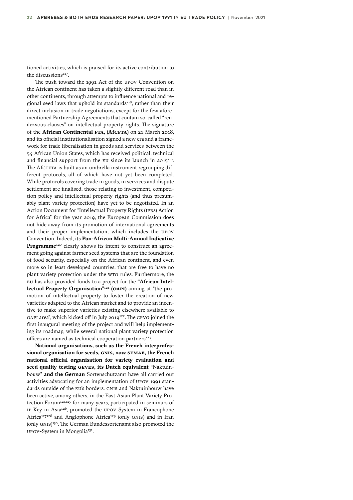tioned activities, which is praised for its active contribution to the discussions<sup>[117](#page-34-0)</sup>.

The push toward the 1991 Act of the UPOV Convention on the African continent has taken a slightly different road than in other continents, through attempts to influence national and regional seed laws that uphold its standards $118$ , rather than their direct inclusion in trade negotiations, except for the few aforementioned Partnership Agreements that contain so-called "rendezvous clauses" on intellectual property rights. The signature of the **African Continental FTA, (AfCFTA)** on 21 March 2018, and its official institutionalisation signed a new era and a framework for trade liberalisation in goods and services between the 54 African Union States, which has received political, technical and financial support from the EU since its launch in  $2015^{119}$  $2015^{119}$  $2015^{119}$ . The AfCTFTA is built as an umbrella instrument regrouping different protocols, all of which have not yet been completed. While protocols covering trade in goods, in services and dispute settlement are finalised, those relating to investment, competition policy and intellectual property rights (and thus presumably plant variety protection) have yet to be negotiated. In an Action Document for "Intellectual Property Rights (IPRs) Action for Africa" for the year 2019, the European Commission does not hide away from its promotion of international agreements and their proper implementation, which includes the UPOV Convention. Indeed, its **Pan-African Multi-Annual Indicative Programme**<sup>[120](#page-34-0)</sup> clearly shows its intent to construct an agreement going against farmer seed systems that are the foundation of food security, especially on the African continent, and even more so in least developed countries, that are free to have no plant variety protection under the WTO rules. Furthermore, the EU has also provided funds to a project for the **"African Intellectual Property Organisation"**[121](#page-34-0) **(OAPI)** aiming at "the promotion of intellectual property to foster the creation of new varieties adapted to the African market and to provide an incentive to make superior varieties existing elsewhere available to OAPI area", which kicked off in July 2019<sup>[122](#page-34-0)</sup>. The CPVO joined the first inaugural meeting of the project and will help implementing its roadmap, while several national plant variety protection offices are named as technical cooperation partners $^{123}$ .

**National organisations, such as the French interprofessional organisation for seeds, GNIS, now SEMAE, the French national official organisation for variety evaluation and seed quality testing GEVES, its Dutch equivalent "**Naktuinbouw" **and the German** Sortenschutzamt have all carried out activities advocating for an implementation of UPOV 1991 standards outside of the EU's borders. GNIS and Naktuinbouw have been active, among others, in the East Asian Plant Variety Pro-tection Forum<sup>[124125](#page-34-0)</sup> for many years, participated in seminars of IP Key in Asia<sup>126</sup>, promoted the UPOV System in Francophone Africa<sup>127128</sup> and Anglophone Africa<sup>[129](#page-34-0)</sup> (only GNIS) and in Iran (only GNIS) [130](#page-34-0). The German Bundessortenamt also promoted the UPOV-System in Mongolia[131](#page-34-0).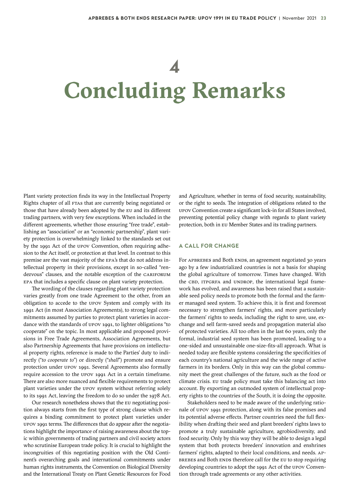## **4**

# **Concluding Remarks**

Plant variety protection finds its way in the Intellectual Property Rights chapter of all FTAs that are currently being negotiated or those that have already been adopted by the EU and its different trading partners, with very few exceptions. When included in the different agreements, whether those ensuring "free trade", establishing an "association" or an "economic partnership", plant variety protection is overwhelmingly linked to the standards set out by the 1991 Act of the UPOV Convention, often requiring adhesion to the Act itself, or protection at that level. In contrast to this premise are the vast majority of the EPA's that do not address intellectual property in their provisions, except in so-called "rendezvous" clauses, and the notable exception of the CARIFORUM EPA that includes a specific clause on plant variety protection.

The wording of the clauses regarding plant variety protection varies greatly from one trade Agreement to the other, from an obligation to accede to the UPOV System and comply with its 1991 Act (in most Association Agreements), to strong legal commitments assumed by parties to protect plant varieties in accordance with the standards of UPOV 1991, to lighter obligations "to cooperate" on the topic. In most applicable and proposed provisions in Free Trade Agreements, Association Agreements, but also Partnership Agreements that have provisions on intellectual property rights, reference is made to the Parties' duty to indirectly ("*to cooperate to*") or directly ("*shall*") promote and ensure protection under UPOV 1991. Several Agreements also formally require accession to the UPOV 1991 Act in a certain timeframe. There are also more nuanced and flexible requirements to protect plant varieties under the UPOV system without referring solely to its 1991 Act, leaving the freedom to do so under the 1978 Act.

Our research nonetheless shows that the EU negotiating position always starts from the first type of strong clause which requires a binding commitment to protect plant varieties under UPOV 1991 terms. The differences that do appear after the negotiations highlight the importance of raising awareness about the topic within governments of trading partners and civil society actors who scrutinise European trade policy. It is crucial to highlight the incongruities of this negotiating position with the Old Continent's overarching goals and international commitments under human rights instruments, the Convention on Biological Diversity and the International Treaty on Plant Genetic Resources for Food

and Agriculture, whether in terms of food security, sustainability, or the right to seeds. The integration of obligations related to the UPOV Convention create a significant lock-in for all States involved, preventing potential policy change with regards to plant variety protection, both in EU Member States and its trading partners.

#### **A CALL FOR CHANGE**

For APBREBES and Both ENDS, an agreement negotiated 30 years ago by a few industrialized countries is not a basis for shaping the global agriculture of tomorrow. Times have changed. With the CBD, ITPGRFA and UNDROP, the international legal framework has evolved, and awareness has been raised that a sustainable seed policy needs to promote both the formal and the farmer managed seed system. To achieve this, it is first and foremost necessary to strengthen farmers' rights, and more particularly the farmers' rights to seeds, including the right to save, use, exchange and sell farm-saved seeds and propagation material also of protected varieties. All too often in the last 60 years, only the formal, industrial seed system has been promoted, leading to a one-sided and unsustainable one-size-fits-all approach. What is needed today are flexible systems considering the specificities of each country's national agriculture and the wide range of active farmers in its borders. Only in this way can the global community meet the great challenges of the future, such as the food or climate crisis. EU trade policy must take this balancing act into account. By exporting an outmoded system of intellectual property rights to the countries of the South, it is doing the opposite.

Stakeholders need to be made aware of the underlying rationale of UPOV 1991 protection, along with its false promises and its potential adverse effects. Partner countries need the full flexibility when drafting their seed and plant breeders' rights laws to promote a truly sustainable agriculture, agrobiodiversity, and food security. Only by this way they will be able to design a legal system that both protects breeders' innovation and enshrines farmers' rights, adapted to their local conditions, and needs. AP-BREBES and Both ENDS therefore call for the EU to stop requiring developing countries to adopt the 1991 Act of the UPOV Convention through trade agreements or any other activities.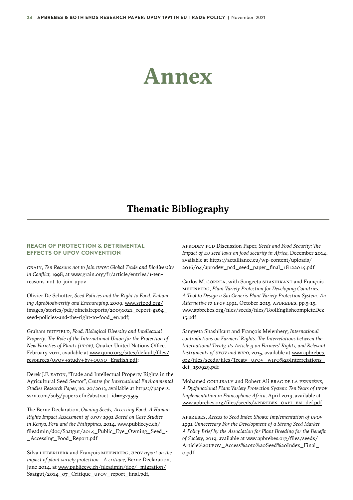## <span id="page-23-0"></span>**Annex**

### **Thematic Bibliography**

#### **REACH OF PROTECTION & DETRIMENTAL EFFECTS OF UPOV CONVENTION**

GRAIN, *Ten Reasons not to Join UPOV: Global Trade and Biodiversity in Conflict,* 1998, at www.grain.org/fr/article/entries/1-tenreasons-not-to-join-upov

Olivier De Schutter, *Seed Policies and the Right to Food: Enhancing Agrobiodiversity and Encouraging,* 2009*,* [www.srfood.org/](http://www.srfood.org/images/stories/pdf/officialreports/20091021_report-ga64_seed-policies-and-the-right-to-food_en.pdf) [images/stories/pdf/officialreports/20091021\\_report-ga64\\_](http://www.srfood.org/images/stories/pdf/officialreports/20091021_report-ga64_seed-policies-and-the-right-to-food_en.pdf) [seed-policies-and-the-right-to-food\\_en.pdf](http://www.srfood.org/images/stories/pdf/officialreports/20091021_report-ga64_seed-policies-and-the-right-to-food_en.pdf);

Graham DUTFIELD, *Food, Biological Diversity and Intellectual Property: The Role of the International Union for the Protection of New Varieties of Plants (UPOV),* Quaker United Nations Office, February 2011, available at [www.quno.org/sites/default/files/](https://www.quno.org/sites/default/files/resources/UPOV+study+by+QUNO_English.pdf) [resources/UPOV+study+by+QUNO\\_English.pdf](https://www.quno.org/sites/default/files/resources/UPOV+study+by+QUNO_English.pdf);

Derek J.F. EATON, "Trade and Intellectual Property Rights in the Agricultural Seed Sector", *Centre for International Environmental Studies Research Paper,* no. 20/2013, available at [https://papers.](https://papers.ssrn.com/sol3/papers.cfm?abstract_id=2323595) [ssrn.com/sol3/papers.cfm?abstract\\_id=2323595](https://papers.ssrn.com/sol3/papers.cfm?abstract_id=2323595)

The Berne Declaration*, Owning Seeds, Accessing Food: A Human Rights Impact Assessment of UPOV 1991 Based on Case Studies in Kenya, Peru and the Philippines,* 2014, [www.publiceye.ch/](https://www.publiceye.ch/fileadmin/doc/Saatgut/2014_Public_Eye_Owning_Seed_-_Accessing_Food_Report.pdf) [fileadmin/doc/Saatgut/2014\\_Public\\_Eye\\_Owning\\_Seed\\_-](https://www.publiceye.ch/fileadmin/doc/Saatgut/2014_Public_Eye_Owning_Seed_-_Accessing_Food_Report.pdf) [\\_Accessing\\_Food\\_Report.pdf](https://www.publiceye.ch/fileadmin/doc/Saatgut/2014_Public_Eye_Owning_Seed_-_Accessing_Food_Report.pdf)

Silva LIEBERHERR and François MEIENBERG, *UPOV report on the impact of plant variety protection - A critique*, Berne Declaration, June 2014, at [www.publiceye.ch/fileadmin/doc/\\_migration/](https://www.publiceye.ch/fileadmin/doc/_migration/Saatgut/2014_07_Critique_UPOV_report_final.pdf) [Saatgut/2014\\_07\\_Critique\\_UPOV\\_report\\_final.pdf,](https://www.publiceye.ch/fileadmin/doc/_migration/Saatgut/2014_07_Critique_UPOV_report_final.pdf)

APRODEV PCD Discussion Paper, *Seeds and Food Security: The Impact of EU seed laws on food security in Africa,* December 2014, available at [https://actalliance.eu/wp-content/uploads/](https://actalliance.eu/wp-content/uploads/2016/04/aprodev_pcd_seed_paper_final_18122014.pdf) [2016/04/aprodev\\_pcd\\_seed\\_paper\\_final\\_18122014.pdf](https://actalliance.eu/wp-content/uploads/2016/04/aprodev_pcd_seed_paper_final_18122014.pdf)

Carlos M. CORREA, with Sangeeta SHASHIKANT and François MEIENBERG, *Plant Variety Protection for Developing Countries. A Tool to Design a Sui Generis Plant Variety Protection System: An Alternative to UPOV 1991,* October 2015, APBREBES, pp.5-15, [www.apbrebes.org/files/seeds/files/ToolEnglishcompleteDez](https://www.apbrebes.org/files/seeds/files/ToolEnglishcompleteDez15.pdf) [15.pdf](https://www.apbrebes.org/files/seeds/files/ToolEnglishcompleteDez15.pdf)

Sangeeta Shashikant and François Meienberg, *International contradictions on Farmers' Rights: The Interrelations between the International Treaty, its Article 9 on Farmers' Rights, and Relevant Instruments of UPOV and WIPO*, 2015, available at [www.apbrebes.](https://www.apbrebes.org/files/seeds/files/Treaty_UPOV_WIPO Interrelations_def_150929.pdf) [org/files/seeds/files/Treaty\\_UPOV\\_WIPO%20Interrelations\\_](https://www.apbrebes.org/files/seeds/files/Treaty_UPOV_WIPO Interrelations_def_150929.pdf) [def\\_150929.pdf](https://www.apbrebes.org/files/seeds/files/Treaty_UPOV_WIPO Interrelations_def_150929.pdf)

Mohamed COULIBALY and Robert Ali BRAC DE LA PERRIÈRE, *A Dysfunctional Plant Variety Protection System: Ten Years of UPOV Implementation in Francophone Africa,* April 2019, available at [www.apbrebes.org/files/seeds/APBREBES\\_OAPI\\_EN\\_def.pdf](https://www.apbrebes.org/files/seeds/APBREBES_OAPI_EN_def.pdf)

APBREBES, *Access to Seed Index Shows: Implementation of UPOV 1991 Unnecessary For the Development of a Strong Seed Market A Policy Brief by the Association for Plant Breeding for the Benefit of Society*, 2019, available at [www.apbrebes.org/files/seeds/](https://www.apbrebes.org/files/seeds/Article UPOV_Access to Seed Index_Final_0.pdf) [Article%20UPOV\\_Access%20to%20Seed%20Index\\_Final\\_](https://www.apbrebes.org/files/seeds/Article UPOV_Access to Seed Index_Final_0.pdf) [0.pdf](https://www.apbrebes.org/files/seeds/Article UPOV_Access to Seed Index_Final_0.pdf)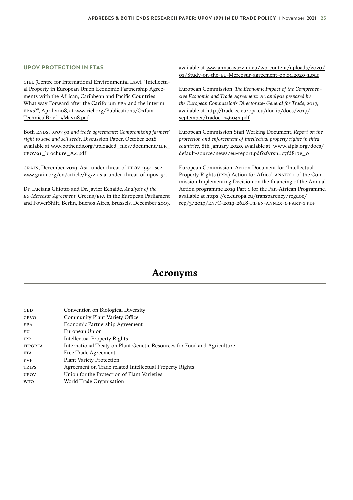#### **UPOV PROTECTION IN FTAS**

CIEL (Centre for International Environmental Law), "Intellectual Property in European Union Economic Partnership Agreements with the African, Caribbean and Pacific Countries: What way Forward after the Cariforum EPA and the interim EPAs?", April 2008, at [www.ciel.org/Publications/Oxfam\\_](https://www.ciel.org/Publications/Oxfam_TechnicalBrief_5May08.pdf) [TechnicalBrief\\_5May08.pdf](https://www.ciel.org/Publications/Oxfam_TechnicalBrief_5May08.pdf)

Both ENDS, *UPOV 91 and trade agreements: Compromising farmers' right to save and sell seeds*, Discussion Paper, October 2018, available at [www.bothends.org/uploaded\\_files/document/1LR\\_](https://www.bothends.org/uploaded_files/document/1LR_UPOV91_brochure_A4.pdf) [UPOV91\\_brochure\\_A4.pdf](https://www.bothends.org/uploaded_files/document/1LR_UPOV91_brochure_A4.pdf)

GRAIN, December 2019, Asia under threat of UPOV 1991, see www.grain.org/en/article/6372-asia-under-threat-of-upov-91.

Dr. Luciana Ghiotto and Dr. Javier Echaide, *Analysis of the EU-Mercosur Agreement*, Greens/EFA in the European Parliament and PowerShift, Berlin, Buenos Aires, Brussels, December 2019, available at www.annacavazzini.eu/wp-content/uploads/2020/ 01/Study-on-the-EU-Mercosur-agreement-09.01.2020-1.pdf

European Commission, *The Economic Impact of the Comprehensive Economic and Trade Agreement: An analysis prepared by the European Commission's Directorate- General for Trade*, 2017, available at [http://trade.ec.europa.eu/doclib/docs/2017/](http://trade.ec.europa.eu/doclib/docs/2017/september/tradoc_156043.pdf) [september/tradoc\\_156043.pdf](http://trade.ec.europa.eu/doclib/docs/2017/september/tradoc_156043.pdf)

European Commission Staff Working Document, *Report on the protection and enforcement of intellectual property rights in third countries*, 8th January 2020, available at: [www.aipla.org/docs/](https://www.aipla.org/docs/default-source/news/eu-report.pdf?sfvrsn=c7fd817e_0) [default-source/news/eu-report.pdf?sfvrsn=c7fd817e\\_0](https://www.aipla.org/docs/default-source/news/eu-report.pdf?sfvrsn=c7fd817e_0)

European Commission, Action Document for "Intellectual Property Rights (IPRs) Action for Africa", ANNEX 1 of the Commission Implementing Decision on the financing of the Annual Action programme 2019 Part 1 for the Pan-African Programme, available at [https://ec.europa.eu/transparency/regdoc/](https://ec.europa.eu/transparency/regdoc/rep/3/2019/EN/C-2019-2648-F1-EN-ANNEX-1-PART-1.PDF) [rep/3/2019/EN/C-2019-2648-F1-EN](https://ec.europa.eu/transparency/regdoc/rep/3/2019/EN/C-2019-2648-F1-EN-ANNEX-1-PART-1.PDF)-ANNEX-1-PART-1.PDF

### **Acronyms**

| CBD            | Convention on Biological Diversity                                       |
|----------------|--------------------------------------------------------------------------|
| CPVO           | Community Plant Variety Office                                           |
| <b>EPA</b>     | Economic Partnership Agreement                                           |
| EU             | European Union                                                           |
| <b>IPR</b>     | Intellectual Property Rights                                             |
| <b>ITPGRFA</b> | International Treaty on Plant Genetic Resources for Food and Agriculture |
| <b>FTA</b>     | Free Trade Agreement                                                     |
| <b>PVP</b>     | <b>Plant Variety Protection</b>                                          |
| <b>TRIPS</b>   | Agreement on Trade related Intellectual Property Rights                  |
| <b>UPOV</b>    | Union for the Protection of Plant Varieties                              |
| <b>WTO</b>     | World Trade Organisation                                                 |
|                |                                                                          |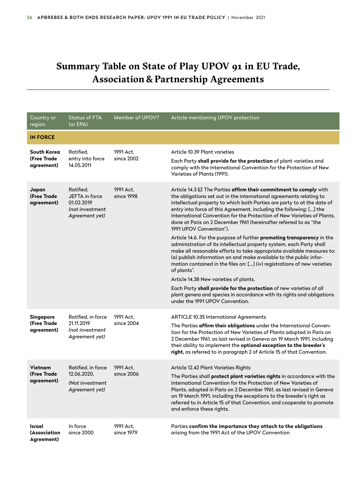### <span id="page-25-0"></span>**Summary Table on State of Play UPOV 91 in EU Trade, Association & Partnership Agreements**

| Country or<br>region                          | <b>Status of FTA</b><br>(or EPA)                                               | Member of UPOV?         | Article mentioning UPOV protection                                                                                                                                                                                                                                                                                                                                                                                                                                     |
|-----------------------------------------------|--------------------------------------------------------------------------------|-------------------------|------------------------------------------------------------------------------------------------------------------------------------------------------------------------------------------------------------------------------------------------------------------------------------------------------------------------------------------------------------------------------------------------------------------------------------------------------------------------|
| <b>IN FORCE</b>                               |                                                                                |                         |                                                                                                                                                                                                                                                                                                                                                                                                                                                                        |
| South Korea<br>(Free Trade<br>agreement)      | Ratified,<br>entry into force<br>14.05.2011                                    | 1991 Act,<br>since 2002 | Article 10.39 Plant varieties<br>Each Party shall provide for the protection of plant varieties and<br>comply with the International Convention for the Protection of New<br>Varieties of Plants (1991).                                                                                                                                                                                                                                                               |
| Japan<br>(Free Trade<br>agreement)            | Ratified,<br>JEFTA in force<br>01.02.2019<br>(not investment<br>Agreement yet) | 1991 Act,<br>since 1998 | Article 14.3 §2 The Parties affirm their commitment to comply with<br>the obligations set out in the international agreements relating to<br>intellectual property to which both Parties are party to at the date of<br>entry into force of this Agreement, including the following: [] the<br>International Convention for the Protection of New Varieties of Plants,<br>done at Paris on 2 December 1961 (hereinafter referred to as "the<br>1991 UPOV Convention"). |
|                                               |                                                                                |                         | Article 14.6. For the purpose of further promoting transparency in the<br>administration of its intellectual property system, each Party shall<br>make all reasonable efforts to take appropriate available measures to:<br>(a) publish information on and make available to the public infor-<br>mation contained in the files on: [] (iv) registrations of new varieties<br>of plants".                                                                              |
|                                               |                                                                                |                         | Article 14.38 New varieties of plants.<br>Each Party shall provide for the protection of new varieties of all<br>plant genera and species in accordance with its rights and obligations<br>under the 1991 UPOV Convention.                                                                                                                                                                                                                                             |
| <b>Singapore</b><br>(Free Trade<br>agreement) | Ratified, in force<br>21.11.2019<br>(not investment<br>Agreement yet)          | 1991 Act,<br>since 2004 | <b>ARTICLE 10.35 International Agreements</b><br>The Parties affirm their obligations under the International Conven-<br>tion for the Protection of New Varieties of Plants adopted in Paris on<br>2 December 1961, as last revised in Geneva on 19 March 1991, including<br>their ability to implement the optional exception to the breeder's<br>right, as referred to in paragraph 2 of Article 15 of that Convention.                                              |
| <b>Vietnam</b><br>(Free Trade)<br>agreement)  | Ratified, in force<br>12.06.2020.<br>(Not investment<br>Agreement yet)         | 1991 Act,<br>since 2006 | Article 12.42 Plant Varieties Rights<br>The Parties shall <b>protect plant varieties rights</b> in accordance with the<br>International Convention for the Protection of New Varieties of<br>Plants, adopted in Paris on 2 December 1961, as last revised in Geneva<br>on 19 March 1991, including the exceptions to the breeder's right as<br>referred to in Article 15 of that Convention, and cooperate to promote<br>and enforce these rights.                     |
| Israel<br>(Association<br>Agreement)          | In force<br>since 2000                                                         | 1991 Act,<br>since 1979 | Parties confirm the importance they attach to the obligations<br>arising from the 1991 Act of the UPOV Convention                                                                                                                                                                                                                                                                                                                                                      |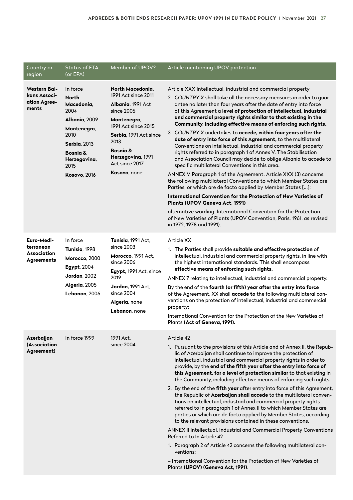| Country or<br>region                                               | <b>Status of FTA</b><br>(or EPA)                                                                                                                                             | Member of UPOV?                                                                                                                                                                                                       | Article mentioning UPOV protection                                                                                                                                                                                                                                                                                                                                                                                                                                                                                                                                                                                                                                                                                                                                                                                                                                                                                                                                                                                                                                                                                                                                                                                                                                                                         |
|--------------------------------------------------------------------|------------------------------------------------------------------------------------------------------------------------------------------------------------------------------|-----------------------------------------------------------------------------------------------------------------------------------------------------------------------------------------------------------------------|------------------------------------------------------------------------------------------------------------------------------------------------------------------------------------------------------------------------------------------------------------------------------------------------------------------------------------------------------------------------------------------------------------------------------------------------------------------------------------------------------------------------------------------------------------------------------------------------------------------------------------------------------------------------------------------------------------------------------------------------------------------------------------------------------------------------------------------------------------------------------------------------------------------------------------------------------------------------------------------------------------------------------------------------------------------------------------------------------------------------------------------------------------------------------------------------------------------------------------------------------------------------------------------------------------|
| <b>Western Bal-</b><br>kans Associ-<br>ation Agree-<br>ments       | In force<br><b>North</b><br>Macedonia,<br>2004<br>Albania, 2009<br>Montenegro,<br>2010<br>Serbia. 2013<br><b>Bosnia &amp;</b><br>Herzegovina,<br>2015<br><b>Kosovo, 2016</b> | North Macedonia,<br>1991 Act since 2011<br>Albania, 1991 Act<br>since 2005<br>Montenegro,<br>1991 Act since 2015<br>Serbia, 1991 Act since<br>2013<br>Bosnia &<br>Herzegovina, 1991<br>Act since 2017<br>Kosovo, none | Article XXX Intellectual, industrial and commercial property<br>2. COUNTRY X shall take all the necessary measures in order to guar-<br>antee no later than four years after the date of entry into force<br>of this Agreement a level of protection of intellectual, industrial<br>and commercial property rights similar to that existing in the<br>Community, including effective means of enforcing such rights.<br>3. COUNTRY X undertakes to accede, within four years after the<br>date of entry into force of this Agreement, to the multilateral<br>Conventions on intellectual, industrial and commercial property<br>rights referred to in paragraph 1 of Annex V. The Stabilisation<br>and Association Council may decide to oblige Albania to accede to<br>specific multilateral Conventions in this area.<br>ANNEX V Paragraph 1 of the Agreement. Article XXX (3) concerns<br>the following multilateral Conventions to which Member States are<br>Parties, or which are de facto applied by Member States []:<br>International Convention for the Protection of New Varieties of<br>Plants (UPOV Geneva Act, 1991)<br>alternative wording: International Convention for the Protection<br>of New Varieties of Plants (UPOV Convention, Paris, 1961, as revised<br>in 1972, 1978 and 1991). |
| Euro-Medi-<br>terranean<br><b>Association</b><br><b>Agreements</b> | In force<br>Tunisia, 1998<br>Morocco, 2000<br><b>Egypt, 2004</b><br><b>Jordan, 2002</b><br>Algeria, 2005<br>Lebanon, 2006                                                    | Tunisia, 1991 Act,<br>since 2003<br>Morocco, 1991 Act,<br>since 2006<br>Egypt, 1991 Act, since<br>2019<br>Jordan, 1991 Act.<br>since 2004<br>Algeria, none<br>Lebanon, none                                           | Article XX<br>1. The Parties shall provide suitable and effective protection of<br>intellectual, industrial and commercial property rights, in line with<br>the highest international standards. This shall encompass<br>effective means of enforcing such rights.<br>ANNEX 7 relating to intellectual, industrial and commercial property.<br>By the end of the fourth (or fifth) year after the entry into force<br>of the Agreement, XX shall accede to the following multilateral con-<br>ventions on the protection of intellectual, industrial and commercial<br>property:<br>International Convention for the Protection of the New Varieties of<br>Plants (Act of Geneva, 1991).                                                                                                                                                                                                                                                                                                                                                                                                                                                                                                                                                                                                                   |
| Azerbaijan<br>(Association<br>Agreement)                           | In force 1999                                                                                                                                                                | 1991 Act,<br>since 2004                                                                                                                                                                                               | Article 42<br>1. Pursuant to the provisions of this Article and of Annex II, the Repub-<br>lic of Azerbaijan shall continue to improve the protection of<br>intellectual, industrial and commercial property rights in order to<br>provide, by the end of the fifth year after the entry into force of<br>this Agreement, for a level of protection similar to that existing in<br>the Community, including effective means of enforcing such rights.<br>2. By the end of the fifth year after entry into force of this Agreement,<br>the Republic of Azerbaijan shall accede to the multilateral conven-<br>tions on intellectual, industrial and commercial property rights<br>referred to in paragraph 1 of Annex II to which Member States are<br>parties or which are de facto applied by Member States, according<br>to the relevant provisions contained in these conventions.<br>ANNEX II Intellectual, Industrial and Commercial Property Conventions<br>Referred to In Article 42<br>1. Paragraph 2 of Article 42 concerns the following multilateral con-<br>ventions:<br>- International Convention for the Protection of New Varieties of<br>Plants (UPOV) (Geneva Act, 1991).                                                                                                                |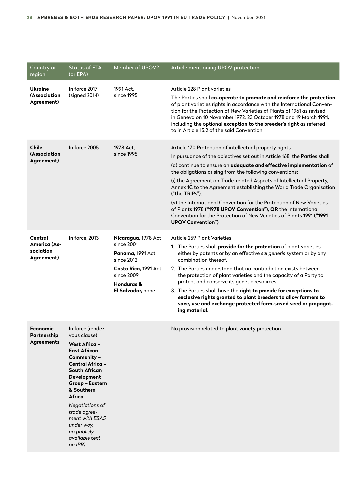| Country or<br>region                                      | <b>Status of FTA</b><br>(or EPA)                                                                                                                                                                                                                                                                                            | Member of UPOV?                                                                                                                              | Article mentioning UPOV protection                                                                                                                                                                                                                                                                                                                                                                                                                                                                                                                                                                                                                                                 |
|-----------------------------------------------------------|-----------------------------------------------------------------------------------------------------------------------------------------------------------------------------------------------------------------------------------------------------------------------------------------------------------------------------|----------------------------------------------------------------------------------------------------------------------------------------------|------------------------------------------------------------------------------------------------------------------------------------------------------------------------------------------------------------------------------------------------------------------------------------------------------------------------------------------------------------------------------------------------------------------------------------------------------------------------------------------------------------------------------------------------------------------------------------------------------------------------------------------------------------------------------------|
| Ukraine<br><i>(Association</i><br>Agreement)              | In force 2017<br>(signed 2014)                                                                                                                                                                                                                                                                                              | 1991 Act.<br>since 1995                                                                                                                      | Article 228 Plant varieties<br>The Parties shall co-operate to promote and reinforce the protection<br>of plant varieties rights in accordance with the International Conven-<br>tion for the Protection of New Varieties of Plants of 1961 as revised<br>in Geneva on 10 November 1972, 23 October 1978 and 19 March 1991,<br>including the optional exception to the breeder's right as referred<br>to in Article 15.2 of the said Convention                                                                                                                                                                                                                                    |
| <b>Chile</b><br>(Association<br>Agreement)                | In force 2005                                                                                                                                                                                                                                                                                                               | 1978 Act,<br>since 1995                                                                                                                      | Article 170 Protection of intellectual property rights<br>In pursuance of the objectives set out in Article 168, the Parties shall:<br>(a) continue to ensure an adequate and effective implementation of<br>the obligations arising from the following conventions:<br>(i) the Agreement on Trade-related Aspects of Intellectual Property,<br>Annex 1C to the Agreement establishing the World Trade Organisation<br>("the TRIPs").<br>(v) the International Convention for the Protection of New Varieties<br>of Plants 1978 ("1978 UPOV Convention"), OR the International<br>Convention for the Protection of New Varieties of Plants 1991 ("1991<br><b>UPOV Convention")</b> |
| Central<br><b>America (As-</b><br>sociation<br>Agreement) | In force, 2013                                                                                                                                                                                                                                                                                                              | Nicaragua, 1978 Act<br>since 2001<br>Panama, 1991 Act<br>since 2012<br>Costa Rica, 1991 Act<br>since 2009<br>Honduras &<br>El Salvador, none | Article 259 Plant Varieties<br>1. The Parties shall provide for the protection of plant varieties<br>either by patents or by an effective sui generis system or by any<br>combination thereof.<br>2. The Parties understand that no contradiction exists between<br>the protection of plant varieties and the capacity of a Party to<br>protect and conserve its genetic resources.<br>3. The Parties shall have the right to provide for exceptions to<br>exclusive rights granted to plant breeders to allow farmers to<br>save, use and exchange protected farm-saved seed or propagat-<br>ing material.                                                                        |
| <b>Economic</b><br>Partnership<br><b>Agreements</b>       | In force (rendez-<br>vous clause)<br><b>West Africa -</b><br><b>East African</b><br>Community -<br>Central Africa -<br><b>South African</b><br>Development<br><b>Group - Eastern</b><br>& Southern<br>Africa<br>Negotiations of<br>trade agree-<br>ment with ESA5<br>under way,<br>no publicly<br>available text<br>on IPR) |                                                                                                                                              | No provision related to plant variety protection                                                                                                                                                                                                                                                                                                                                                                                                                                                                                                                                                                                                                                   |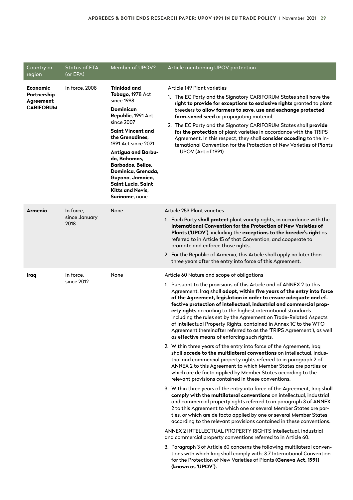| Country or<br>region                                     | <b>Status of FTA</b><br>(or EPA)   | Member of UPOV?                                                                                                                                                                                                                                                                                                                                       | Article mentioning UPOV protection                                                                                                                                                                                                                                                                                                                                                                                                                                                                                                                                                                                                                                                                                                                                                                                                                                                                                                                                                                                                                                                                                                                                                                                                                                                                                                                                                                                                                                                                                                                                                                                                                                                                                                                                                                                                                                                                                             |
|----------------------------------------------------------|------------------------------------|-------------------------------------------------------------------------------------------------------------------------------------------------------------------------------------------------------------------------------------------------------------------------------------------------------------------------------------------------------|--------------------------------------------------------------------------------------------------------------------------------------------------------------------------------------------------------------------------------------------------------------------------------------------------------------------------------------------------------------------------------------------------------------------------------------------------------------------------------------------------------------------------------------------------------------------------------------------------------------------------------------------------------------------------------------------------------------------------------------------------------------------------------------------------------------------------------------------------------------------------------------------------------------------------------------------------------------------------------------------------------------------------------------------------------------------------------------------------------------------------------------------------------------------------------------------------------------------------------------------------------------------------------------------------------------------------------------------------------------------------------------------------------------------------------------------------------------------------------------------------------------------------------------------------------------------------------------------------------------------------------------------------------------------------------------------------------------------------------------------------------------------------------------------------------------------------------------------------------------------------------------------------------------------------------|
| Economic<br>Partnership<br>Agreement<br><b>CARIFORUM</b> | In force, 2008                     | Trinidad and<br>Tobago, 1978 Act<br>since 1998<br>Dominican<br>Republic, 1991 Act<br>since 2007<br>Saint Vincent and<br>the Grenadines.<br>1991 Act since 2021<br><b>Antigua and Barbu-</b><br>da, Bahamas,<br>Barbados, Belize,<br>Dominica, Grenada,<br>Guyana, Jamaica,<br><b>Saint Lucia, Saint</b><br>Kitts and Nevis,<br><b>Suriname</b> , none | Article 149 Plant varieties<br>1. The EC Party and the Signatory CARIFORUM States shall have the<br>right to provide for exceptions to exclusive rights granted to plant<br>breeders to allow farmers to save, use and exchange protected<br>farm-saved seed or propagating material.<br>2. The EC Party and the Signatory CARIFORUM States shall provide<br>for the protection of plant varieties in accordance with the TRIPS<br>Agreement. In this respect, they shall consider acceding to the In-<br>ternational Convention for the Protection of New Varieties of Plants<br>$-$ UPOV (Act of 1991)                                                                                                                                                                                                                                                                                                                                                                                                                                                                                                                                                                                                                                                                                                                                                                                                                                                                                                                                                                                                                                                                                                                                                                                                                                                                                                                       |
| Armenia                                                  | In force,<br>since January<br>2018 | None                                                                                                                                                                                                                                                                                                                                                  | Article 253 Plant varieties<br>1. Each Party shall protect plant variety rights, in accordance with the<br>International Convention for the Protection of New Varieties of<br>Plants ('UPOV'), including the exceptions to the breeder's right as<br>referred to in Article 15 of that Convention, and cooperate to<br>promote and enforce those rights.<br>2. For the Republic of Armenia, this Article shall apply no later than<br>three years after the entry into force of this Agreement.                                                                                                                                                                                                                                                                                                                                                                                                                                                                                                                                                                                                                                                                                                                                                                                                                                                                                                                                                                                                                                                                                                                                                                                                                                                                                                                                                                                                                                |
| Iraq                                                     | In force,<br>since 2012            | None                                                                                                                                                                                                                                                                                                                                                  | Article 60 Nature and scope of obligations<br>1. Pursuant to the provisions of this Article and of ANNEX 2 to this<br>Agreement, Iraq shall adopt, within five years of the entry into force<br>of the Agreement, legislation in order to ensure adequate and ef-<br>fective protection of intellectual, industrial and commercial prop-<br>erty rights according to the highest international standards<br>including the rules set by the Agreement on Trade-Related Aspects<br>of Intellectual Property Rights, contained in Annex 1C to the WTO<br>Agreement (hereinafter referred to as the 'TRIPS Agreement'), as well<br>as effective means of enforcing such rights.<br>2. Within three years of the entry into force of the Agreement, Iraq<br>shall accede to the multilateral conventions on intellectual, indus-<br>trial and commercial property rights referred to in paragraph 2 of<br>ANNEX 2 to this Agreement to which Member States are parties or<br>which are de facto applied by Member States according to the<br>relevant provisions contained in these conventions.<br>3. Within three years of the entry into force of the Agreement, Iraq shall<br>comply with the multilateral conventions on intellectual, industrial<br>and commercial property rights referred to in paragraph 3 of ANNEX<br>2 to this Agreement to which one or several Member States are par-<br>ties, or which are de facto applied by one or several Member States<br>according to the relevant provisions contained in these conventions.<br>ANNEX 2 INTELLECTUAL PROPERTY RIGHTS Intellectual, industrial<br>and commercial property conventions referred to in Article 60.<br>3. Paragraph 3 of Article 60 concerns the following multilateral conven-<br>tions with which Iraq shall comply with: 3.7 International Convention<br>for the Protection of New Varieties of Plants (Geneva Act, 1991)<br>(known as 'UPOV'). |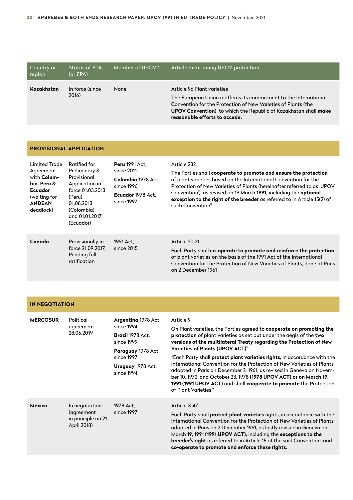| Country or<br>region | <b>Status of FTA</b><br>(or EPA) | Member of UPOV? | Article mentioning UPOV protection                                                                                                                                                                                                                                   |
|----------------------|----------------------------------|-----------------|----------------------------------------------------------------------------------------------------------------------------------------------------------------------------------------------------------------------------------------------------------------------|
| Kazakhstan           | In force (since<br>2016)         | None            | Article 96 Plant varieties<br>The European Union reaffirms its commitment to the International<br>Convention for the Protection of New Varieties of Plants (the<br>UPOV Convention), to which the Republic of Kazakhstan shall make<br>reasonable efforts to accede. |

| <b>PROVISIONAL APPLICATION</b>                                                                                           |                                                                                                                                                           |                                                                                                            |                                                                                                                                                                                                                                                                                                                                                                                                             |
|--------------------------------------------------------------------------------------------------------------------------|-----------------------------------------------------------------------------------------------------------------------------------------------------------|------------------------------------------------------------------------------------------------------------|-------------------------------------------------------------------------------------------------------------------------------------------------------------------------------------------------------------------------------------------------------------------------------------------------------------------------------------------------------------------------------------------------------------|
| Limited Trade<br>Agreement<br>with Colum-<br>bia, Peru &<br><b>Ecuador</b><br>(waiting for<br><b>ANDEAN</b><br>deadlock) | Ratified for<br>Preliminary &<br>Provisional<br>Application in<br>force 01.03.2013<br>(Peru),<br>01.08.2013<br>(Colombia),<br>and 01.01.2017<br>(Ecuador) | <b>Peru 1991 Act.</b><br>since 2011<br>Colombia 1978 Act.<br>since 1996<br>Ecuador 1978 Act.<br>since 1997 | Article 232<br>The Parties shall <b>cooperate to promote and ensure the protection</b><br>of plant varieties based on the International Convention for the<br>Protection of New Varieties of Plants (hereinafter referred to as 'UPOV<br>Convention'), as revised on 19 March 1991, including the optional<br>exception to the right of the breeder as referred to in Article 15(2) of<br>such Convention". |
| Canada                                                                                                                   | Provisionally in<br>force 21.09.2017.<br>Pending full<br>ratification                                                                                     | 1991 Act,<br>since 2015                                                                                    | Article 20.31<br>Each Party shall co-operate to promote and reinforce the protection<br>of plant varieties on the basis of the 1991 Act of the International<br>Convention for the Protection of New Varieties of Plants, done at Paris<br>on 2 December 1961                                                                                                                                               |

#### **IN NEGOTIATION**

| <b>MERCOSUR</b> | Political<br>agreement<br>28.06.2019                              | Argentina 1978 Act,<br>since 1994<br><b>Brazil 1978 Act.</b><br>since 1999<br>Paraguay 1978 Act,<br>since 1997<br>Uruguay 1978 Act,<br>since 1994 | Article 9<br>On Plant varieties, the Parties agreed to cooperate on promoting the<br>protection of plant varieties as set out under the aegis of the two<br>versions of the multilateral Treaty regarding the Protection of New<br>Varieties of Plants (UPOV ACT)".<br>"Each Party shall <b>protect plant varieties rights</b> , in accordance with the<br>International Convention for the Protection of New Varieties of Plants<br>adopted in Paris on December 2, 1961, as revised in Geneva on Novem-<br>ber 10, 1972, and October 23, 1978 <b>(1978 UPOV ACT) or on March 19,</b><br>1991 (1991 UPOV ACT) and shall cooperate to promote the Protection<br>of Plant Varieties." |
|-----------------|-------------------------------------------------------------------|---------------------------------------------------------------------------------------------------------------------------------------------------|--------------------------------------------------------------------------------------------------------------------------------------------------------------------------------------------------------------------------------------------------------------------------------------------------------------------------------------------------------------------------------------------------------------------------------------------------------------------------------------------------------------------------------------------------------------------------------------------------------------------------------------------------------------------------------------|
| <b>Mexico</b>   | In negotiation<br>(agreement<br>in principle on 21<br>April 2018) | 1978 Act,<br>since 1997                                                                                                                           | Article X.47<br>Each Party shall <b>protect plant varieties</b> rights, in accordance with the<br>International Convention for the Protection of New Varieties of Plants<br>adopted in Paris on 2 December 1961, as lastly revised in Geneva on<br>March 19, 1991 (1991 UPOV ACT), including the exceptions to the<br>breeder's right as referred to in Article 15 of the said Convention, and<br>co-operate to promote and enforce these rights.                                                                                                                                                                                                                                    |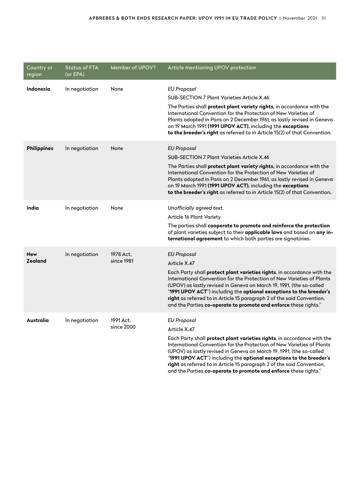| Country or<br>region         | <b>Status of FTA</b><br>(or EPA) | Member of UPOV?         | Article mentioning UPOV protection                                                                                                                                                                                                                                                                                                                                                                                                                                                           |
|------------------------------|----------------------------------|-------------------------|----------------------------------------------------------------------------------------------------------------------------------------------------------------------------------------------------------------------------------------------------------------------------------------------------------------------------------------------------------------------------------------------------------------------------------------------------------------------------------------------|
| <b>Indonesia</b>             | In negotiation                   | None                    | <b>EU Proposal</b><br><b>SUB-SECTION 7 Plant Varieties Article X.46</b><br>The Parties shall protect plant variety rights, in accordance with the<br>International Convention for the Protection of New Varieties of<br>Plants adopted in Paris on 2 December 1961, as lastly revised in Geneva<br>on 19 March 1991 (1991 UPOV ACT), including the exceptions<br>to the breeder's right as referred to in Article 15(2) of that Convention.                                                  |
| <b>Philippines</b>           | In negotiation                   | None                    | <b>EU Proposal</b><br><b>SUB-SECTION 7 Plant Varieties Article X.46</b><br>The Parties shall protect plant variety rights, in accordance with the<br>International Convention for the Protection of New Varieties of<br>Plants adopted in Paris on 2 December 1961, as lastly revised in Geneva<br>on 19 March 1991 (1991 UPOV ACT), including the exceptions<br>to the breeder's right as referred to in Article 15(2) of that Convention.                                                  |
| India                        | In negotiation                   | None                    | Unofficially agreed text.<br>Article 16 Plant Variety<br>The parties shall cooperate to promote and reinforce the protection<br>of plant varieties subject to their applicable laws and based on any in-<br>ternational agreement to which both parties are signatories.                                                                                                                                                                                                                     |
| <b>New</b><br><b>Zealand</b> | In negotiation                   | 1978 Act.<br>since 1981 | <b>EU Proposal</b><br>Article X.47<br>Each Party shall <b>protect plant varieties rights</b> , in accordance with the<br>International Convention for the Protection of New Varieties of Plants<br>(UPOV) as lastly revised in Geneva on March 19, 1991, (the so-called<br>"1991 UPOV ACT") including the optional exceptions to the breeder's<br>right as referred to in Article 15 paragraph 2 of the said Convention,<br>and the Parties co-operate to promote and enforce these rights." |
| Australia                    | In negotiation                   | 1991 Act,<br>since 2000 | EU Proposal<br>Article X.47<br>Each Party shall protect plant varieties rights, in accordance with the<br>International Convention for the Protection of New Varieties of Plants<br>(UPOV) as lastly revised in Geneva on March 19, 1991, (the so-called<br>"1991 UPOV ACT") including the optional exceptions to the breeder's                                                                                                                                                              |

**right** as referred to in Article 15 paragraph 2 of the said Convention, and the Parties **co-operate to promote and enforce** these rights."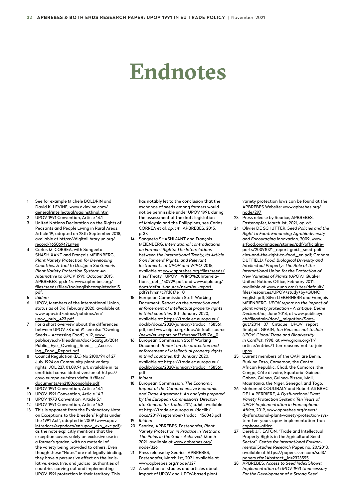# <span id="page-31-0"></span>**Endnotes**

- 1 See for example Michele BOLDRIN and David K. LEVINE, [www.dklevine.com/](http://www.dklevine.com/general/intellectual/againstfinal.htm) [general/intellectual/againstfinal.htm](http://www.dklevine.com/general/intellectual/againstfinal.htm)
- 2 UPOV 1991 Convention, Article 14.1
- 3 United Nations Declaration on the Rights of Peasants and People Living in Rural Areas, Article 19, adopted on 28th September 2018, available at [https://digitallibrary.un.org/](https://digitallibrary.un.org/record/1650694?ln=en) [record/1650694?Ln=en](https://digitallibrary.un.org/record/1650694?ln=en)
- 4 Carlos M. CORREA, with Sangeeta SHASHIKANT and François MEIENBERG, *Plant Variety Protection for Developing Countries. A Tool to Design a Sui Generis Plant Variety Protection System: An Alternative to UPOV 1991,* October 2015, APBREBES, pp.5-15, [www.apbrebes.org/](https://www.apbrebes.org/files/seeds/files/ToolEnglishcompleteDez15.pdf) [files/seeds/files/toolenglishcompletedez15.](https://www.apbrebes.org/files/seeds/files/ToolEnglishcompleteDez15.pdf) [pdf](https://www.apbrebes.org/files/seeds/files/ToolEnglishcompleteDez15.pdf).
- 5 *Ibidem*
- 6 UPOV, Members of the International Union, status as of 3rd February 2020, available at www.upov.int/edocs/pubdocs/en/ upov\_pub\_423.pdf
- 7 For a short overview about the differences between UPOV 78 and 91 see also "Owning Seeds – Accessing Food", p.12, [www.](https://www.publiceye.ch/fileadmin/doc/Saatgut/2014_Public_Eye_Owning_Seed_-_Accessing_Food_Report.pdf) [publiceye.ch/fileadmin/doc/Saatgut/2014\\_](https://www.publiceye.ch/fileadmin/doc/Saatgut/2014_Public_Eye_Owning_Seed_-_Accessing_Food_Report.pdf) [Public\\_Eye\\_Owning\\_Seed\\_-\\_Access](https://www.publiceye.ch/fileadmin/doc/Saatgut/2014_Public_Eye_Owning_Seed_-_Accessing_Food_Report.pdf)[ing\\_Food\\_Report.pdf](https://www.publiceye.ch/fileadmin/doc/Saatgut/2014_Public_Eye_Owning_Seed_-_Accessing_Food_Report.pdf)
- 8 Council Regulation (EC) No 2100/94 of 27 July 1994 on Community plant variety rights, JOL 227, 01.09.94 p.1, available in its unofficial consolidated version at [https://](https://cpvo.europa.eu/sites/default/files/documents/en2100consolide.pdf) [cpvo.europa.eu/sites/default/files/](https://cpvo.europa.eu/sites/default/files/documents/en2100consolide.pdf) [documents/en2100consolide.pdf](https://cpvo.europa.eu/sites/default/files/documents/en2100consolide.pdf)
- UPOV 1991 Convention, Article 14.1
- 10 UPOV 1991 Convention, Article 14.2
- 11 UPOV 1978 Convention, Article 5.1
- 12 UPOV 1991 Convention, Article 15.2
- 13 This is apparent from the Explanatory Note on Exceptions to the Breeders' Rights under the 1991 Act", adopted in 2009 ([www.upov.](https://www.upov.int/edocs/expndocs/en/upov_exn_exc.pdf) [int/edocs/expndocs/en/upov\\_exn\\_exc.pdf](https://www.upov.int/edocs/expndocs/en/upov_exn_exc.pdf)); as the note explicitly mentions that the exception covers solely an exclusive use in a farmer's garden, with no material of the variety being provided to others. Even though these "Notes" are not legally binding, they have a persuasive effect on the legislative, executive, and judicial authorities of countries carving out and implementing UPOV 1991 protection in their territory. This

has notably let to the conclusion that the exchange of seeds among farmers would not be permissible under UPOV 1991, during the assessment of the draft legislation of Malaysia and the Philippines, see Carlos CORREA et al, *op. cit.,* APBREBES, 2015, p. 37.

- 14 Sangeeta SHASHIKANT and François MEIENBERG, *International contradictions on Farmers' Rights: The Interrelations between the International Treaty, its Article 9 on Farmers' Rights, and Relevant Instruments of UPOV and WIPO,* 2015, available at www.apbrebes.org/files/seeds/ files/Treaty\_UPOV\_WIPO%20Interrelations\_def\_150929.pdf, and [www.aipla.org/](https://www.aipla.org/docs/default-source/news/eu-report.pdf?sfvrsn=c7fd817e_0) [docs/default-source/news/eu-report.](https://www.aipla.org/docs/default-source/news/eu-report.pdf?sfvrsn=c7fd817e_0) [pdf?sfvrsn=c7fd817e\\_0](https://www.aipla.org/docs/default-source/news/eu-report.pdf?sfvrsn=c7fd817e_0)
- 15 European Commission Staff Working Document, *Report on the protection and enforcement of intellectual property rights in third countries,* 8th January 2020, available at: [https://trade.ec.europa.eu/](https://trade.ec.europa.eu/doclib/docs/2020/january/tradoc_158561.pdf) [doclib/docs/2020/january/tradoc\\_158561.](https://trade.ec.europa.eu/doclib/docs/2020/january/tradoc_158561.pdf) [pdf](https://trade.ec.europa.eu/doclib/docs/2020/january/tradoc_158561.pdf), and [www.aipla.org/docs/default-source](https://www.aipla.org/docs/default-source/news/eu-report.pdf?sfvrsn=c7fd817e_0) [/news/eu-report.pdf?sfvrsn=c7fd817e\\_0](https://www.aipla.org/docs/default-source/news/eu-report.pdf?sfvrsn=c7fd817e_0)
- 16 European Commission Staff Working Document, *Report on the protection and enforcement of intellectual property rights in third countries,* 8th January 2020, available at: [https://trade.ec.europa.eu/](https://trade.ec.europa.eu/doclib/docs/2020/january/tradoc_158561.pdf) [doclib/docs/2020/january/tradoc\\_158561.](https://trade.ec.europa.eu/doclib/docs/2020/january/tradoc_158561.pdf) [pdf](https://trade.ec.europa.eu/doclib/docs/2020/january/tradoc_158561.pdf)
- 17 *Ibidem*
- 18 European Commission, *The Economic Impact of the Comprehensive Economic and Trade Agreement: An analysis prepared by the European Commission's Directorate-General for Trade, 2017,* p. 56, available at [http://trade.ec.europa.eu/doclib/](http://trade.ec.europa.eu/doclib/docs/2017/september/tradoc_156043.pdf) [docs/2017/september/tradoc\\_156043.pdf](http://trade.ec.europa.eu/doclib/docs/2017/september/tradoc_156043.pdf)
- 19 *Ibidem*
- 20 Searice, APBREBES, Fastenopfer, *Plant Variety Protection in Practice in Vietnam: The Pains in the Gains Achieved,* March 2021, available at [www.apbrebes.org/](http://www.apbrebes.org/node/326) [node/326](http://www.apbrebes.org/node/326)
- 21 Press release by Searice, APBREBES, Fastenopfer, March 1st, 2021, available at [www.apbrebes.org/node/327](https://www.apbrebes.org/node/327)
- 22 A selection of studies and articles about Impact of UPOV and UPOV-based plant

variety protection laws can be found at the APBREBES Website: [www.apbrebes.org/](https://www.apbrebes.org/node/297) [node/297](https://www.apbrebes.org/node/297)

- 23 Press release by Searice, APBREBES, Fastenopfer, March 1st, 2021, *op. cit.*
- 24 Olivier DE SCHUTTER, *Seed Policies and the Right to Food: Enhancing Agrobiodiversity and Encouraging Innovation,* 2009, [www.](http://www.srfood.org/images/stories/pdf/officialreports/20091021_report-ga64_seed-policies-and-the-right-to-food_en.pdf) [srfood.org/images/stories/pdf/officialre](http://www.srfood.org/images/stories/pdf/officialreports/20091021_report-ga64_seed-policies-and-the-right-to-food_en.pdf)[ports/20091021\\_report-ga64\\_seed-poli](http://www.srfood.org/images/stories/pdf/officialreports/20091021_report-ga64_seed-policies-and-the-right-to-food_en.pdf)[cies-and-the-right-to-food\\_en.pdf](http://www.srfood.org/images/stories/pdf/officialreports/20091021_report-ga64_seed-policies-and-the-right-to-food_en.pdf); Graham DUTFIELD, *Food, Biological Diversity and Intellectual Property: The Role of the International Union for the Protection of New Varieties of Plants (UPOV),* Quaker United Nations Office, February 2011, available at [www.quno.org/sites/default/](https://www.quno.org/sites/default/files/resources/UPOV+study+by+QUNO_English.pdf) [files/resources/UPOV+study+by+QUNO\\_](https://www.quno.org/sites/default/files/resources/UPOV+study+by+QUNO_English.pdf) [English.pdf](https://www.quno.org/sites/default/files/resources/UPOV+study+by+QUNO_English.pdf); Silva LIEBERHERR and François MEIENBERG, *UPOV report on the impact of plant variety protection - A critique, Berne Declaration,* June 2014, at [www.publiceye.](https://www.publiceye.ch/fileadmin/doc/_migration/Saatgut/2014_07_Critique_UPOV_report_final.pdf) [ch/fileadmin/doc/\\_migration/Saat](https://www.publiceye.ch/fileadmin/doc/_migration/Saatgut/2014_07_Critique_UPOV_report_final.pdf)[gut/2014\\_07\\_Critique\\_UPOV\\_report\\_](https://www.publiceye.ch/fileadmin/doc/_migration/Saatgut/2014_07_Critique_UPOV_report_final.pdf) [final.pdf,](https://www.publiceye.ch/fileadmin/doc/_migration/Saatgut/2014_07_Critique_UPOV_report_final.pdf) GRAIN, *Ten Reasons not to Join UPOV: Global Trade and Biodiversity in Conflict,* 1998, at [www.grain.org/fr/](https://www.grain.org/fr/article/entries/1-ten-reasons-not-to-join-upov) [article/entries/1-ten-reasons-not-to-join](https://www.grain.org/fr/article/entries/1-ten-reasons-not-to-join-upov)[upov](https://www.grain.org/fr/article/entries/1-ten-reasons-not-to-join-upov)
- 25 Current members of the OAPI are Benin, Burkina Faso, Cameroon, the Central African Republic, Chad, the Comoros, the Congo, Côte d'Ivoire, Equatorial Guinea, Gabon, Guinea, Guinea-Bissau, Mali, Mauritania, the Niger, Senegal, and Togo.
- 26 Mohamed COULIBALY and Robert Ali BRAC DE LA PERRIÈRE, *A Dysfunctional Plant Variety Protection System: Ten Years of UPOV Implementation in Francophone Africa,* 2019, [www.apbrebes.org/news/](https://www.apbrebes.org/news/dysfunctional-plant-variety-protection-system-ten-years-upov-implementation-francophone-africa) [dysfunctional-plant-variety-protection-sys](https://www.apbrebes.org/news/dysfunctional-plant-variety-protection-system-ten-years-upov-implementation-francophone-africa)[tem-ten-years-upov-implementation-fran](https://www.apbrebes.org/news/dysfunctional-plant-variety-protection-system-ten-years-upov-implementation-francophone-africa)[cophone-africa](https://www.apbrebes.org/news/dysfunctional-plant-variety-protection-system-ten-years-upov-implementation-francophone-africa)
- 27 Derek J.F. EATON, "Trade and Intellectual Property Rights in the Agricultural Seed Sector", *Centre for International Environmental Studies Research Paper,* no. 20/2013, available at [https://papers.ssrn.com/sol3/](https://papers.ssrn.com/sol3/papers.cfm?abstract_id=2323595) [papers.cfm?Abstract\\_id=2323595](https://papers.ssrn.com/sol3/papers.cfm?abstract_id=2323595)
- 28 APBREBES, *Access to Seed Index Shows: Implementation of UPOV 1991 Unnecessary For the Development of a Strong Seed*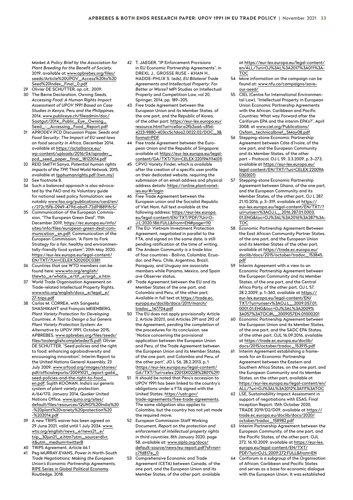<span id="page-32-0"></span>*Market A Policy Brief by the Association for Plant Breeding for the Benefit of Society,* 2019, available at [www.apbrebes.org/files/](https://www.apbrebes.org/files/seeds/Article UPOV_Access to Seed Index_Final_0.pdf) [seeds/Article%20UPOV\\_Access%20to%20](https://www.apbrebes.org/files/seeds/Article UPOV_Access to Seed Index_Final_0.pdf) [Seed%20Index\\_Final\\_0.pdf](https://www.apbrebes.org/files/seeds/Article UPOV_Access to Seed Index_Final_0.pdf)

- 29 Olivier DE SCHUTTER, *op. cit.,* 2009.
- 30 The Berne Declaration, *Owning Seeds, Accessing Food: A Human Rights Impact Assessment of UPOV 1991 Based on Case Studies in Kenya, Peru and the Philippines,* 2014, [www.publiceye.ch/fileadmin/doc/](https://www.publiceye.ch/fileadmin/doc/Saatgut/2014_Public_Eye_Owning_Seed_-_Accessing_Food_Report.pdf) [Saatgut/2014\\_Public\\_Eye\\_Owning\\_](https://www.publiceye.ch/fileadmin/doc/Saatgut/2014_Public_Eye_Owning_Seed_-_Accessing_Food_Report.pdf) [Seed\\_-\\_Accessing\\_Food\\_Report.pdf](https://www.publiceye.ch/fileadmin/doc/Saatgut/2014_Public_Eye_Owning_Seed_-_Accessing_Food_Report.pdf)
- 31 APRODEV PCD Discussion Paper, *Seeds and Food Security: The Impact of EU seed laws on food security in Africa,* December 2014, available at [https://actalliance.eu/](https://actalliance.eu/wp-content/uploads/2016/04/aprodev_pcd_seed_paper_final_18122014.pdf) [wp-content/uploads/2016/04/aprodev\\_](https://actalliance.eu/wp-content/uploads/2016/04/aprodev_pcd_seed_paper_final_18122014.pdf) [pcd\\_seed\\_paper\\_final\\_18122014.pdf](https://actalliance.eu/wp-content/uploads/2016/04/aprodev_pcd_seed_paper_final_18122014.pdf)
- 32 REID SMITH Sanya, *Potential human rights impacts of the TPP,* Third World Network, 2015, available at [tpphumanrights.pdf \(twn.my\)](https://twn.my/title2/FTAs/General/TPPHumanRights.pdf)
- 33 See footnote 8.
- 34 Such a balanced approach is also advocated by the FAO and its Voluntary guide for national seed policy formulation; see notably [www.fao.org/publications/card/en/](http://www.fao.org/publications/card/en/c/272c15fb-0949-479d-aba9-72d918891fc5/) [c/272c15fb-0949-479d-aba9-72d918891fc5/](http://www.fao.org/publications/card/en/c/272c15fb-0949-479d-aba9-72d918891fc5/)
- 35 Communication of the European Commission, "The European Green Deal", 11th December 2019, [https://ec.europa.eu/info/](https://ec.europa.eu/info/sites/info/files/european-green-deal-communication_en.pdf) [sites/info/files/european-green-deal-com](https://ec.europa.eu/info/sites/info/files/european-green-deal-communication_en.pdf)[munication\\_en.pdf](https://ec.europa.eu/info/sites/info/files/european-green-deal-communication_en.pdf); Communication of the European Commission, "A Farm to Fork Strategy for a fair, healthy and environmentally-friendly food system", 20th May 2020, [https://eur-lex.europa.eu/legal-content/](https://eur-lex.europa.eu/legal-content/EN/TXT/?uri=CELEX:52020DC0381) [EN/TXT/?Uri=CELEX:52020DC0381](https://eur-lex.europa.eu/legal-content/EN/TXT/?uri=CELEX:52020DC0381)
- 36 Countries that are WTO members can be found here: [www.wto.org/english/](https://www.wto.org/english/thewto_e/whatis_e/tif_e/org6_e.htm) [thewto\\_e/whatis\\_e/tif\\_e/org6\\_e.htm](https://www.wto.org/english/thewto_e/whatis_e/tif_e/org6_e.htm)
- 37 World Trade Organisation Agreement on Trade-related Intellectual Property Rights, [www.wto.org/english/docs\\_e/legal\\_e/](https://www.wto.org/english/docs_e/legal_e/27-trips.pdf) [27-trips.pdf](https://www.wto.org/english/docs_e/legal_e/27-trips.pdf)
- 38 Carlos M. CORREA, with Sangeeta SHASHIKANT and François MEIENBERG, *Plant Variety Protection for Developing Countries. A Tool to Design a Sui Generis Plant Variety Protection System: An Alternative to UPOV 1991,* October 2015, APBREBES, [www.apbrebes.org/files/seeds/](https://www.apbrebes.org/files/seeds/files/ToolEnglishcompleteDez15.pdf) [files/toolenglishcompletedez15.pdf](https://www.apbrebes.org/files/seeds/files/ToolEnglishcompleteDez15.pdf); Olivier DE SCHUTTER, "Seed policies and the right to food: enhancing agrobiodiversity and encouraging innovation", Interim Report to the United Nations General Assembly, 23 July 2009, [www.srfood.org/images/stories/](http://www.srfood.org/images/stories/pdf/officialreports/20091021_report-ga64_seed-policies-and-the-right-to-food_en.pdf) [pdf/officialreports/20091021\\_report-ga64\\_](http://www.srfood.org/images/stories/pdf/officialreports/20091021_report-ga64_seed-policies-and-the-right-to-food_en.pdf) [seed-policies-and-the-right-to-food\\_](http://www.srfood.org/images/stories/pdf/officialreports/20091021_report-ga64_seed-policies-and-the-right-to-food_en.pdf) [en.pdf;](http://www.srfood.org/images/stories/pdf/officialreports/20091021_report-ga64_seed-policies-and-the-right-to-food_en.pdf) Sujith KOONAN, *India's sui generis system of plant variety protection,* A/64/170, January 2014, Quaker United Nations Office, [www.quno.org/sites/](https://www.quno.org/sites/default/files/resources/QUNO India - plant variety protection - 2014.pdf) [default/files/resources/QUNO%20India%20](https://www.quno.org/sites/default/files/resources/QUNO India - plant variety protection - 2014.pdf) [-%20plant%20variety%20protection%20](https://www.quno.org/sites/default/files/resources/QUNO India - plant variety protection - 2014.pdf) [-%202014.pdf](https://www.quno.org/sites/default/files/resources/QUNO India - plant variety protection - 2014.pdf)
- 39 A new TRIPS waiver has been agreed on 29 June 2021, valid until 1 July 2034. [www.](https://www.wto.org/english/news_e/news21_e/trip_30jun21_e.htm?utm_source=dlvr.it&utm_medium=twitterB) [wto.org/english/news\\_e/news21\\_e/](https://www.wto.org/english/news_e/news21_e/trip_30jun21_e.htm?utm_source=dlvr.it&utm_medium=twitterB) [trip\\_30jun21\\_e.htm?utm\\_source=dlvr.](https://www.wto.org/english/news_e/news21_e/trip_30jun21_e.htm?utm_source=dlvr.it&utm_medium=twitterB) [it&utm\\_medium=twitterB](https://www.wto.org/english/news_e/news21_e/trip_30jun21_e.htm?utm_source=dlvr.it&utm_medium=twitterB)
- 40 TRIPS Agreement, Article 66.1
- 41 Peg MURRAY-EVANS, *Power in North-South Trade Negotiations: Making the European Union's Economic Partnership Agreements,*  RIPE Series in Global Political Economy, Routledge, 2018.
- 42 T. JAEGER, "IP Enforcement Provisions in EU Economic Partnership Agreements", in DREXL J., GROSSE RUSE - KHAN H., NADDE-PHLIX S. (eds), *EU Bilateral Trade Agreements and Intellectual Property: For Better or Worse?* MPI Studies on Intellectual Property and Competition Law, vol 20, Springer, 2014, pp. 189–205.
- 43 Free trade Agreement between the European Union and its Member States, of the one part, and the Republic of Korea, of the other part: [https://eur-lex.europa.eu/](https://eur-lex.europa.eu/resource.html?uri=cellar:a2fb2aa6-c85d-4223-9880-403cc5c1daa2.0022.02/DOC_3&format=PDF) [resource.html?uri=cellar:a2fb2aa6-c85d-](https://eur-lex.europa.eu/resource.html?uri=cellar:a2fb2aa6-c85d-4223-9880-403cc5c1daa2.0022.02/DOC_3&format=PDF)[4223-9880-403cc5c1daa2.0022.02/DOC\\_3&](https://eur-lex.europa.eu/resource.html?uri=cellar:a2fb2aa6-c85d-4223-9880-403cc5c1daa2.0022.02/DOC_3&format=PDF) [format=PDF](https://eur-lex.europa.eu/resource.html?uri=cellar:a2fb2aa6-c85d-4223-9880-403cc5c1daa2.0022.02/DOC_3&format=PDF)
- 44 Free trade Agreement between the European Union and the Republic of Singapore; available at [https://eur-lex.europa.eu/legal](https://eur-lex.europa.eu/legal-content/GA/TXT/?uri=CELEX:22019A1114(01))[content/GA/TXT/?Uri=CELEX:22019A1114\(01\)](https://eur-lex.europa.eu/legal-content/GA/TXT/?uri=CELEX:22019A1114(01))
- 45 CPVO Variety Finder, which is available after the creation of a specific user profile on their dedicated website, requiring the submission of an email address and physical address details: [https://online.plantvariet](https://online.plantvarieties.eu/#/login)[ies.eu/#/login](https://online.plantvarieties.eu/#/login)
- 46 Free Trade Agreement between the European union and the Socialist Republic of Viet Nam, full text available at the following address: [https://eur-lex.europa.](https://eur-lex.europa.eu/legal-content/EN/TXT/PDF/?uri=OJ:L:2020:186:FULL&from=EN#page=110) [eu/legal-content/EN/TXT/PDF/?Uri=O-](https://eur-lex.europa.eu/legal-content/EN/TXT/PDF/?uri=OJ:L:2020:186:FULL&from=EN#page=110)[J:L:2020:186:FULL&from=EN#page=110](https://eur-lex.europa.eu/legal-content/EN/TXT/PDF/?uri=OJ:L:2020:186:FULL&from=EN#page=110)
- 47 The EU- Vietnam Investment Protection Agreement, negotiated in parallel to the FTA, and signed on the same date, is still pending ratification at the time of writing.
- 48 The Andean Community is a trade bloc of four countries - Bolivia, Colombia, Ecuador, and Peru. Chile, Argentina, Brazil, Paraguay, and Uruguay are associate members while Panama, Mexico, and Spain ave Observer status.
- 49 Trade Agreement between the EU and its Member States of the one part, and Colombia and Peru, of the other part; Available in full text at [https://trade.ec.](https://trade.ec.europa.eu/doclib/docs/2011/march/tradoc_147704.pdf) [europa.eu/doclib/docs/2011/march/](https://trade.ec.europa.eu/doclib/docs/2011/march/tradoc_147704.pdf) [tradoc\\_147704.pdf](https://trade.ec.europa.eu/doclib/docs/2011/march/tradoc_147704.pdf)
- 50 The EU does not apply provisionally Article 2, Article 202(1), and Articles 291 and 292 of the Agreement, pending the completion of the procedures for its conclusion, see "Notice concerning the provisional application between the European Union and Peru, of the Trade Agreement between the European Union and its Member States, of the one part, and Colombia and Peru, of the other part", JO L 56, 28.2.2013, p.1 (https://eur-lex.europa.eu/legal-content/ GA/TXT/?uri=celex:22013X0228%2801%29)
- 51 It should be noted that Peru's accession to UPOV 1991 has been linked to the country's obligations under a FTA signed with the United States: [https://ustr.gov/](https://ustr.gov/trade-agreements/free-trade-agreements) [trade-agreements/free-trade-agreements.](https://ustr.gov/trade-agreements/free-trade-agreements) The same obligation also applies to Colombia, but the country has not yet made the required move.
- 52 European Commission Staff Working Document, *Report on the protection and enforcement of intellectual property rights in third countries,* 8th January 2020, page 58, available at: [www.aipla.org/docs/](https://www.aipla.org/docs/default-source/news/eu-report.pdf?sfvrsn=c7fd817e_0) [default-source/news/eu-report.pdf?sfvrsn=](https://www.aipla.org/docs/default-source/news/eu-report.pdf?sfvrsn=c7fd817e_0) [c7fd817e\\_0](https://www.aipla.org/docs/default-source/news/eu-report.pdf?sfvrsn=c7fd817e_0)
- 53 [Comprehensive Economic and Trade](https://eur-lex.europa.eu/legal-content/EN/AUTO/?uri=uriserv:OJ.L_.2017.011.01.0023.01.ENG&toc=OJ:L:2017:011:TOC)  [Agreement \(CETA\) between Canada, of the](https://eur-lex.europa.eu/legal-content/EN/AUTO/?uri=uriserv:OJ.L_.2017.011.01.0023.01.ENG&toc=OJ:L:2017:011:TOC)  [one part, and the European Union and its](https://eur-lex.europa.eu/legal-content/EN/AUTO/?uri=uriserv:OJ.L_.2017.011.01.0023.01.ENG&toc=OJ:L:2017:011:TOC)  [Member States, of the other part,](https://eur-lex.europa.eu/legal-content/EN/AUTO/?uri=uriserv:OJ.L_.2017.011.01.0023.01.ENG&toc=OJ:L:2017:011:TOC) available

at [https://eur-lex.europa.eu/legal-content/](https://eur-lex.europa.eu/legal-content/en/ALL/?uri=OJ%3AL%3A2017%3A011%3ATOC) [en/ALL/?uri=OJ%3AL%3A2017%3A011%3A-](https://eur-lex.europa.eu/legal-content/en/ALL/?uri=OJ%3AL%3A2017%3A011%3ATOC)[TOC](https://eur-lex.europa.eu/legal-content/en/ALL/?uri=OJ%3AL%3A2017%3A011%3ATOC)

- 54 More information on the campaign can be found at: [www.nfu.ca/campaigns/save](https://www.nfu.ca/campaigns/save-our-seed/)[our-seed/](https://www.nfu.ca/campaigns/save-our-seed/)
- 55 CIEL (Centre for International Environmental Law), "Intellectual Property in European Union Economic Partnership Agreements with the African, Caribbean and Pacific Countries: What way Forward after the Cariforum EPA and the interim EPA's?", April 2008, at [www.ciel.org/Publications/](https://www.ciel.org/Publications/Oxfam_TechnicalBrief_5May08.pdf) [Oxfam\\_technicalbrief\\_5May08.pdf](https://www.ciel.org/Publications/Oxfam_TechnicalBrief_5May08.pdf)
- 56 Stepping-stone Economic Partnership Agreement between Côte d'Ivoire, of the one part, and the European Community and its Member States, of the other part – Protocol, OJ L 59, 3.3.2009, p. 3–273, .<br>available at <u>https://eur-lex.europa.eu/</u> [legal-content/EN/TXT/?uri=CELEX:22009A](https://eur-lex.europa.eu/legal-content/EN/TXT/?uri=CELEX:22009A0303(01)) [0303\(01\)](https://eur-lex.europa.eu/legal-content/EN/TXT/?uri=CELEX:22009A0303(01))
- 57 Stepping-stone Economic Partnership Agreement between Ghana, of the one part, and the European Community and its Member States, of the other part, OJ L 287, 21.10.2016, p. 3–319, available at [https://](https://eur-lex.europa.eu/legal-content/EN/TXT/?uri=uriserv%3AOJ.L_.2016.287.01.0003.01.ENG&toc=OJ%3AL%3A2016%3A287%3ATOC) [eur-lex.europa.eu/legal-content/EN/TXT/?](https://eur-lex.europa.eu/legal-content/EN/TXT/?uri=uriserv%3AOJ.L_.2016.287.01.0003.01.ENG&toc=OJ%3AL%3A2016%3A287%3ATOC) [uri=uriserv%3AOJ.L\\_.2016.287.01.0003.](https://eur-lex.europa.eu/legal-content/EN/TXT/?uri=uriserv%3AOJ.L_.2016.287.01.0003.01.ENG&toc=OJ%3AL%3A2016%3A287%3ATOC) [01.ENG&toc=OJ%3AL%3A2016%3A287%3A-](https://eur-lex.europa.eu/legal-content/EN/TXT/?uri=uriserv%3AOJ.L_.2016.287.01.0003.01.ENG&toc=OJ%3AL%3A2016%3A287%3ATOC)[TOC](https://eur-lex.europa.eu/legal-content/EN/TXT/?uri=uriserv%3AOJ.L_.2016.287.01.0003.01.ENG&toc=OJ%3AL%3A2016%3A287%3ATOC)
- 58 Economic Partnership Agreement Between the East African Community Partner States, of the one part, and the European Union and its Member States of the other part, available at [https://trade.ec.europa.eu/](https://trade.ec.europa.eu/doclib/docs/2015/october/tradoc_153845.pdf) [doclib/docs/2015/october/tradoc\\_153845.](https://trade.ec.europa.eu/doclib/docs/2015/october/tradoc_153845.pdf) [pdf](https://trade.ec.europa.eu/doclib/docs/2015/october/tradoc_153845.pdf)
- 59 Interim Agreement with a view to an Economic Partnership Agreement between the European Community and its Member States, of the one part, and the Central Africa Party, of the other part, OJ L 57 28.2.2009, p.1–360, available at [https://](https://eur-lex.europa.eu/legal-content/EN/TXT/?uri=uriserv%3AOJ.L_.2009.057.01.0001.01.ENG&toc=OJ%3AL%3A2009%3A057%3ATOC#L_2009057EN.01000201) [eur-lex.europa.eu/legal-content/EN/](https://eur-lex.europa.eu/legal-content/EN/TXT/?uri=uriserv%3AOJ.L_.2009.057.01.0001.01.ENG&toc=OJ%3AL%3A2009%3A057%3ATOC#L_2009057EN.01000201) [TXT/?uri=uriserv%3AOJ.L\\_.2009.057.01.](https://eur-lex.europa.eu/legal-content/EN/TXT/?uri=uriserv%3AOJ.L_.2009.057.01.0001.01.ENG&toc=OJ%3AL%3A2009%3A057%3ATOC#L_2009057EN.01000201) [0001.01.ENG&toc=OJ%3AL%3A2009%](https://eur-lex.europa.eu/legal-content/EN/TXT/?uri=uriserv%3AOJ.L_.2009.057.01.0001.01.ENG&toc=OJ%3AL%3A2009%3A057%3ATOC#L_2009057EN.01000201) [3A057%3ATOC#L\\_2009057EN.01000201](https://eur-lex.europa.eu/legal-content/EN/TXT/?uri=uriserv%3AOJ.L_.2009.057.01.0001.01.ENG&toc=OJ%3AL%3A2009%3A057%3ATOC#L_2009057EN.01000201)
- 60 Economic Partnership Agreement between the European Union and its Member States, of the one part, and the SADC EPA States, of the other part, OJL 16.09.2016, available at [https://trade.ec.europa.eu/doclib/](https://trade.ec.europa.eu/doclib/docs/2015/october/tradoc_153915.pdf) [docs/2015/october/tradoc\\_153915.pdf](https://trade.ec.europa.eu/doclib/docs/2015/october/tradoc_153915.pdf)
- 61 Interim Agreement establishing a framework for an Economic Partnership Agreement between the Eastern and Southern Africa States, on the one part, and the European Community and its Member States, on the other part, available at [https://eur-lex.europa.eu/legal-content/en/](https://eur-lex.europa.eu/legal-content/en/ALL/?uri=OJ%3AL%3A2012%3A111%3ATOC) [ALL/?uri=OJ%3AL%3A2012%3A111%3ATOC](https://eur-lex.europa.eu/legal-content/en/ALL/?uri=OJ%3AL%3A2012%3A111%3ATOC)
- 62 LSE, Sustainability Impact Assessment in support of negotiations with ESA5, Final Inception Report, 15th October 2020, TRADE 2019/D2/D09, available at https:// trade.ec.europa.eu/doclib/docs/2020/ october/tradoc\_158982.pdf
- 63 Interim Partnership Agreement between the European Community, of the one part, and the Pacific States, of the other part. OJL 272, 16.10.2009, available at [https://eur-lex.](https://eur-lex.europa.eu/legal-content/EN/TXT/PDF/?uri=OJ:L:2009:272:FULL&from=EN) [europa.eu/legal-content/EN/TXT/](https://eur-lex.europa.eu/legal-content/EN/TXT/PDF/?uri=OJ:L:2009:272:FULL&from=EN) [PDF/?uri=OJ:L:2009:272:FULL&from=EN](https://eur-lex.europa.eu/legal-content/EN/TXT/PDF/?uri=OJ:L:2009:272:FULL&from=EN)
- 64 Cariforum is a subgroup of the Organisation of African, Caribbean and Pacific States and serves as a base for economic dialogue with the European Union. It was established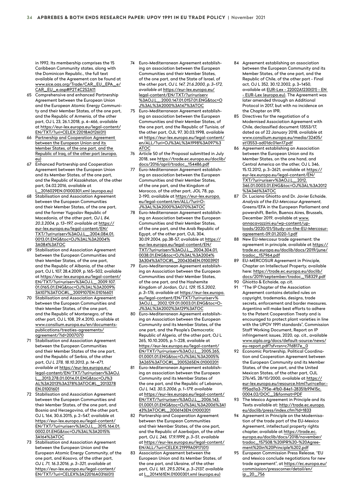<span id="page-33-0"></span>in 1992. Its membership comprises the 15 Caribbean Community states, along with the Dominican Republic., the full text available of the Agreement can be found at [www.sice.oas.org/Trade/CAR\\_EU\\_EPA\\_e/](http://www.sice.oas.org/Trade/CAR_EU_EPA_e/CAR_EU_e.asp#P2T4C2S2A11) [CAR\\_EU\\_e.asp#P2T4C2S2A11](http://www.sice.oas.org/Trade/CAR_EU_EPA_e/CAR_EU_e.asp#P2T4C2S2A11)

- 65 Comprehensive and enhanced Partnership Agreement between the European Union and the European Atomic Energy Community and their Member States, of the one part, and the Republic of Armenia, of the other part, OJ L 23, 26.1.2018, p. 4–466, available at [https://eur-lex.europa.eu/legal-content/](https://eur-lex.europa.eu/legal-content/EN/TXT/?uri=CELEX:22018A0126(01)) [EN/TXT/?uri=CELEX:22018A0126\(01\)](https://eur-lex.europa.eu/legal-content/EN/TXT/?uri=CELEX:22018A0126(01))
- Partnership and Cooperation Agreement [between the European Union and its](https://eur-lex.europa.eu/LexUriServ/LexUriServ.do?uri=OJ:L:2012:204:0020:0130:EN:PDF)  [Member States, of the one part, and the](https://eur-lex.europa.eu/LexUriServ/LexUriServ.do?uri=OJ:L:2012:204:0020:0130:EN:PDF)  [Republic of Iraq, of the other part \(europa.](https://eur-lex.europa.eu/LexUriServ/LexUriServ.do?uri=OJ:L:2012:204:0020:0130:EN:PDF) [eu\)](https://eur-lex.europa.eu/LexUriServ/LexUriServ.do?uri=OJ:L:2012:204:0020:0130:EN:PDF)
- 67 Enhanced Partnership and Cooperation Agreement between the European Union and its Member States, of the one part, and the Republic of Kazakhstan, of the other part, 04.02.2016, available at L\_2016029EN.01000301.xml (europa.eu)
- Stabilisation and Association Agreement between the European Communities and their Member States, of the one part, and the former Yugoslav Republic of Macedonia, of the other part, *OJ L 84, 20.3.2004, p.13–197, available at* [https://](https://eur-lex.europa.eu/legal-content/EN/TXT/?uri=uriserv%3AOJ.L_.2004.084.01.0013.01.ENG&toc=OJ%3AL%3A2004%3A084%3ATOC) [eur-lex.europa.eu/legal-content/EN/](https://eur-lex.europa.eu/legal-content/EN/TXT/?uri=uriserv%3AOJ.L_.2004.084.01.0013.01.ENG&toc=OJ%3AL%3A2004%3A084%3ATOC) [TXT/?uri=uriserv%3AOJ.L\\_.2004.084.01.](https://eur-lex.europa.eu/legal-content/EN/TXT/?uri=uriserv%3AOJ.L_.2004.084.01.0013.01.ENG&toc=OJ%3AL%3A2004%3A084%3ATOC) [0013.01.ENG&toc=OJ%3AL%3A2004%](https://eur-lex.europa.eu/legal-content/EN/TXT/?uri=uriserv%3AOJ.L_.2004.084.01.0013.01.ENG&toc=OJ%3AL%3A2004%3A084%3ATOC) [3A084%3ATOC](https://eur-lex.europa.eu/legal-content/EN/TXT/?uri=uriserv%3AOJ.L_.2004.084.01.0013.01.ENG&toc=OJ%3AL%3A2004%3A084%3ATOC)
- Stabilisation and Association Agreement between the European Communities and their Member States, of the one part, and the Republic of Albania, of the other part, OJ L 107, 28.4.2009, p.165–502, available at [https://eur-lex.europa.eu/legal-content/](https://eur-lex.europa.eu/legal-content/EN/TXT/?uri=uriserv%3AOJ.L_.2009.107.01.0165.01.ENG&toc=OJ%3AL%3A2009%3A107%3ATOC#L_2009107EN.01016601) [EN/TXT/?uri=uriserv%3AOJ.L\\_.2009.107.](https://eur-lex.europa.eu/legal-content/EN/TXT/?uri=uriserv%3AOJ.L_.2009.107.01.0165.01.ENG&toc=OJ%3AL%3A2009%3A107%3ATOC#L_2009107EN.01016601) [01.0165.01.ENG&toc=OJ%3AL%3A2009%](https://eur-lex.europa.eu/legal-content/EN/TXT/?uri=uriserv%3AOJ.L_.2009.107.01.0165.01.ENG&toc=OJ%3AL%3A2009%3A107%3ATOC#L_2009107EN.01016601) [3A107%3ATOC#L\\_2009107EN.01016601](https://eur-lex.europa.eu/legal-content/EN/TXT/?uri=uriserv%3AOJ.L_.2009.107.01.0165.01.ENG&toc=OJ%3AL%3A2009%3A107%3ATOC#L_2009107EN.01016601)
- Stabilisation and Association Agreement between the European Communities and their Member States, of the one part, and the Republic of Montenegro, of the other part, OJ L 108, 29.4.2010, available at www.consilium.europa.eu/en/documentspublications/treaties-agreements/ agreement/?id=2007070
- 71 Stabilisation and Association Agreement between the European Communities and their Member States of the one part, and the Republic of Serbia, of the other part, *OJ L 278, 18.10.2013, p.14–471, available at* [https://eur-lex.europa.eu/](https://eur-lex.europa.eu/legal-content/EN/TXT/?uri=uriserv%3AOJ.L_.2013.278.01.0014.01.ENG&toc=OJ%3AL%3A2013%3A278%3ATOC#L_2013278EN.01001601) [legal-content/EN/TXT/?uri=uriserv%3AOJ.](https://eur-lex.europa.eu/legal-content/EN/TXT/?uri=uriserv%3AOJ.L_.2013.278.01.0014.01.ENG&toc=OJ%3AL%3A2013%3A278%3ATOC#L_2013278EN.01001601) [L\\_.2013.278.01.0014.01.ENG&toc=OJ%3](https://eur-lex.europa.eu/legal-content/EN/TXT/?uri=uriserv%3AOJ.L_.2013.278.01.0014.01.ENG&toc=OJ%3AL%3A2013%3A278%3ATOC#L_2013278EN.01001601) [AL%3A2013%3A278%3ATOC#L\\_2013278](https://eur-lex.europa.eu/legal-content/EN/TXT/?uri=uriserv%3AOJ.L_.2013.278.01.0014.01.ENG&toc=OJ%3AL%3A2013%3A278%3ATOC#L_2013278EN.01001601) [EN.01001601](https://eur-lex.europa.eu/legal-content/EN/TXT/?uri=uriserv%3AOJ.L_.2013.278.01.0014.01.ENG&toc=OJ%3AL%3A2013%3A278%3ATOC#L_2013278EN.01001601)
- 72 Stabilisation and Association Agreement between the European Communities and their Member States, of the one part, and Bosnia and Herzegovina, of the other part, OJ L 164, 30.6.2015, p. 2–547, available at [https://eur-lex.europa.eu/legal-content/](https://eur-lex.europa.eu/legal-content/EN/TXT/?uri=uriserv%3AOJ.L_.2015.164.01.0002.01.ENG&toc=OJ%3AL%3A2015%3A164%3ATOC) [EN/TXT/?uri=uriserv%3AOJ.L\\_.2015.164.01.](https://eur-lex.europa.eu/legal-content/EN/TXT/?uri=uriserv%3AOJ.L_.2015.164.01.0002.01.ENG&toc=OJ%3AL%3A2015%3A164%3ATOC) [0002.01.ENG&toc=OJ%3AL%3A2015%](https://eur-lex.europa.eu/legal-content/EN/TXT/?uri=uriserv%3AOJ.L_.2015.164.01.0002.01.ENG&toc=OJ%3AL%3A2015%3A164%3ATOC) [3A164%3ATOC](https://eur-lex.europa.eu/legal-content/EN/TXT/?uri=uriserv%3AOJ.L_.2015.164.01.0002.01.ENG&toc=OJ%3AL%3A2015%3A164%3ATOC)
- 73 Stabilisation and Association Agreement between the European Union and the European Atomic Energy Community, of the one part, and Kosovo, of the other part, *OJ L 71, 16.3.2016, p. 3–321, available at*  [https://eur-lex.europa.eu/legal-content/](https://eur-lex.europa.eu/legal-content/EN/TXT/?uri=CELEX%3A22016A0316(01)) [EN/TXT/?uri=CELEX%3A22016A0316\(01\)](https://eur-lex.europa.eu/legal-content/EN/TXT/?uri=CELEX%3A22016A0316(01))
- 74 Euro-Mediterranean Agreement establishing an association between the European Communities and their Member States, of the one part, and the State of Israel, of the other part, *OJ L 147, 21.6.2000, p. 3–172, available at* [https://eur-lex.europa.eu/](https://eur-lex.europa.eu/legal-content/EN/TXT/?uri=uriserv%3AOJ.L_.2000.147.01.0157.01.ENG&toc=OJ%3AL%3A2000%3A147%3ATOC) [legal-content/EN/TXT/?uri=uriserv](https://eur-lex.europa.eu/legal-content/EN/TXT/?uri=uriserv%3AOJ.L_.2000.147.01.0157.01.ENG&toc=OJ%3AL%3A2000%3A147%3ATOC) [%3AOJ.L\\_.2000.147.01.0157.01.ENG&toc=O](https://eur-lex.europa.eu/legal-content/EN/TXT/?uri=uriserv%3AOJ.L_.2000.147.01.0157.01.ENG&toc=OJ%3AL%3A2000%3A147%3ATOC) [J%3AL%3A2000%3A147%3ATOC](https://eur-lex.europa.eu/legal-content/EN/TXT/?uri=uriserv%3AOJ.L_.2000.147.01.0157.01.ENG&toc=OJ%3AL%3A2000%3A147%3ATOC)
- 75 Euro-Mediterranean Agreement establishing an association between the European Communities and their Member States, of the one part, and the Republic of Tunisia, of the other part, OJL 97, 30.03.1998, available at [https://eur-lex.europa.eu/legal-content/](https://eur-lex.europa.eu/legal-content/en/ALL/?uri=OJ%3AL%3A1998%3A097%3ATOC) [en/ALL/?uri=OJ%3AL%3A1998%3A097%3](https://eur-lex.europa.eu/legal-content/en/ALL/?uri=OJ%3AL%3A1998%3A097%3ATOC) [ATOC](https://eur-lex.europa.eu/legal-content/en/ALL/?uri=OJ%3AL%3A1998%3A097%3ATOC)
- 76 Article 50 of the Proposal submitted in July 2018, see [https://trade.ec.europa.eu/doclib/](https://trade.ec.europa.eu/doclib/docs/2016/april/tradoc_154486.pdf) [docs/2016/april/tradoc\\_154486.pdf](https://trade.ec.europa.eu/doclib/docs/2016/april/tradoc_154486.pdf)
- Euro-Mediterranean Agreement establishing an association between the European Communities and their Member States, of the one part, and the Kingdom of Morocco, of the other part, JOL 78, pp. 2-190, available at [https://eur-lex.europa.](https://eur-lex.europa.eu/legal-content/en/ALL/?uri=OJ%3AL%3A2000%3A070%3ATOC) [eu/legal-content/en/ALL/?uri=O-](https://eur-lex.europa.eu/legal-content/en/ALL/?uri=OJ%3AL%3A2000%3A070%3ATOC)[J%3AL%3A2000%3A070%3ATOC](https://eur-lex.europa.eu/legal-content/en/ALL/?uri=OJ%3AL%3A2000%3A070%3ATOC)
- 78 Euro-Mediterranean Agreement establishing an Association between the European Communities and their Member States, of the one part, and the Arab Republic of Egypt, of the other part, OJL 304, 30.09.2004, pp.38-57, available at [https://](https://eur-lex.europa.eu/legal-content/EN/TXT/?uri=uriserv%3AOJ.L_.2004.304.01.0038.01.ENG&toc=OJ%3AL%3A2004%3A304%3ATOC#L_2004304EN.01003901) [eur-lex.europa.eu/legal-content/EN/](https://eur-lex.europa.eu/legal-content/EN/TXT/?uri=uriserv%3AOJ.L_.2004.304.01.0038.01.ENG&toc=OJ%3AL%3A2004%3A304%3ATOC#L_2004304EN.01003901) [TXT/?uri=uriserv%3AOJ.L\\_.2004.304.01.](https://eur-lex.europa.eu/legal-content/EN/TXT/?uri=uriserv%3AOJ.L_.2004.304.01.0038.01.ENG&toc=OJ%3AL%3A2004%3A304%3ATOC#L_2004304EN.01003901) [0038.01.ENG&toc=OJ%3AL%3A2004%](https://eur-lex.europa.eu/legal-content/EN/TXT/?uri=uriserv%3AOJ.L_.2004.304.01.0038.01.ENG&toc=OJ%3AL%3A2004%3A304%3ATOC#L_2004304EN.01003901) [3A304%3ATOC#L\\_2004304EN.01003901](https://eur-lex.europa.eu/legal-content/EN/TXT/?uri=uriserv%3AOJ.L_.2004.304.01.0038.01.ENG&toc=OJ%3AL%3A2004%3A304%3ATOC#L_2004304EN.01003901)
- 79 Euro-Mediterranean Agreement establishing an Association between the European Communities and their Member States, of the one part, and the Hashemite Kingdom of Jordan, *OJ L 129, 15.5.2002, p. 3–176, available at* [https://eur-lex.europa.](https://eur-lex.europa.eu/legal-content/EN/TXT/?uri=uriserv%3AOJ.L_.2002.129.01.0003.01.ENG&toc=OJ%3AL%3A2002%3A129%3ATOC) [eu/legal-content/EN/TXT/?uri=uriserv%](https://eur-lex.europa.eu/legal-content/EN/TXT/?uri=uriserv%3AOJ.L_.2002.129.01.0003.01.ENG&toc=OJ%3AL%3A2002%3A129%3ATOC) [3AOJ.L\\_.2002.129.01.0003.01.ENG&toc=O-](https://eur-lex.europa.eu/legal-content/EN/TXT/?uri=uriserv%3AOJ.L_.2002.129.01.0003.01.ENG&toc=OJ%3AL%3A2002%3A129%3ATOC)[J%3AL%3A2002%3A129%3ATOC](https://eur-lex.europa.eu/legal-content/EN/TXT/?uri=uriserv%3AOJ.L_.2002.129.01.0003.01.ENG&toc=OJ%3AL%3A2002%3A129%3ATOC)
- 80 Euro-Mediterranean Agreement establishing an Association between the European Community and its Member States, of the one part, and the People's Democratic Republic of Algeria, of the other part, OJ L 265, 10.10.2005, p.1–228, available at [https://eur-lex.europa.eu/legal-content/](https://eur-lex.europa.eu/legal-content/EN/TXT/?uri=uriserv%3AOJ.L_.2005.265.01.0001.01.ENG&toc=OJ%3AL%3A2005%3A265%3ATOC#L_2005265EN.01000201) [EN/TXT/?uri=uriserv%3AOJ.L\\_.2005.265.](https://eur-lex.europa.eu/legal-content/EN/TXT/?uri=uriserv%3AOJ.L_.2005.265.01.0001.01.ENG&toc=OJ%3AL%3A2005%3A265%3ATOC#L_2005265EN.01000201) [01.0001.01.ENG&toc=OJ%3AL%3A2005%](https://eur-lex.europa.eu/legal-content/EN/TXT/?uri=uriserv%3AOJ.L_.2005.265.01.0001.01.ENG&toc=OJ%3AL%3A2005%3A265%3ATOC#L_2005265EN.01000201) [3A265%3ATOC#L\\_2005265EN.01000201](https://eur-lex.europa.eu/legal-content/EN/TXT/?uri=uriserv%3AOJ.L_.2005.265.01.0001.01.ENG&toc=OJ%3AL%3A2005%3A265%3ATOC#L_2005265EN.01000201)
- 81 Euro-Mediterranean Agreement establishing an association between the European Community and its Member States of the one part, and the Republic of Lebanon, *OJ L 143, 30.5.2006, p.1–179, available at* [https://eur-lex.europa.eu/legal-content/](https://eur-lex.europa.eu/legal-content/EN/TXT/?uri=uriserv%3AOJ.L_.2006.143.01.0001.01.ENG&toc=OJ%3AL%3A2006%3A143%3ATOC#L_2006143EN.01000201) [EN/TXT/?uri=uriserv%3AOJ.L\\_.2006.143.](https://eur-lex.europa.eu/legal-content/EN/TXT/?uri=uriserv%3AOJ.L_.2006.143.01.0001.01.ENG&toc=OJ%3AL%3A2006%3A143%3ATOC#L_2006143EN.01000201) [01.0001.01.ENG&toc=OJ%3AL%3A2006%3A1](https://eur-lex.europa.eu/legal-content/EN/TXT/?uri=uriserv%3AOJ.L_.2006.143.01.0001.01.ENG&toc=OJ%3AL%3A2006%3A143%3ATOC#L_2006143EN.01000201) [43%3ATOC#L\\_2006143EN.01000201](https://eur-lex.europa.eu/legal-content/EN/TXT/?uri=uriserv%3AOJ.L_.2006.143.01.0001.01.ENG&toc=OJ%3AL%3A2006%3A143%3ATOC#L_2006143EN.01000201)
- 82 Partnership and Cooperation Agreement between the European Communities and their Member States, of the one part, and the Republic of Azerbaijan, of the other part, *OJ L 246, 17.9.1999, p. 3–51, available at* [https://eur-lex.europa.eu/legal-content/](https://eur-lex.europa.eu/legal-content/EN/ALL/?uri=CELEX:21999A0917(01)) [EN/ALL/?uri=CELEX:21999A0917\(01\)](https://eur-lex.europa.eu/legal-content/EN/ALL/?uri=CELEX:21999A0917(01))
- 83 Association Agreement between the European Union and its Member States, of the one part, and Ukraine, of the other part, *OJ L 161, 29.5.2014, p. 3–2137, available at* [L\\_2014161EN.01000301.xml \(europa.eu\)](http://publications.europa.eu/resource/cellar/4589a50c-e6e3-11e3-8cd4-01aa75ed71a1.0006.03/DOC_1)
- 84 Agreement establishing an association between the European Community and its Member States, of the one part, and the Republic of Chile, of the other part - Final act, OJ L 352, 30.12.2002, p. 3–1450, available at [EUR-Lex - 22002A1230\(01\) - EN](https://eur-lex.europa.eu/legal-content/EN/TXT/?uri=uriserv%3AOJ.L_.2002.352.01.0003.01.ENG&toc=OJ%3AL%3A2002%3A352%3ATOC)  [- EUR-Lex \(europa.eu\)](https://eur-lex.europa.eu/legal-content/EN/TXT/?uri=uriserv%3AOJ.L_.2002.352.01.0003.01.ENG&toc=OJ%3AL%3A2002%3A352%3ATOC). The Agreement was later amended through an Additional Protocol in 2017, but with no incidence on the Chapter on IPR.
- 85 Directives for the negotiation of a Modernised Association Agreement with Chile, declassified document 13553/17, dated as of 22 January 2018, available at www.consilium.europa.eu/media/32405/ st13553-ad01dc01en17.pdf
- 86 Agreement establishing an Association between the European Union and its Member States, on the one hand, and Central America on the other, OJ L 346, 15.12.2012, p. 3–2621, available at [https://](https://eur-lex.europa.eu/legal-content/EN/TXT/?uri=uriserv%3AOJ.L_.2012.346.01.0003.01.ENG&toc=OJ%3AL%3A2012%3A346%3ATOC) [eur-lex.europa.eu/legal-content/EN/](https://eur-lex.europa.eu/legal-content/EN/TXT/?uri=uriserv%3AOJ.L_.2012.346.01.0003.01.ENG&toc=OJ%3AL%3A2012%3A346%3ATOC) [TXT/?uri=uriserv%3AOJ.L\\_.2012.](https://eur-lex.europa.eu/legal-content/EN/TXT/?uri=uriserv%3AOJ.L_.2012.346.01.0003.01.ENG&toc=OJ%3AL%3A2012%3A346%3ATOC) [346.01.0003.01.ENG&toc=OJ%3AL%3A2012](https://eur-lex.europa.eu/legal-content/EN/TXT/?uri=uriserv%3AOJ.L_.2012.346.01.0003.01.ENG&toc=OJ%3AL%3A2012%3A346%3ATOC) [%3A346%3ATOC](https://eur-lex.europa.eu/legal-content/EN/TXT/?uri=uriserv%3AOJ.L_.2012.346.01.0003.01.ENG&toc=OJ%3AL%3A2012%3A346%3ATOC)
- 87 Dr. Luciana Ghiotto and Dr. Javier Echaide, *Analysis of the EU-Mercosur Agreement,* Greens/EFA in the European Parliament and powershift, Berlin, Buenos Aires, Brussels, December 2019, available at [www.](https://www.annacavazzini.eu/wp-content/uploads/2020/01/Study-on-the-EU-Mercosur-agreement-09.01.2020-1.pdf) [annacavazzini.eu/wp-content/up](https://www.annacavazzini.eu/wp-content/uploads/2020/01/Study-on-the-EU-Mercosur-agreement-09.01.2020-1.pdf)[loads/2020/01/Study-on-the-EU-Mercosur](https://www.annacavazzini.eu/wp-content/uploads/2020/01/Study-on-the-EU-Mercosur-agreement-09.01.2020-1.pdf)[agreement-09.01.2020-1.pdf](https://www.annacavazzini.eu/wp-content/uploads/2020/01/Study-on-the-EU-Mercosur-agreement-09.01.2020-1.pdf)
- 88 New EU-Mercosur trade agreement: the agreement in principle, available at [https://](https://trade.ec.europa.eu/doclib/docs/2019/june/tradoc_157964.pdf) [trade.ec.europa.eu/doclib/docs/2019/june/](https://trade.ec.europa.eu/doclib/docs/2019/june/tradoc_157964.pdf) [tradoc\\_157964.pdf](https://trade.ec.europa.eu/doclib/docs/2019/june/tradoc_157964.pdf)
- [89](#page-17-0) EU-MERCOSUR Agreement in Principle, Chapter on Intellectual Property, available here: [https://trade.ec.europa.eu/doclib/](https://trade.ec.europa.eu/doclib/docs/2019/september/tradoc_158329.pdf) [docs/2019/september/tradoc\\_158329.pdf](https://trade.ec.europa.eu/doclib/docs/2019/september/tradoc_158329.pdf)
- 90 Ghiotto & Echaide, *op. cit.*
- 91 "The IP Chapter of the Association Agreement contains detailed rules on copyright, trademarks, designs, trade secrets, enforcement and border measures. Argentina will make best efforts to adhere to the Patent Cooperation Treaty and is encouraged to protect plant varieties in line with the UPOV 1991 standards", Commission Staff Working Document, Report on IP infringement issues, 2020, op. cit., available [www.aipla.org/docs/default-source/news/](https://www.aipla.org/docs/default-source/news/eu-report.pdf?sfvrsn=c7fd817e_0) [eu-report.pdf?sfvrsn=c7fd817e\\_0](https://www.aipla.org/docs/default-source/news/eu-report.pdf?sfvrsn=c7fd817e_0)
- 92 Economic Partnership, Political Coordination and Cooperation Agreement between the European Community and its Member States, of the one part, and the United Mexican States, of the other part, OJL 276/45, 28/10/2000, available at [https://](https://eur-lex.europa.eu/resource.html?uri=cellar:f95ad1a3-795e-4fb0-84e1-28351b99415c.0004.02/DOC_2&format=PDF) [eur-lex.europa.eu/resource.html?uri=cellar:](https://eur-lex.europa.eu/resource.html?uri=cellar:f95ad1a3-795e-4fb0-84e1-28351b99415c.0004.02/DOC_2&format=PDF) [f95ad1a3-795e-4fb0-84e1-28351b99415c.](https://eur-lex.europa.eu/resource.html?uri=cellar:f95ad1a3-795e-4fb0-84e1-28351b99415c.0004.02/DOC_2&format=PDF) [0004.02/DOC\\_2&format=PDF](https://eur-lex.europa.eu/resource.html?uri=cellar:f95ad1a3-795e-4fb0-84e1-28351b99415c.0004.02/DOC_2&format=PDF)
- 93 The Mexico Agreement in Principle and its Texts available at: [http://trade.ec.europa.](http://trade.ec.europa.eu/doclib/press/index.cfm?Id=1833) [eu/doclib/press/index.cfm?Id=1833](http://trade.ec.europa.eu/doclib/press/index.cfm?Id=1833)
- 94 Agreement in Principle on the Modernisation of the trade part of the EU-Mexico Agreement, intellectual property rights chapter, available at [https://trade.ec.](https://trade.ec.europa.eu/doclib/docs/2018/november/tradoc_157508. IPR - Agreement in Principle 2.pdf) [europa.eu/doclib/docs/2018/november/](https://trade.ec.europa.eu/doclib/docs/2018/november/tradoc_157508. IPR - Agreement in Principle 2.pdf) [tradoc\\_157508.%20IPR%20-%20Agree](https://trade.ec.europa.eu/doclib/docs/2018/november/tradoc_157508. IPR - Agreement in Principle 2.pdf)[ment%20in%20Principle%202.pdf](https://trade.ec.europa.eu/doclib/docs/2018/november/tradoc_157508. IPR - Agreement in Principle 2.pdf)
- 95 European Commission Press Release, "EU and Mexico conclude negotiations for new trade agreement", at [https://ec.europa.eu/](https://ec.europa.eu/commission/presscorner/detail/en/ip_20_756) [commission/presscorner/detail/en/](https://ec.europa.eu/commission/presscorner/detail/en/ip_20_756) [ip\\_20\\_756](https://ec.europa.eu/commission/presscorner/detail/en/ip_20_756)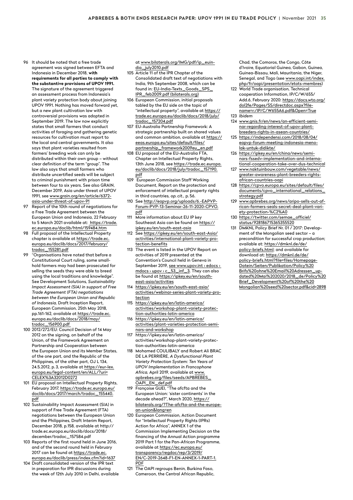- <span id="page-34-0"></span>96 It should be noted that a free trade agreement was signed between EFTA and Indonesia in December 2018, **with requirements for all parties to comply with the substantive provisions of UPOV 1991.**  The signature of the agreement triggered an assessment process from Indonesia's plant variety protection body about joining UPOV 1991. Nothing has moved forward yet, but a new plant cultivation law with controversial provisions was adopted in September 2019. The law now explicitly states that small farmers that conduct activities of foraging and gathering genetic resources for cultivation must report to the local and central governments. It also says that plant varieties resulted from farmers' breeding work can only be distributed within their own group – without clear definition of the term "group". The law also says that small farmers who distribute uncertified seeds will be subject to criminal punishment with prison time between four to six years. See also GRAIN, December 2019, Asia under threat of UPOV 1991, see [www.grain.org/en/article/6372](https://www.grain.org/en/article/6372-asia-under-threat-of-upov-91) [asia-under-threat-of-upov-91](https://www.grain.org/en/article/6372-asia-under-threat-of-upov-91)
- 97 Report of the 10th round of negotiations for a Free Trade Agreement between the European Union and Indonesia, 22 February to 5 March 2021 available at: https://trade. ec.europa.eu/doclib/html/159484.htm
- 98 Full proposal of the Intellectual Property chapter is available at [https://trade.ec.](https://trade.ec.europa.eu/doclib/docs/2017/february/tradoc_155281.pdf) [europa.eu/doclib/docs/2017/february/](https://trade.ec.europa.eu/doclib/docs/2017/february/tradoc_155281.pdf) [tradoc\\_155281.pdf](https://trade.ec.europa.eu/doclib/docs/2017/february/tradoc_155281.pdf)
- "Organisations have noted that before a Constitutional Court ruling, some smallhold farmers may had been prosecuted for selling the seeds they were able to breed using the local traditions and knowledge". See Development Solutions, *Sustainability Impact Assessment (SIA) in support of Free Trade Agreement (FTA) negotiations between the European Union and Republic of Indonesia,* Draft Inception Report, European Commission, 25th May 2018, pp.161-162, available at [https://trade.ec.](https://trade.ec.europa.eu/doclib/docs/2018/may/tradoc_156900.pdf) [europa.eu/doclib/docs/2018/may/](https://trade.ec.europa.eu/doclib/docs/2018/may/tradoc_156900.pdf) [tradoc\\_156900.pdf](https://trade.ec.europa.eu/doclib/docs/2018/may/tradoc_156900.pdf)
- 100 2012/272/EU: Council Decision of 14 May 2012 on the signing, on behalf of the Union, of the Framework Agreement on Partnership and Cooperation between the European Union and its Member States, of the one part, and the Republic of the Philippines, of the other part, OJ L 134, 24.5.2012, p. 3, available at https://eur-lex. europa.eu/legal-content/en/ALL/?uri= CELEX%3A32012D0272
- 101 EU proposal on Intellectual Property Rights, February 2017, [https://trade.ec.europa.eu/](https://trade.ec.europa.eu/doclib/docs/2017/march/tradoc_155440.pdf) [doclib/docs/2017/march/tradoc\\_155440.](https://trade.ec.europa.eu/doclib/docs/2017/march/tradoc_155440.pdf) [pdf](https://trade.ec.europa.eu/doclib/docs/2017/march/tradoc_155440.pdf)
- 102 Sustainability Impact Assessment (SIA) in support of Free Trade Agreement (FTA) negotiations between the European Union and the Philippines, Draft Interim Report, December 2018, p.158, available at http:// trade.ec.europa.eu/doclib/docs/2018/ december/tradoc\_157584.pdf
- 103 Reports of the first round held in June 2016, and of the second round held in February 2017 can be found at [https://trade.ec.](https://trade.ec.europa.eu/doclib/press/index.cfm?id=1637) [europa.eu/doclib/press/index.cfm?id=1637](https://trade.ec.europa.eu/doclib/press/index.cfm?id=1637)
- 104 Draft consolidated version of the IPR text in preparation for IPR discussions during the week of 12th July 2010 in Delhi, available

at www.bilaterals.org/IMG/pdf/ip\_euindia\_july2010.pdf

- 105 Article 11 of the IPR Chapter of the Consolidated draft text of negotiations with India, 9th September 2008, which can be found in: [EU-India-Texts\\_Goods\\_SPS\\_](https://bilaterals.org/IMG/pdf/EU-India-Texts_Goods_SPS_IPR_feb2009.pdf) [IPR\\_feb2009.pdf \(bilaterals.org\)](https://bilaterals.org/IMG/pdf/EU-India-Texts_Goods_SPS_IPR_feb2009.pdf)
- 106 European Commission, initial proposals tabled by the EU side on the topic of "intellectual property", available at [https://](https://trade.ec.europa.eu/doclib/docs/2018/july/tradoc_157204.pdf) [trade.ec.europa.eu/doclib/docs/2018/july/](https://trade.ec.europa.eu/doclib/docs/2018/july/tradoc_157204.pdf) [tradoc\\_157204.pdf](https://trade.ec.europa.eu/doclib/docs/2018/july/tradoc_157204.pdf)
- 107 EU-Australia Partnership Framework: A strategic partnership built on shared values and common ambition, available at [https://](https://eeas.europa.eu/sites/default/files/partnership_framework2009eu_en.pdf) [eeas.europa.eu/sites/default/files/](https://eeas.europa.eu/sites/default/files/partnership_framework2009eu_en.pdf) [partnership\\_framework2009eu\\_en.pdf](https://eeas.europa.eu/sites/default/files/partnership_framework2009eu_en.pdf)
- 108 EU proposal of the EU-Australia FTA, Chapter on Intellectual Property Rights, 13th June 2018, see [https://trade.ec.europa.](https://trade.ec.europa.eu/doclib/docs/2018/july/tradoc_157190.pdf) [eu/doclib/docs/2018/july/tradoc\\_157190.](https://trade.ec.europa.eu/doclib/docs/2018/july/tradoc_157190.pdf) [pdf](https://trade.ec.europa.eu/doclib/docs/2018/july/tradoc_157190.pdf)
- 109 European Commission Staff Working Document, Report on the protection and enforcement of intellectual property rights in third countries, *op. cit.,* p. 56.
- 110 See [http://eapvp.org/uploads/6.-EAPVP-](http://eapvp.org/uploads/6.-EAPVP-Forum-PVP-13-Seminar-26-11-2020-CPVO.pdf)[Forum-PVP-13-Seminar-26-11-2020-CPVO.](http://eapvp.org/uploads/6.-EAPVP-Forum-PVP-13-Seminar-26-11-2020-CPVO.pdf) [pdf](http://eapvp.org/uploads/6.-EAPVP-Forum-PVP-13-Seminar-26-11-2020-CPVO.pdf)
- 111 More information about EU IP key Southeast Asia can be found on [https://](https://ipkey.eu/en/south-east-asia) [ipkey.eu/en/south-east-asia](https://ipkey.eu/en/south-east-asia)
- 112 See [https://ipkey.eu/en/south-east-Asia/](https://ipkey.eu/en/south-east-Asia/activities/international-plant-variety-protection-benefits) [activities/international-plant-variety-pro](https://ipkey.eu/en/south-east-Asia/activities/international-plant-variety-protection-benefits)[tection-benefits](https://ipkey.eu/en/south-east-Asia/activities/international-plant-variety-protection-benefits)
- 113 The event is listed in the UPOV Report on activities of 2019 presented at the Convention's Council held in Geneva in September 2019, see www.upov.int > edocs > mdocs › upov › c\_53\_inf\_3. They can also be found at [https://ipkey.eu/en/south](https://ipkey.eu/en/south-east-asia/activities)[east-asia/activities](https://ipkey.eu/en/south-east-asia/activities)
- 114 [https://ipkey.eu/en/south-east-asia/](https://ipkey.eu/en/south-east-asia/activities/webinar-series-plant-variety-protection) [activities/webinar-series-plant-variety-pro](https://ipkey.eu/en/south-east-asia/activities/webinar-series-plant-variety-protection)[tection](https://ipkey.eu/en/south-east-asia/activities/webinar-series-plant-variety-protection)
- 115 [https://ipkey.eu/en/latin-america/](https://ipkey.eu/en/latin-america/activities/workshop-plant-variety-protection-authorities-latin-america) [activities/workshop-plant-variety-protec](https://ipkey.eu/en/latin-america/activities/workshop-plant-variety-protection-authorities-latin-america)[tion-authorities-latin-america](https://ipkey.eu/en/latin-america/activities/workshop-plant-variety-protection-authorities-latin-america)
- 116 [https://ipkey.eu/en/latin-america/](https://ipkey.eu/en/latin-america/activities/plant-varieties-protection-seminars-and-workshop) [activities/plant-varieties-protection-semi](https://ipkey.eu/en/latin-america/activities/plant-varieties-protection-seminars-and-workshop)[nars-and-workshop](https://ipkey.eu/en/latin-america/activities/plant-varieties-protection-seminars-and-workshop)
- 117 https://ipkey.eu/en/latin-america/ activities/workshop-plant-variety-protection-authorities-latin-america
- 118 Mohamed COULIBALY and Robert Ali BRAC DE LA PERRIÈRE, *A Dysfunctional Plant Variety Protection System: Ten Years of UPOV Implementation in Francophone Africa,* April 2019, available at [www.](https://www.apbrebes.org/files/seeds/APBREBES_OAPI_EN_def.pdf) [apbrebes.org/files/seeds/APBREBES\\_](https://www.apbrebes.org/files/seeds/APBREBES_OAPI_EN_def.pdf) [OAPI\\_EN\\_def.pdf](https://www.apbrebes.org/files/seeds/APBREBES_OAPI_EN_def.pdf)
- 119 Françoise GUEI, "The afcfta and the European Union: 'sister continents' in the decade ahead?", March 2020, [https://](https://bilaterals.org/?the-afcfta-and-the-european-union&lang=en) [bilaterals.org/?The-afcfta-and-the-europe](https://bilaterals.org/?the-afcfta-and-the-european-union&lang=en)[an-union&lang=en](https://bilaterals.org/?the-afcfta-and-the-european-union&lang=en)
- 120 European Commission, Action Document for "Intellectual Property Rights (IPRs) Action for Africa", ANNEX 1 of the Commission Implementing Decision on the financing of the Annual Action programme 2019 Part 1 for the Pan-African Programme, available at [https://ec.europa.eu/](https://ec.europa.eu/transparency/regdoc/rep/3/2019/EN/C-2019-2648-F1-EN-ANNEX-1-PART-1.PDF) [transparency/regdoc/rep/3/2019/](https://ec.europa.eu/transparency/regdoc/rep/3/2019/EN/C-2019-2648-F1-EN-ANNEX-1-PART-1.PDF) [EN/C-2019-2648-F1-EN-ANNEX-1-PART-1.](https://ec.europa.eu/transparency/regdoc/rep/3/2019/EN/C-2019-2648-F1-EN-ANNEX-1-PART-1.PDF) [PDF](https://ec.europa.eu/transparency/regdoc/rep/3/2019/EN/C-2019-2648-F1-EN-ANNEX-1-PART-1.PDF)
- 121 The OAPI regroups Benin, Burking Faso, Cameroon, the Central African Republic,

Chad, the Comoros, the Congo, Côte d'Ivoire, Equatorial Guinea, Gabon, Guinea, Guinea-Bissau, Mali, Mauritania, the Niger, Senegal, and Togo (see www.oapi.int/index. php/fr/oapi/presentation/etats-membres)

- 122 World Trade organisation, Technical cooperation Information, IP/C/W/655/ Add.6, February 2020: [https://docs.wto.org/](https://docs.wto.org/dol2fe/Pages/SS/directdoc.aspx?filename=r:/IP/C/W655A6.pdf&Open=True) [dol2fe/Pages/SS/directdoc.aspx?file](https://docs.wto.org/dol2fe/Pages/SS/directdoc.aspx?filename=r:/IP/C/W655A6.pdf&Open=True)[name=r:/IP/C/W655A6.pdf&Open=True](https://docs.wto.org/dol2fe/Pages/SS/directdoc.aspx?filename=r:/IP/C/W655A6.pdf&Open=True) 123 *Ibidem*
- 124 [www.gnis.fr/en/news/an-efficient-semi](https://www.gnis.fr/en/news/an-efficient-seminar-regarding-interest-of-upov-plant-breeders-rights-in-asean-countries/)[nar-regarding-interest-of-upov-plant](https://www.gnis.fr/en/news/an-efficient-seminar-regarding-interest-of-upov-plant-breeders-rights-in-asean-countries/)[breeders-rights-in-asean-countries/](https://www.gnis.fr/en/news/an-efficient-seminar-regarding-interest-of-upov-plant-breeders-rights-in-asean-countries/)
- 125 [https://independensi.com/2018/08/04/](https://independensi.com/2018/08/04/eapvp-forum-meeting-indonesia-menolak-untuk-didikte/) [eapvp-forum-meeting-indonesia-meno](https://independensi.com/2018/08/04/eapvp-forum-meeting-indonesia-menolak-untuk-didikte/)[lak-untuk-didikte/](https://independensi.com/2018/08/04/eapvp-forum-meeting-indonesia-menolak-untuk-didikte/)
- 126 [https://ipkey.eu/en/china/news/semi](https://ipkey.eu/en/china/news/seminars-fssedv-implementation-and-international-cooperation-take-over-dus-technical)[nars-fssedv-implementation-and-interna](https://ipkey.eu/en/china/news/seminars-fssedv-implementation-and-international-cooperation-take-over-dus-technical)[tional-cooperation-take-over-dus-technical](https://ipkey.eu/en/china/news/seminars-fssedv-implementation-and-international-cooperation-take-over-dus-technical)
- 127 [www.naktuinbouw.com/vegetable/news/](https://www.naktuinbouw.com/vegetable/news/greater-awareness-plant-breeders-rights-african-countries-oapi) [greater-awareness-plant-breeders-rights](https://www.naktuinbouw.com/vegetable/news/greater-awareness-plant-breeders-rights-african-countries-oapi)[african-countries-oapi](https://www.naktuinbouw.com/vegetable/news/greater-awareness-plant-breeders-rights-african-countries-oapi)
- 128 [https://cpvo.europa.eu/sites/default/files/](https://cpvo.europa.eu/sites/default/files/documents/cpvo_international_relations_strategy.pdf) [documents/cpvo\\_international\\_relations\\_](https://cpvo.europa.eu/sites/default/files/documents/cpvo_international_relations_strategy.pdf) [strategy.pdf](https://cpvo.europa.eu/sites/default/files/documents/cpvo_international_relations_strategy.pdf)
- 129 [www.apbrebes.org/news/aripo-sells-out-af](https://www.apbrebes.org/news/aripo-sells-out-african-farmers-seals-secret-deal-plant-variety-protection-†)[rican-farmers-seals-secret-deal-plant-vari](https://www.apbrebes.org/news/aripo-sells-out-african-farmers-seals-secret-deal-plant-variety-protection-†)[ety-protection-%C2%A0](https://www.apbrebes.org/news/aripo-sells-out-african-farmers-seals-secret-deal-plant-variety-protection-†)
- 130 [https://twitter.com/semae\\_officiel/](https://twitter.com/semae_officiel/status/928186715365355520) [status/928186715365355520](https://twitter.com/semae_officiel/status/928186715365355520)
- 131 DMKNL Policy Brief Nr. 01 / 2017: Development of the Mongolian seed sector – a precondition for successful crop production; available at: [https://dmknl.de/de/](https://dmknl.de/de/policy-briefs.html) [policy-briefs.html;](https://dmknl.de/de/policy-briefs.html) and available for download at: [https://dmknl.de/de/](https://dmknl.de/de/policy-briefs.html?file=files/HomepageDatein/Seiten/Publikation/Policy Brifs ohne Email Adressen_updated Mai 2020/2018_de/Policy Brief_Development of the Mongolian seed sector.pdf&cid=2898) [policy-briefs.html?file=files/Homepage-](https://dmknl.de/de/policy-briefs.html?file=files/HomepageDatein/Seiten/Publikation/Policy Brifs ohne Email Adressen_updated Mai 2020/2018_de/Policy Brief_Development of the Mongolian seed sector.pdf&cid=2898)[Datein/Seiten/Publikation/Policy%20](https://dmknl.de/de/policy-briefs.html?file=files/HomepageDatein/Seiten/Publikation/Policy Brifs ohne Email Adressen_updated Mai 2020/2018_de/Policy Brief_Development of the Mongolian seed sector.pdf&cid=2898) [Brifs%20ohne%20Email%20Adressen\\_up](https://dmknl.de/de/policy-briefs.html?file=files/HomepageDatein/Seiten/Publikation/Policy Brifs ohne Email Adressen_updated Mai 2020/2018_de/Policy Brief_Development of the Mongolian seed sector.pdf&cid=2898)[dated%20Mai%202020/2018\\_de/Policy%20](https://dmknl.de/de/policy-briefs.html?file=files/HomepageDatein/Seiten/Publikation/Policy Brifs ohne Email Adressen_updated Mai 2020/2018_de/Policy Brief_Development of the Mongolian seed sector.pdf&cid=2898) [Brief\\_Development%20of%20the%20](https://dmknl.de/de/policy-briefs.html?file=files/HomepageDatein/Seiten/Publikation/Policy Brifs ohne Email Adressen_updated Mai 2020/2018_de/Policy Brief_Development of the Mongolian seed sector.pdf&cid=2898) [Mongolian%20seed%20sector.pdf&cid=2898](https://dmknl.de/de/policy-briefs.html?file=files/HomepageDatein/Seiten/Publikation/Policy Brifs ohne Email Adressen_updated Mai 2020/2018_de/Policy Brief_Development of the Mongolian seed sector.pdf&cid=2898)